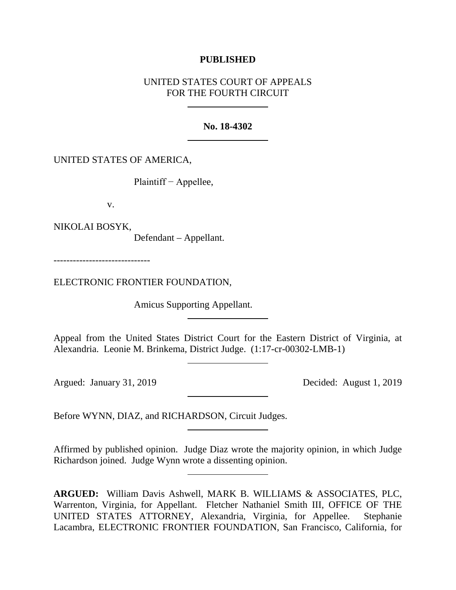# **PUBLISHED**

# UNITED STATES COURT OF APPEALS FOR THE FOURTH CIRCUIT

# **No. 18-4302**

UNITED STATES OF AMERICA,

Plaintiff − Appellee,

v.

NIKOLAI BOSYK,

Defendant – Appellant.

------------------------------

ELECTRONIC FRONTIER FOUNDATION,

Amicus Supporting Appellant.

Appeal from the United States District Court for the Eastern District of Virginia, at Alexandria. Leonie M. Brinkema, District Judge. (1:17-cr-00302-LMB-1)

Argued: January 31, 2019 Decided: August 1, 2019

Before WYNN, DIAZ, and RICHARDSON, Circuit Judges.

Affirmed by published opinion. Judge Diaz wrote the majority opinion, in which Judge Richardson joined. Judge Wynn wrote a dissenting opinion.

**ARGUED:** William Davis Ashwell, MARK B. WILLIAMS & ASSOCIATES, PLC, Warrenton, Virginia, for Appellant. Fletcher Nathaniel Smith III, OFFICE OF THE UNITED STATES ATTORNEY, Alexandria, Virginia, for Appellee. Stephanie Lacambra, ELECTRONIC FRONTIER FOUNDATION, San Francisco, California, for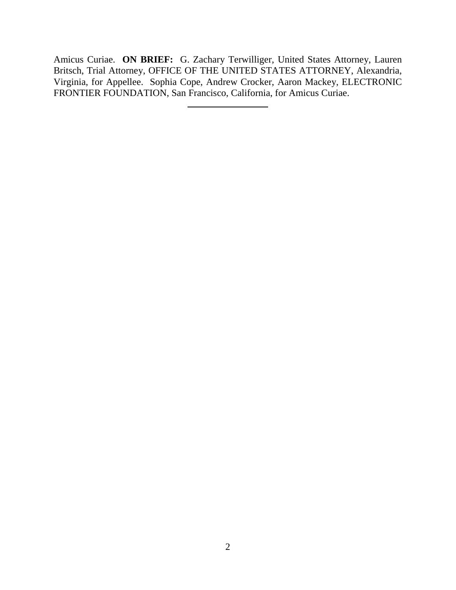Amicus Curiae. **ON BRIEF:** G. Zachary Terwilliger, United States Attorney, Lauren Britsch, Trial Attorney, OFFICE OF THE UNITED STATES ATTORNEY, Alexandria, Virginia, for Appellee. Sophia Cope, Andrew Crocker, Aaron Mackey, ELECTRONIC FRONTIER FOUNDATION, San Francisco, California, for Amicus Curiae.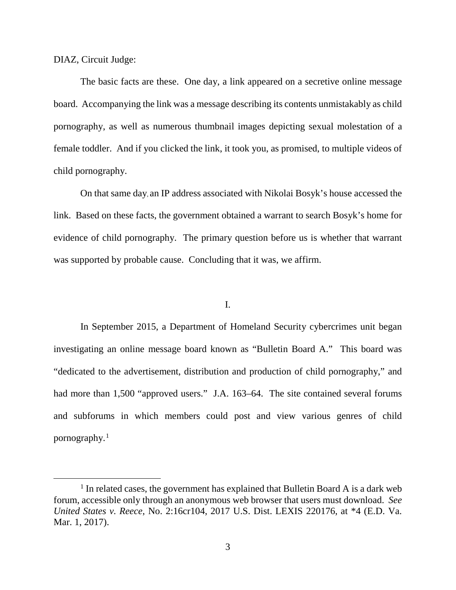DIAZ, Circuit Judge:

The basic facts are these. One day, a link appeared on a secretive online message board. Accompanying the link was a message describing its contents unmistakably as child pornography, as well as numerous thumbnail images depicting sexual molestation of a female toddler. And if you clicked the link, it took you, as promised, to multiple videos of child pornography.

On that same day, an IP address associated with Nikolai Bosyk's house accessed the link. Based on these facts, the government obtained a warrant to search Bosyk's home for evidence of child pornography. The primary question before us is whether that warrant was supported by probable cause. Concluding that it was, we affirm.

## I.

In September 2015, a Department of Homeland Security cybercrimes unit began investigating an online message board known as "Bulletin Board A." This board was "dedicated to the advertisement, distribution and production of child pornography," and had more than 1,500 "approved users." J.A. 163–64. The site contained several forums and subforums in which members could post and view various genres of child pornography.<sup>[1](#page-2-0)</sup>

<span id="page-2-0"></span> $<sup>1</sup>$  In related cases, the government has explained that Bulletin Board A is a dark web</sup> forum, accessible only through an anonymous web browser that users must download. *See United States v. Reece*, No. 2:16cr104, 2017 U.S. Dist. LEXIS 220176, at \*4 (E.D. Va. Mar. 1, 2017).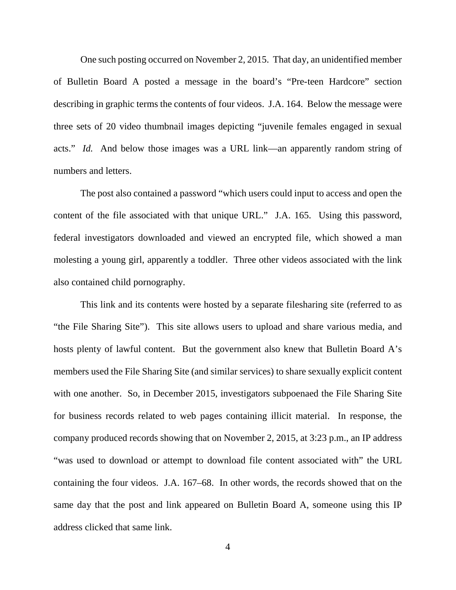One such posting occurred on November 2, 2015. That day, an unidentified member of Bulletin Board A posted a message in the board's "Pre-teen Hardcore" section describing in graphic terms the contents of four videos. J.A. 164. Below the message were three sets of 20 video thumbnail images depicting "juvenile females engaged in sexual acts." *Id.* And below those images was a URL link—an apparently random string of numbers and letters.

The post also contained a password "which users could input to access and open the content of the file associated with that unique URL." J.A. 165. Using this password, federal investigators downloaded and viewed an encrypted file, which showed a man molesting a young girl, apparently a toddler. Three other videos associated with the link also contained child pornography.

This link and its contents were hosted by a separate filesharing site (referred to as "the File Sharing Site"). This site allows users to upload and share various media, and hosts plenty of lawful content. But the government also knew that Bulletin Board A's members used the File Sharing Site (and similar services) to share sexually explicit content with one another. So, in December 2015, investigators subpoenaed the File Sharing Site for business records related to web pages containing illicit material. In response, the company produced records showing that on November 2, 2015, at 3:23 p.m., an IP address "was used to download or attempt to download file content associated with" the URL containing the four videos. J.A. 167–68. In other words, the records showed that on the same day that the post and link appeared on Bulletin Board A, someone using this IP address clicked that same link.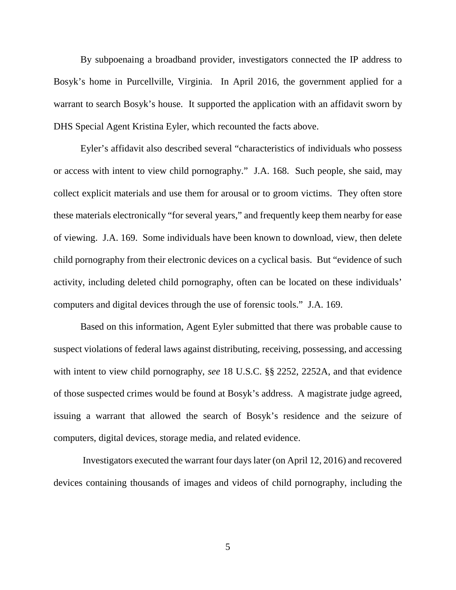By subpoenaing a broadband provider, investigators connected the IP address to Bosyk's home in Purcellville, Virginia. In April 2016, the government applied for a warrant to search Bosyk's house. It supported the application with an affidavit sworn by DHS Special Agent Kristina Eyler, which recounted the facts above.

Eyler's affidavit also described several "characteristics of individuals who possess or access with intent to view child pornography." J.A. 168. Such people, she said, may collect explicit materials and use them for arousal or to groom victims. They often store these materials electronically "for several years," and frequently keep them nearby for ease of viewing. J.A. 169. Some individuals have been known to download, view, then delete child pornography from their electronic devices on a cyclical basis. But "evidence of such activity, including deleted child pornography, often can be located on these individuals' computers and digital devices through the use of forensic tools." J.A. 169.

Based on this information, Agent Eyler submitted that there was probable cause to suspect violations of federal laws against distributing, receiving, possessing, and accessing with intent to view child pornography, *see* 18 U.S.C. §§ 2252, 2252A, and that evidence of those suspected crimes would be found at Bosyk's address. A magistrate judge agreed, issuing a warrant that allowed the search of Bosyk's residence and the seizure of computers, digital devices, storage media, and related evidence.

Investigators executed the warrant four days later (on April 12, 2016) and recovered devices containing thousands of images and videos of child pornography, including the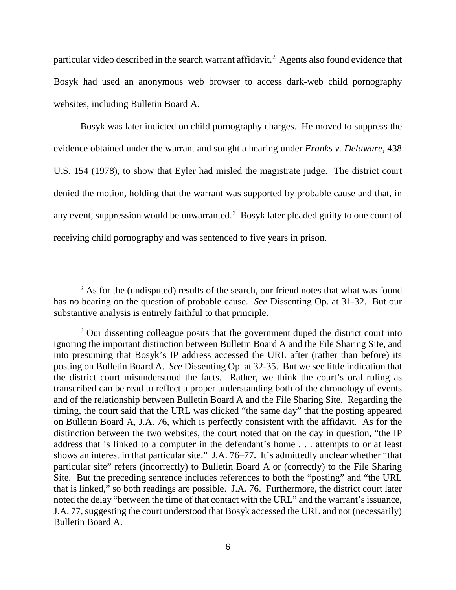particular video described in the search warrant affidavit.<sup>[2](#page-5-0)</sup> Agents also found evidence that Bosyk had used an anonymous web browser to access dark-web child pornography websites, including Bulletin Board A.

Bosyk was later indicted on child pornography charges. He moved to suppress the evidence obtained under the warrant and sought a hearing under *Franks v. Delaware*, 438 U.S. 154 (1978), to show that Eyler had misled the magistrate judge. The district court denied the motion, holding that the warrant was supported by probable cause and that, in any event, suppression would be unwarranted. $3$  Bosyk later pleaded guilty to one count of receiving child pornography and was sentenced to five years in prison.

<span id="page-5-0"></span><sup>&</sup>lt;sup>2</sup> As for the (undisputed) results of the search, our friend notes that what was found has no bearing on the question of probable cause. *See* Dissenting Op. at 31-32. But our substantive analysis is entirely faithful to that principle.

<span id="page-5-1"></span><sup>&</sup>lt;sup>3</sup> Our dissenting colleague posits that the government duped the district court into ignoring the important distinction between Bulletin Board A and the File Sharing Site, and into presuming that Bosyk's IP address accessed the URL after (rather than before) its posting on Bulletin Board A. *See* Dissenting Op. at 32-35. But we see little indication that the district court misunderstood the facts. Rather, we think the court's oral ruling as transcribed can be read to reflect a proper understanding both of the chronology of events and of the relationship between Bulletin Board A and the File Sharing Site. Regarding the timing, the court said that the URL was clicked "the same day" that the posting appeared on Bulletin Board A, J.A. 76, which is perfectly consistent with the affidavit. As for the distinction between the two websites, the court noted that on the day in question, "the IP address that is linked to a computer in the defendant's home . . . attempts to or at least shows an interest in that particular site." J.A. 76–77. It's admittedly unclear whether "that particular site" refers (incorrectly) to Bulletin Board A or (correctly) to the File Sharing Site. But the preceding sentence includes references to both the "posting" and "the URL that is linked," so both readings are possible. J.A. 76. Furthermore, the district court later noted the delay "between the time of that contact with the URL" and the warrant's issuance, J.A. 77, suggesting the court understood that Bosyk accessed the URL and not (necessarily) Bulletin Board A.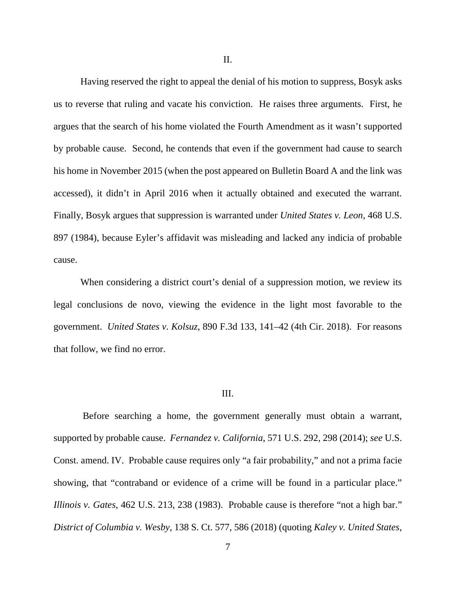II.

Having reserved the right to appeal the denial of his motion to suppress, Bosyk asks us to reverse that ruling and vacate his conviction. He raises three arguments. First, he argues that the search of his home violated the Fourth Amendment as it wasn't supported by probable cause. Second, he contends that even if the government had cause to search his home in November 2015 (when the post appeared on Bulletin Board A and the link was accessed), it didn't in April 2016 when it actually obtained and executed the warrant. Finally, Bosyk argues that suppression is warranted under *United States v. Leon*, 468 U.S. 897 (1984), because Eyler's affidavit was misleading and lacked any indicia of probable cause.

When considering a district court's denial of a suppression motion, we review its legal conclusions de novo, viewing the evidence in the light most favorable to the government. *United States v. Kolsuz*, 890 F.3d 133, 141–42 (4th Cir. 2018). For reasons that follow, we find no error.

#### III.

Before searching a home, the government generally must obtain a warrant, supported by probable cause. *Fernandez v. California*, 571 U.S. 292, 298 (2014); *see* U.S. Const. amend. IV. Probable cause requires only "a fair probability," and not a prima facie showing, that "contraband or evidence of a crime will be found in a particular place." *Illinois v. Gates*, 462 U.S. 213, 238 (1983). Probable cause is therefore "not a high bar." *District of Columbia v. Wesby*, 138 S. Ct. 577, 586 (2018) (quoting *Kaley v. United States*,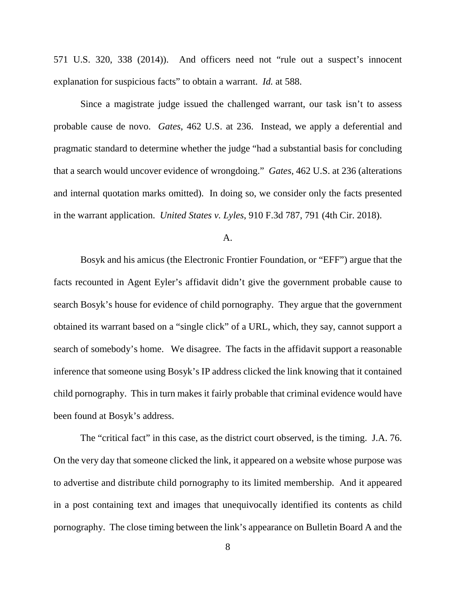571 U.S. 320, 338 (2014)). And officers need not "rule out a suspect's innocent explanation for suspicious facts" to obtain a warrant. *Id.* at 588.

Since a magistrate judge issued the challenged warrant, our task isn't to assess probable cause de novo. *Gates*, 462 U.S. at 236. Instead, we apply a deferential and pragmatic standard to determine whether the judge "had a substantial basis for concluding that a search would uncover evidence of wrongdoing." *Gates*, 462 U.S. at 236 (alterations and internal quotation marks omitted). In doing so, we consider only the facts presented in the warrant application. *United States v. Lyles*, 910 F.3d 787, 791 (4th Cir. 2018).

A.

Bosyk and his amicus (the Electronic Frontier Foundation, or "EFF") argue that the facts recounted in Agent Eyler's affidavit didn't give the government probable cause to search Bosyk's house for evidence of child pornography. They argue that the government obtained its warrant based on a "single click" of a URL, which, they say, cannot support a search of somebody's home. We disagree. The facts in the affidavit support a reasonable inference that someone using Bosyk's IP address clicked the link knowing that it contained child pornography. This in turn makes it fairly probable that criminal evidence would have been found at Bosyk's address.

The "critical fact" in this case, as the district court observed, is the timing. J.A. 76. On the very day that someone clicked the link, it appeared on a website whose purpose was to advertise and distribute child pornography to its limited membership. And it appeared in a post containing text and images that unequivocally identified its contents as child pornography. The close timing between the link's appearance on Bulletin Board A and the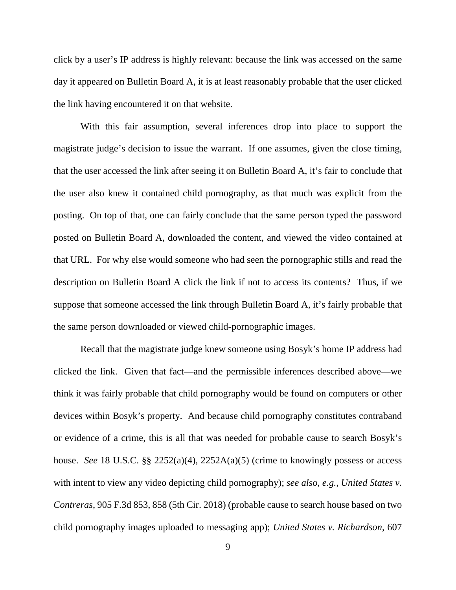click by a user's IP address is highly relevant: because the link was accessed on the same day it appeared on Bulletin Board A, it is at least reasonably probable that the user clicked the link having encountered it on that website.

With this fair assumption, several inferences drop into place to support the magistrate judge's decision to issue the warrant. If one assumes, given the close timing, that the user accessed the link after seeing it on Bulletin Board A, it's fair to conclude that the user also knew it contained child pornography, as that much was explicit from the posting. On top of that, one can fairly conclude that the same person typed the password posted on Bulletin Board A, downloaded the content, and viewed the video contained at that URL. For why else would someone who had seen the pornographic stills and read the description on Bulletin Board A click the link if not to access its contents? Thus, if we suppose that someone accessed the link through Bulletin Board A, it's fairly probable that the same person downloaded or viewed child-pornographic images.

Recall that the magistrate judge knew someone using Bosyk's home IP address had clicked the link. Given that fact—and the permissible inferences described above—we think it was fairly probable that child pornography would be found on computers or other devices within Bosyk's property. And because child pornography constitutes contraband or evidence of a crime, this is all that was needed for probable cause to search Bosyk's house. *See* 18 U.S.C. §§ 2252(a)(4), 2252A(a)(5) (crime to knowingly possess or access with intent to view any video depicting child pornography); *see also, e.g.*, *United States v. Contreras*, 905 F.3d 853, 858 (5th Cir. 2018) (probable cause to search house based on two child pornography images uploaded to messaging app); *United States v. Richardson*, 607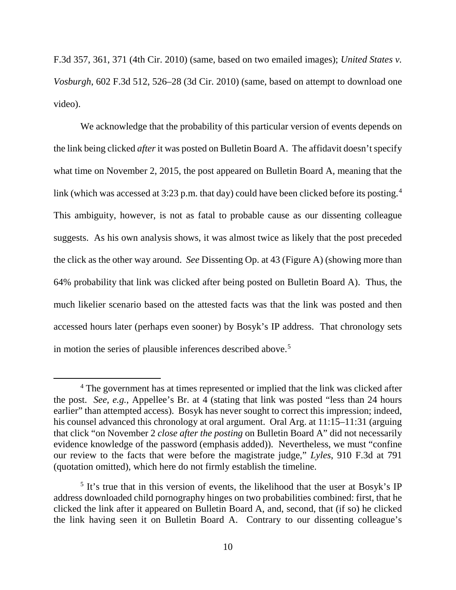F.3d 357, 361, 371 (4th Cir. 2010) (same, based on two emailed images); *United States v. Vosburgh*, 602 F.3d 512, 526–28 (3d Cir. 2010) (same, based on attempt to download one video).

We acknowledge that the probability of this particular version of events depends on the link being clicked *after* it was posted on Bulletin Board A. The affidavit doesn't specify what time on November 2, 2015, the post appeared on Bulletin Board A, meaning that the link (which was accessed at 3:23 p.m. that day) could have been clicked before its posting.<sup>[4](#page-9-0)</sup> This ambiguity, however, is not as fatal to probable cause as our dissenting colleague suggests. As his own analysis shows, it was almost twice as likely that the post preceded the click as the other way around. *See* Dissenting Op. at 43 (Figure A) (showing more than 64% probability that link was clicked after being posted on Bulletin Board A). Thus, the much likelier scenario based on the attested facts was that the link was posted and then accessed hours later (perhaps even sooner) by Bosyk's IP address. That chronology sets in motion the series of plausible inferences described above.<sup>[5](#page-9-1)</sup>

<span id="page-9-0"></span><sup>&</sup>lt;sup>4</sup> The government has at times represented or implied that the link was clicked after the post. *See, e.g.*, Appellee's Br. at 4 (stating that link was posted "less than 24 hours earlier" than attempted access). Bosyk has never sought to correct this impression; indeed, his counsel advanced this chronology at oral argument. Oral Arg. at 11:15–11:31 (arguing that click "on November 2 *close after the posting* on Bulletin Board A" did not necessarily evidence knowledge of the password (emphasis added)). Nevertheless, we must "confine our review to the facts that were before the magistrate judge," *Lyles*, 910 F.3d at 791 (quotation omitted), which here do not firmly establish the timeline.

<span id="page-9-1"></span><sup>&</sup>lt;sup>5</sup> It's true that in this version of events, the likelihood that the user at Bosyk's IP address downloaded child pornography hinges on two probabilities combined: first, that he clicked the link after it appeared on Bulletin Board A, and, second, that (if so) he clicked the link having seen it on Bulletin Board A. Contrary to our dissenting colleague's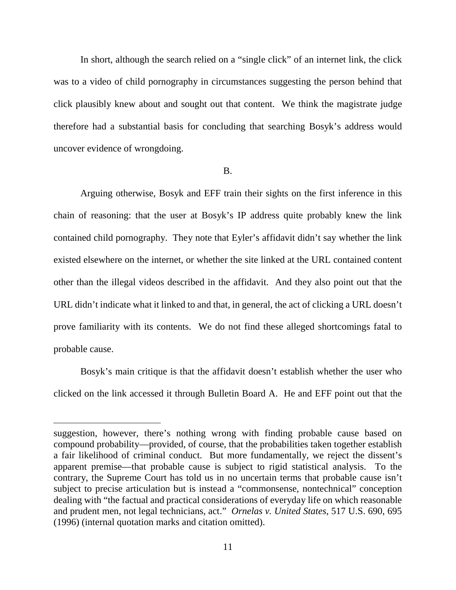In short, although the search relied on a "single click" of an internet link, the click was to a video of child pornography in circumstances suggesting the person behind that click plausibly knew about and sought out that content. We think the magistrate judge therefore had a substantial basis for concluding that searching Bosyk's address would uncover evidence of wrongdoing.

### B.

Arguing otherwise, Bosyk and EFF train their sights on the first inference in this chain of reasoning: that the user at Bosyk's IP address quite probably knew the link contained child pornography. They note that Eyler's affidavit didn't say whether the link existed elsewhere on the internet, or whether the site linked at the URL contained content other than the illegal videos described in the affidavit. And they also point out that the URL didn't indicate what it linked to and that, in general, the act of clicking a URL doesn't prove familiarity with its contents. We do not find these alleged shortcomings fatal to probable cause.

Bosyk's main critique is that the affidavit doesn't establish whether the user who clicked on the link accessed it through Bulletin Board A. He and EFF point out that the

 $\overline{a}$ 

suggestion, however, there's nothing wrong with finding probable cause based on compound probability—provided, of course, that the probabilities taken together establish a fair likelihood of criminal conduct. But more fundamentally, we reject the dissent's apparent premise—that probable cause is subject to rigid statistical analysis. To the contrary, the Supreme Court has told us in no uncertain terms that probable cause isn't subject to precise articulation but is instead a "commonsense, nontechnical" conception dealing with "the factual and practical considerations of everyday life on which reasonable and prudent men, not legal technicians, act." *Ornelas v. United States*, 517 U.S. 690, 695 (1996) (internal quotation marks and citation omitted).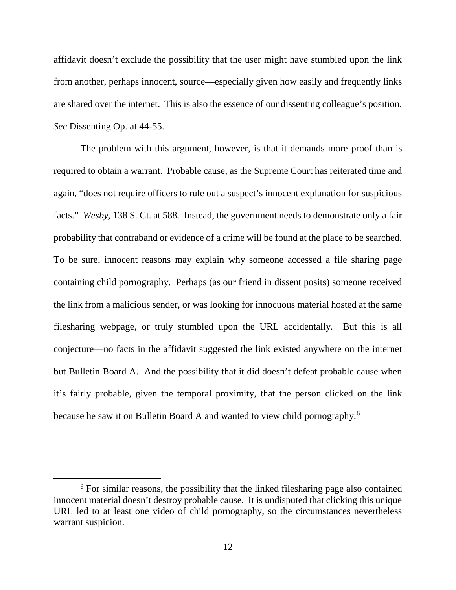affidavit doesn't exclude the possibility that the user might have stumbled upon the link from another, perhaps innocent, source—especially given how easily and frequently links are shared over the internet. This is also the essence of our dissenting colleague's position. *See* Dissenting Op. at 44-55.

The problem with this argument, however, is that it demands more proof than is required to obtain a warrant. Probable cause, as the Supreme Court has reiterated time and again, "does not require officers to rule out a suspect's innocent explanation for suspicious facts." *Wesby*, 138 S. Ct. at 588. Instead, the government needs to demonstrate only a fair probability that contraband or evidence of a crime will be found at the place to be searched. To be sure, innocent reasons may explain why someone accessed a file sharing page containing child pornography. Perhaps (as our friend in dissent posits) someone received the link from a malicious sender, or was looking for innocuous material hosted at the same filesharing webpage, or truly stumbled upon the URL accidentally. But this is all conjecture—no facts in the affidavit suggested the link existed anywhere on the internet but Bulletin Board A. And the possibility that it did doesn't defeat probable cause when it's fairly probable, given the temporal proximity, that the person clicked on the link because he saw it on Bulletin Board A and wanted to view child pornography.[6](#page-11-0)

<span id="page-11-0"></span><sup>&</sup>lt;sup>6</sup> For similar reasons, the possibility that the linked filesharing page also contained innocent material doesn't destroy probable cause. It is undisputed that clicking this unique URL led to at least one video of child pornography, so the circumstances nevertheless warrant suspicion.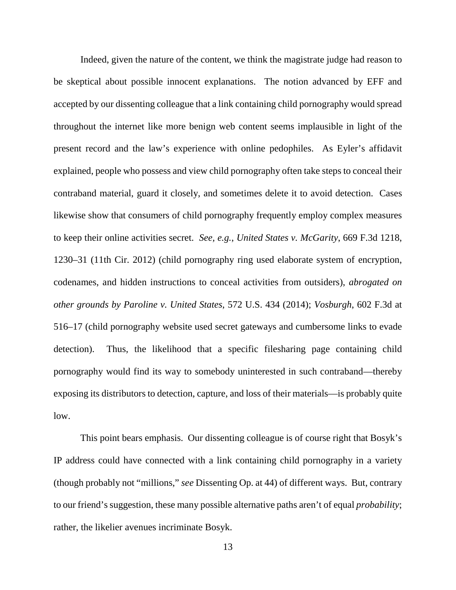Indeed, given the nature of the content, we think the magistrate judge had reason to be skeptical about possible innocent explanations. The notion advanced by EFF and accepted by our dissenting colleague that a link containing child pornography would spread throughout the internet like more benign web content seems implausible in light of the present record and the law's experience with online pedophiles. As Eyler's affidavit explained, people who possess and view child pornography often take steps to conceal their contraband material, guard it closely, and sometimes delete it to avoid detection. Cases likewise show that consumers of child pornography frequently employ complex measures to keep their online activities secret. *See, e.g.*, *United States v. McGarity*, 669 F.3d 1218, 1230–31 (11th Cir. 2012) (child pornography ring used elaborate system of encryption, codenames, and hidden instructions to conceal activities from outsiders), *abrogated on other grounds by Paroline v. United States*, 572 U.S. 434 (2014); *Vosburgh*, 602 F.3d at 516–17 (child pornography website used secret gateways and cumbersome links to evade detection). Thus, the likelihood that a specific filesharing page containing child pornography would find its way to somebody uninterested in such contraband—thereby exposing its distributors to detection, capture, and loss of their materials—is probably quite low.

This point bears emphasis. Our dissenting colleague is of course right that Bosyk's IP address could have connected with a link containing child pornography in a variety (though probably not "millions," *see* Dissenting Op. at 44) of different ways. But, contrary to our friend's suggestion, these many possible alternative paths aren't of equal *probability*; rather, the likelier avenues incriminate Bosyk.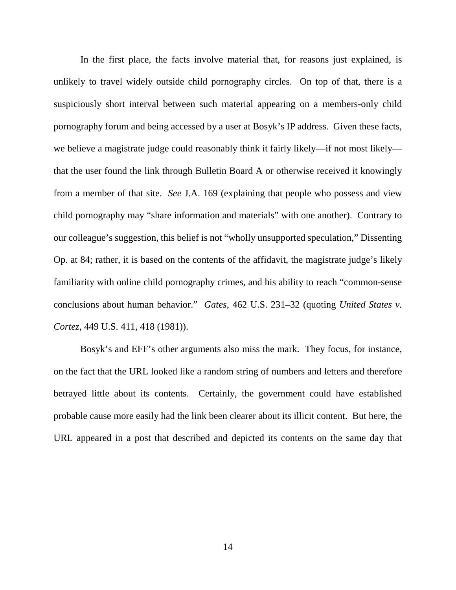In the first place, the facts involve material that, for reasons just explained, is unlikely to travel widely outside child pornography circles. On top of that, there is a suspiciously short interval between such material appearing on a members-only child pornography forum and being accessed by a user at Bosyk's IP address. Given these facts, we believe a magistrate judge could reasonably think it fairly likely—if not most likely that the user found the link through Bulletin Board A or otherwise received it knowingly from a member of that site. *See* J.A. 169 (explaining that people who possess and view child pornography may "share information and materials" with one another). Contrary to our colleague's suggestion, this belief is not "wholly unsupported speculation," Dissenting Op. at 84; rather, it is based on the contents of the affidavit, the magistrate judge's likely familiarity with online child pornography crimes, and his ability to reach "common-sense conclusions about human behavior." *Gates*, 462 U.S. 231–32 (quoting *United States v. Cortez*, 449 U.S. 411, 418 (1981)).

Bosyk's and EFF's other arguments also miss the mark. They focus, for instance, on the fact that the URL looked like a random string of numbers and letters and therefore betrayed little about its contents. Certainly, the government could have established probable cause more easily had the link been clearer about its illicit content. But here, the URL appeared in a post that described and depicted its contents on the same day that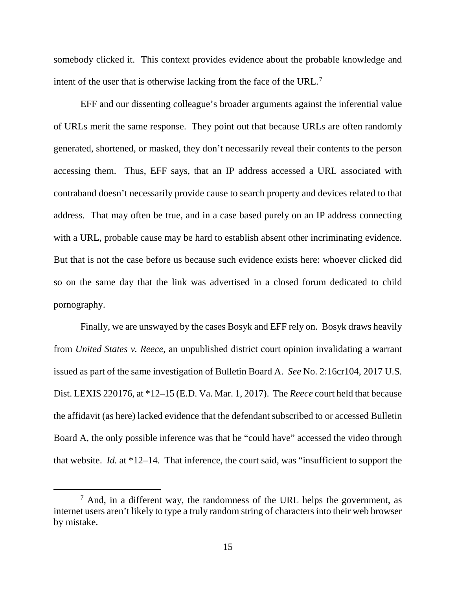somebody clicked it. This context provides evidence about the probable knowledge and intent of the user that is otherwise lacking from the face of the URL.<sup>[7](#page-14-0)</sup>

EFF and our dissenting colleague's broader arguments against the inferential value of URLs merit the same response. They point out that because URLs are often randomly generated, shortened, or masked, they don't necessarily reveal their contents to the person accessing them. Thus, EFF says, that an IP address accessed a URL associated with contraband doesn't necessarily provide cause to search property and devices related to that address. That may often be true, and in a case based purely on an IP address connecting with a URL, probable cause may be hard to establish absent other incriminating evidence. But that is not the case before us because such evidence exists here: whoever clicked did so on the same day that the link was advertised in a closed forum dedicated to child pornography.

Finally, we are unswayed by the cases Bosyk and EFF rely on. Bosyk draws heavily from *United States v. Reece*, an unpublished district court opinion invalidating a warrant issued as part of the same investigation of Bulletin Board A. *See* No. 2:16cr104, 2017 U.S. Dist. LEXIS 220176, at \*12–15 (E.D. Va. Mar. 1, 2017). The *Reece* court held that because the affidavit (as here) lacked evidence that the defendant subscribed to or accessed Bulletin Board A, the only possible inference was that he "could have" accessed the video through that website. *Id.* at \*12–14. That inference, the court said, was "insufficient to support the

<span id="page-14-0"></span> $<sup>7</sup>$  And, in a different way, the randomness of the URL helps the government, as</sup> internet users aren't likely to type a truly random string of characters into their web browser by mistake.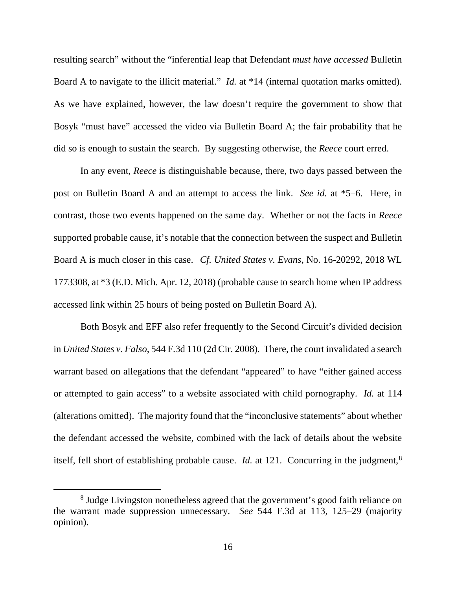resulting search" without the "inferential leap that Defendant *must have accessed* Bulletin Board A to navigate to the illicit material." *Id.* at \*14 (internal quotation marks omitted). As we have explained, however, the law doesn't require the government to show that Bosyk "must have" accessed the video via Bulletin Board A; the fair probability that he did so is enough to sustain the search. By suggesting otherwise, the *Reece* court erred.

In any event, *Reece* is distinguishable because, there, two days passed between the post on Bulletin Board A and an attempt to access the link. *See id.* at \*5–6. Here, in contrast, those two events happened on the same day. Whether or not the facts in *Reece* supported probable cause, it's notable that the connection between the suspect and Bulletin Board A is much closer in this case. *Cf. United States v. Evans*, No. 16-20292, 2018 WL 1773308, at \*3 (E.D. Mich. Apr. 12, 2018) (probable cause to search home when IP address accessed link within 25 hours of being posted on Bulletin Board A).

Both Bosyk and EFF also refer frequently to the Second Circuit's divided decision in *United States v. Falso*, 544 F.3d 110 (2d Cir. 2008). There, the court invalidated a search warrant based on allegations that the defendant "appeared" to have "either gained access or attempted to gain access" to a website associated with child pornography. *Id.* at 114 (alterations omitted). The majority found that the "inconclusive statements" about whether the defendant accessed the website, combined with the lack of details about the website itself, fell short of establishing probable cause. *Id.* at 121. Concurring in the judgment,<sup>[8](#page-15-0)</sup>

<span id="page-15-0"></span> <sup>8</sup> Judge Livingston nonetheless agreed that the government's good faith reliance on the warrant made suppression unnecessary. *See* 544 F.3d at 113, 125–29 (majority opinion).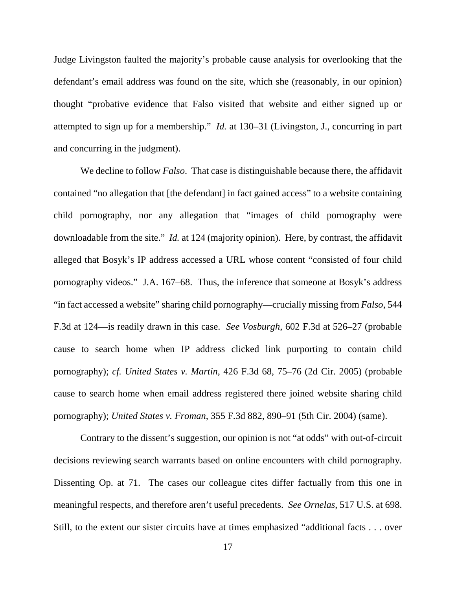Judge Livingston faulted the majority's probable cause analysis for overlooking that the defendant's email address was found on the site, which she (reasonably, in our opinion) thought "probative evidence that Falso visited that website and either signed up or attempted to sign up for a membership." *Id.* at 130–31 (Livingston, J., concurring in part and concurring in the judgment).

We decline to follow *Falso*. That case is distinguishable because there, the affidavit contained "no allegation that [the defendant] in fact gained access" to a website containing child pornography, nor any allegation that "images of child pornography were downloadable from the site." *Id.* at 124 (majority opinion). Here, by contrast, the affidavit alleged that Bosyk's IP address accessed a URL whose content "consisted of four child pornography videos." J.A. 167–68. Thus, the inference that someone at Bosyk's address "in fact accessed a website" sharing child pornography—crucially missing from *Falso*, 544 F.3d at 124—is readily drawn in this case. *See Vosburgh*, 602 F.3d at 526–27 (probable cause to search home when IP address clicked link purporting to contain child pornography); *cf. United States v. Martin*, 426 F.3d 68, 75–76 (2d Cir. 2005) (probable cause to search home when email address registered there joined website sharing child pornography); *United States v. Froman*, 355 F.3d 882, 890–91 (5th Cir. 2004) (same).

Contrary to the dissent's suggestion, our opinion is not "at odds" with out-of-circuit decisions reviewing search warrants based on online encounters with child pornography. Dissenting Op. at 71. The cases our colleague cites differ factually from this one in meaningful respects, and therefore aren't useful precedents. *See Ornelas*, 517 U.S. at 698. Still, to the extent our sister circuits have at times emphasized "additional facts . . . over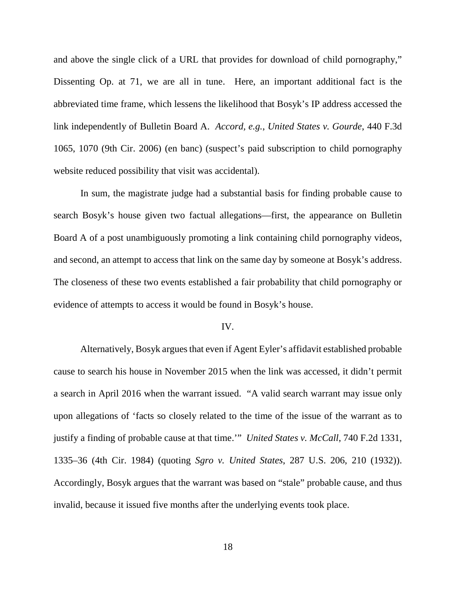and above the single click of a URL that provides for download of child pornography," Dissenting Op. at 71, we are all in tune. Here, an important additional fact is the abbreviated time frame, which lessens the likelihood that Bosyk's IP address accessed the link independently of Bulletin Board A. *Accord, e.g.*, *United States v. Gourde*, 440 F.3d 1065, 1070 (9th Cir. 2006) (en banc) (suspect's paid subscription to child pornography website reduced possibility that visit was accidental).

In sum, the magistrate judge had a substantial basis for finding probable cause to search Bosyk's house given two factual allegations—first, the appearance on Bulletin Board A of a post unambiguously promoting a link containing child pornography videos, and second, an attempt to access that link on the same day by someone at Bosyk's address. The closeness of these two events established a fair probability that child pornography or evidence of attempts to access it would be found in Bosyk's house.

### IV.

Alternatively, Bosyk argues that even if Agent Eyler's affidavit established probable cause to search his house in November 2015 when the link was accessed, it didn't permit a search in April 2016 when the warrant issued. "A valid search warrant may issue only upon allegations of 'facts so closely related to the time of the issue of the warrant as to justify a finding of probable cause at that time.'" *United States v. McCall*, 740 F.2d 1331, 1335–36 (4th Cir. 1984) (quoting *Sgro v. United States*, 287 U.S. 206, 210 (1932)). Accordingly, Bosyk argues that the warrant was based on "stale" probable cause, and thus invalid, because it issued five months after the underlying events took place.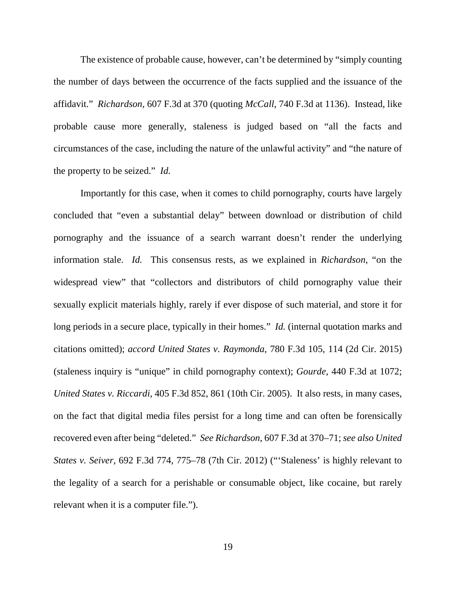The existence of probable cause, however, can't be determined by "simply counting the number of days between the occurrence of the facts supplied and the issuance of the affidavit." *Richardson*, 607 F.3d at 370 (quoting *McCall*, 740 F.3d at 1136). Instead, like probable cause more generally, staleness is judged based on "all the facts and circumstances of the case, including the nature of the unlawful activity" and "the nature of the property to be seized." *Id.*

Importantly for this case, when it comes to child pornography, courts have largely concluded that "even a substantial delay" between download or distribution of child pornography and the issuance of a search warrant doesn't render the underlying information stale. *Id.* This consensus rests, as we explained in *Richardson*, "on the widespread view" that "collectors and distributors of child pornography value their sexually explicit materials highly, rarely if ever dispose of such material, and store it for long periods in a secure place, typically in their homes." *Id.* (internal quotation marks and citations omitted); *accord United States v. Raymonda*, 780 F.3d 105, 114 (2d Cir. 2015) (staleness inquiry is "unique" in child pornography context); *Gourde*, 440 F.3d at 1072; *United States v. Riccardi*, 405 F.3d 852, 861 (10th Cir. 2005). It also rests, in many cases, on the fact that digital media files persist for a long time and can often be forensically recovered even after being "deleted." *See Richardson*, 607 F.3d at 370–71; *see also United States v. Seiver*, 692 F.3d 774, 775–78 (7th Cir. 2012) ("'Staleness' is highly relevant to the legality of a search for a perishable or consumable object, like cocaine, but rarely relevant when it is a computer file.").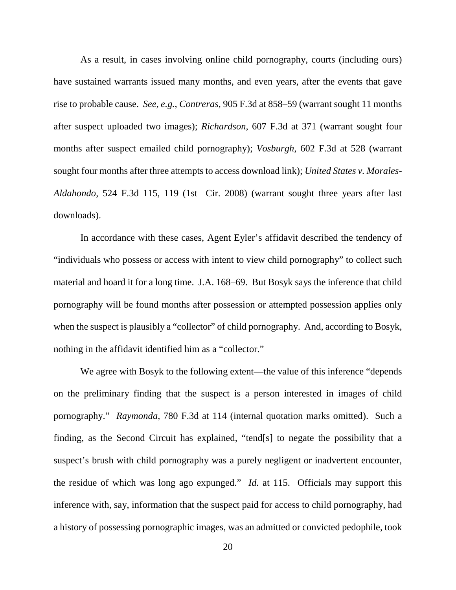As a result, in cases involving online child pornography, courts (including ours) have sustained warrants issued many months, and even years, after the events that gave rise to probable cause. *See, e.g.*, *Contreras*, 905 F.3d at 858–59 (warrant sought 11 months after suspect uploaded two images); *Richardson*, 607 F.3d at 371 (warrant sought four months after suspect emailed child pornography); *Vosburgh*, 602 F.3d at 528 (warrant sought four months after three attempts to access download link); *United States v. Morales-Aldahondo*, 524 F.3d 115, 119 (1st Cir. 2008) (warrant sought three years after last downloads).

In accordance with these cases, Agent Eyler's affidavit described the tendency of "individuals who possess or access with intent to view child pornography" to collect such material and hoard it for a long time. J.A. 168–69. But Bosyk says the inference that child pornography will be found months after possession or attempted possession applies only when the suspect is plausibly a "collector" of child pornography. And, according to Bosyk, nothing in the affidavit identified him as a "collector."

We agree with Bosyk to the following extent—the value of this inference "depends on the preliminary finding that the suspect is a person interested in images of child pornography." *Raymonda*, 780 F.3d at 114 (internal quotation marks omitted). Such a finding, as the Second Circuit has explained, "tend[s] to negate the possibility that a suspect's brush with child pornography was a purely negligent or inadvertent encounter, the residue of which was long ago expunged." *Id.* at 115. Officials may support this inference with, say, information that the suspect paid for access to child pornography, had a history of possessing pornographic images, was an admitted or convicted pedophile, took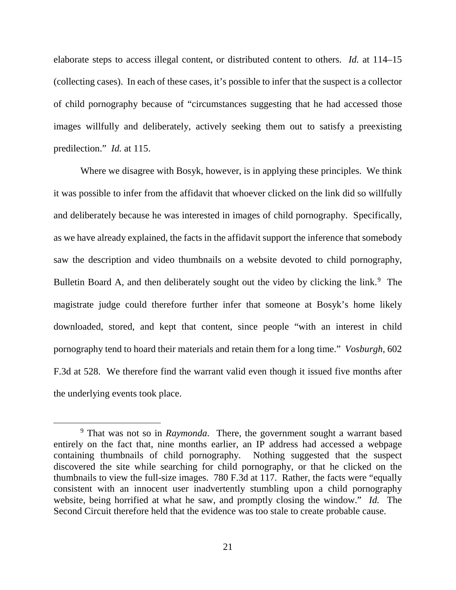elaborate steps to access illegal content, or distributed content to others. *Id.* at 114–15 (collecting cases). In each of these cases, it's possible to infer that the suspect is a collector of child pornography because of "circumstances suggesting that he had accessed those images willfully and deliberately, actively seeking them out to satisfy a preexisting predilection." *Id.* at 115.

Where we disagree with Bosyk, however, is in applying these principles. We think it was possible to infer from the affidavit that whoever clicked on the link did so willfully and deliberately because he was interested in images of child pornography. Specifically, as we have already explained, the facts in the affidavit support the inference that somebody saw the description and video thumbnails on a website devoted to child pornography, Bulletin Board A, and then deliberately sought out the video by clicking the link.<sup>[9](#page-20-0)</sup> The magistrate judge could therefore further infer that someone at Bosyk's home likely downloaded, stored, and kept that content, since people "with an interest in child pornography tend to hoard their materials and retain them for a long time." *Vosburgh*, 602 F.3d at 528. We therefore find the warrant valid even though it issued five months after the underlying events took place.

<span id="page-20-0"></span> <sup>9</sup> That was not so in *Raymonda*. There, the government sought a warrant based entirely on the fact that, nine months earlier, an IP address had accessed a webpage containing thumbnails of child pornography. Nothing suggested that the suspect discovered the site while searching for child pornography, or that he clicked on the thumbnails to view the full-size images. 780 F.3d at 117. Rather, the facts were "equally consistent with an innocent user inadvertently stumbling upon a child pornography website, being horrified at what he saw, and promptly closing the window." *Id.* The Second Circuit therefore held that the evidence was too stale to create probable cause.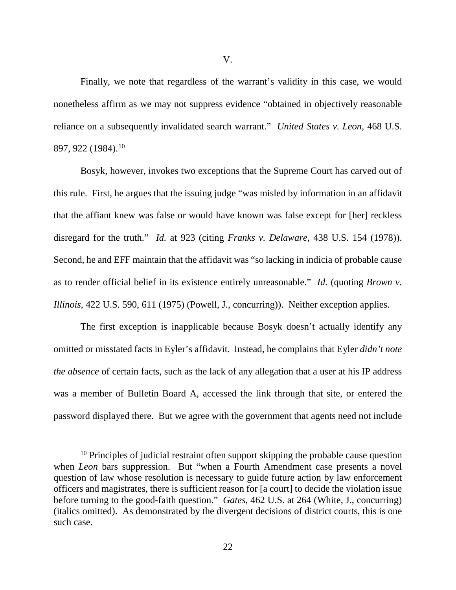Finally, we note that regardless of the warrant's validity in this case, we would nonetheless affirm as we may not suppress evidence "obtained in objectively reasonable reliance on a subsequently invalidated search warrant." *United States v. Leon*, 468 U.S. 897, 922 (1984).[10](#page-21-0) 

Bosyk, however, invokes two exceptions that the Supreme Court has carved out of this rule. First, he argues that the issuing judge "was misled by information in an affidavit that the affiant knew was false or would have known was false except for [her] reckless disregard for the truth." *Id.* at 923 (citing *Franks v. Delaware*, 438 U.S. 154 (1978)). Second, he and EFF maintain that the affidavit was "so lacking in indicia of probable cause as to render official belief in its existence entirely unreasonable." *Id.* (quoting *Brown v. Illinois*, 422 U.S. 590, 611 (1975) (Powell, J., concurring)). Neither exception applies.

The first exception is inapplicable because Bosyk doesn't actually identify any omitted or misstated facts in Eyler's affidavit. Instead, he complains that Eyler *didn't note the absence* of certain facts, such as the lack of any allegation that a user at his IP address was a member of Bulletin Board A, accessed the link through that site, or entered the password displayed there. But we agree with the government that agents need not include

<span id="page-21-0"></span> $10$  Principles of judicial restraint often support skipping the probable cause question when *Leon* bars suppression. But "when a Fourth Amendment case presents a novel question of law whose resolution is necessary to guide future action by law enforcement officers and magistrates, there is sufficient reason for [a court] to decide the violation issue before turning to the good-faith question." *Gates*, 462 U.S. at 264 (White, J., concurring) (italics omitted). As demonstrated by the divergent decisions of district courts, this is one such case.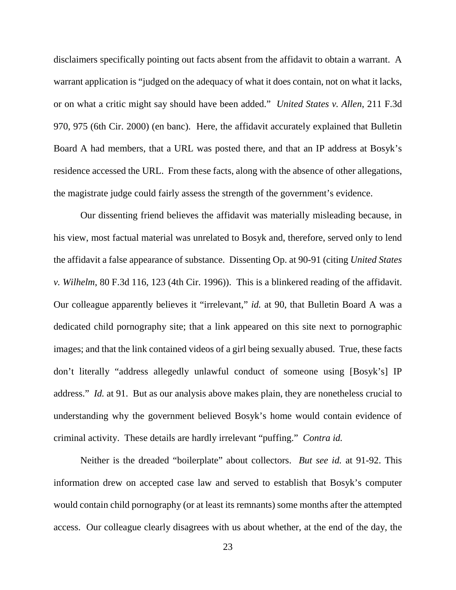disclaimers specifically pointing out facts absent from the affidavit to obtain a warrant. A warrant application is "judged on the adequacy of what it does contain, not on what it lacks, or on what a critic might say should have been added." *United States v. Allen*, 211 F.3d 970, 975 (6th Cir. 2000) (en banc). Here, the affidavit accurately explained that Bulletin Board A had members, that a URL was posted there, and that an IP address at Bosyk's residence accessed the URL. From these facts, along with the absence of other allegations, the magistrate judge could fairly assess the strength of the government's evidence.

Our dissenting friend believes the affidavit was materially misleading because, in his view, most factual material was unrelated to Bosyk and, therefore, served only to lend the affidavit a false appearance of substance. Dissenting Op. at 90-91 (citing *United States v. Wilhelm*, 80 F.3d 116, 123 (4th Cir. 1996)). This is a blinkered reading of the affidavit. Our colleague apparently believes it "irrelevant," *id.* at 90, that Bulletin Board A was a dedicated child pornography site; that a link appeared on this site next to pornographic images; and that the link contained videos of a girl being sexually abused. True, these facts don't literally "address allegedly unlawful conduct of someone using [Bosyk's] IP address." *Id.* at 91. But as our analysis above makes plain, they are nonetheless crucial to understanding why the government believed Bosyk's home would contain evidence of criminal activity. These details are hardly irrelevant "puffing." *Contra id.*

Neither is the dreaded "boilerplate" about collectors. *But see id.* at 91-92. This information drew on accepted case law and served to establish that Bosyk's computer would contain child pornography (or at least its remnants) some months after the attempted access. Our colleague clearly disagrees with us about whether, at the end of the day, the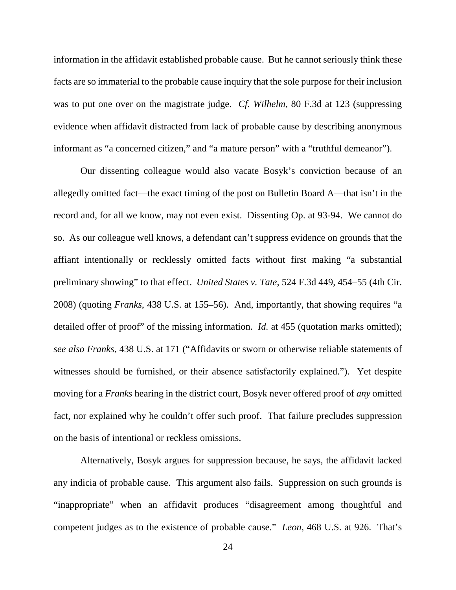information in the affidavit established probable cause. But he cannot seriously think these facts are so immaterial to the probable cause inquiry that the sole purpose for their inclusion was to put one over on the magistrate judge. *Cf. Wilhelm*, 80 F.3d at 123 (suppressing evidence when affidavit distracted from lack of probable cause by describing anonymous informant as "a concerned citizen," and "a mature person" with a "truthful demeanor").

Our dissenting colleague would also vacate Bosyk's conviction because of an allegedly omitted fact—the exact timing of the post on Bulletin Board A—that isn't in the record and, for all we know, may not even exist. Dissenting Op. at 93-94. We cannot do so. As our colleague well knows, a defendant can't suppress evidence on grounds that the affiant intentionally or recklessly omitted facts without first making "a substantial preliminary showing" to that effect. *United States v. Tate*, 524 F.3d 449, 454–55 (4th Cir. 2008) (quoting *Franks*, 438 U.S. at 155–56). And, importantly, that showing requires "a detailed offer of proof" of the missing information. *Id.* at 455 (quotation marks omitted); *see also Franks*, 438 U.S. at 171 ("Affidavits or sworn or otherwise reliable statements of witnesses should be furnished, or their absence satisfactorily explained."). Yet despite moving for a *Franks* hearing in the district court, Bosyk never offered proof of *any* omitted fact, nor explained why he couldn't offer such proof. That failure precludes suppression on the basis of intentional or reckless omissions.

Alternatively, Bosyk argues for suppression because, he says, the affidavit lacked any indicia of probable cause. This argument also fails. Suppression on such grounds is "inappropriate" when an affidavit produces "disagreement among thoughtful and competent judges as to the existence of probable cause." *Leon*, 468 U.S. at 926.That's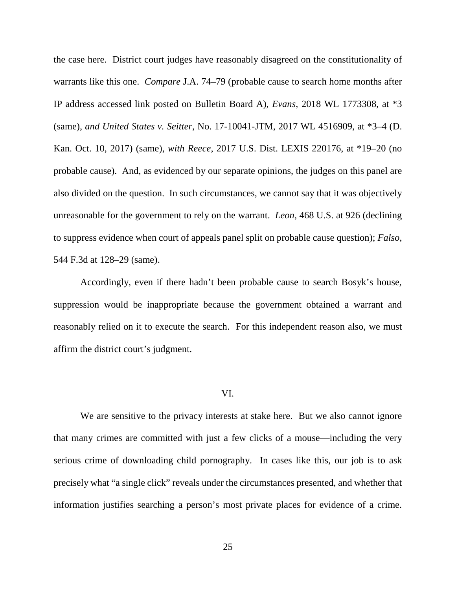the case here. District court judges have reasonably disagreed on the constitutionality of warrants like this one. *Compare* J.A. 74–79 (probable cause to search home months after IP address accessed link posted on Bulletin Board A), *Evans*, 2018 WL 1773308, at \*3 (same), *and United States v. Seitter*, No. 17-10041-JTM, 2017 WL 4516909, at \*3–4 (D. Kan. Oct. 10, 2017) (same), *with Reece*, 2017 U.S. Dist. LEXIS 220176, at \*19–20 (no probable cause). And, as evidenced by our separate opinions, the judges on this panel are also divided on the question. In such circumstances, we cannot say that it was objectively unreasonable for the government to rely on the warrant. *Leon*, 468 U.S. at 926 (declining to suppress evidence when court of appeals panel split on probable cause question); *Falso*, 544 F.3d at 128–29 (same).

Accordingly, even if there hadn't been probable cause to search Bosyk's house, suppression would be inappropriate because the government obtained a warrant and reasonably relied on it to execute the search. For this independent reason also, we must affirm the district court's judgment.

### VI.

We are sensitive to the privacy interests at stake here. But we also cannot ignore that many crimes are committed with just a few clicks of a mouse—including the very serious crime of downloading child pornography. In cases like this, our job is to ask precisely what "a single click" reveals under the circumstances presented, and whether that information justifies searching a person's most private places for evidence of a crime.

25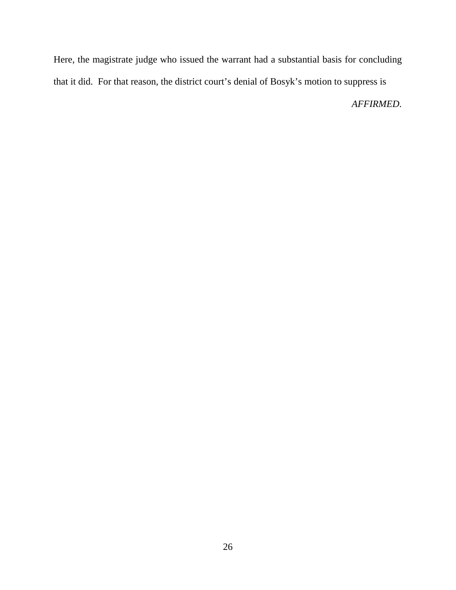Here, the magistrate judge who issued the warrant had a substantial basis for concluding that it did. For that reason, the district court's denial of Bosyk's motion to suppress is *AFFIRMED.*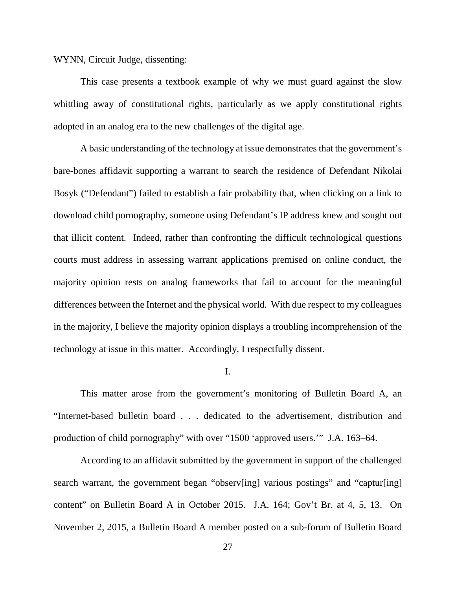WYNN, Circuit Judge, dissenting:

This case presents a textbook example of why we must guard against the slow whittling away of constitutional rights, particularly as we apply constitutional rights adopted in an analog era to the new challenges of the digital age.

A basic understanding of the technology at issue demonstrates that the government's bare-bones affidavit supporting a warrant to search the residence of Defendant Nikolai Bosyk ("Defendant") failed to establish a fair probability that, when clicking on a link to download child pornography, someone using Defendant's IP address knew and sought out that illicit content. Indeed, rather than confronting the difficult technological questions courts must address in assessing warrant applications premised on online conduct, the majority opinion rests on analog frameworks that fail to account for the meaningful differences between the Internet and the physical world. With due respect to my colleagues in the majority, I believe the majority opinion displays a troubling incomprehension of the technology at issue in this matter. Accordingly, I respectfully dissent.

I.

This matter arose from the government's monitoring of Bulletin Board A, an "Internet-based bulletin board . . . dedicated to the advertisement, distribution and production of child pornography" with over "1500 'approved users.'" J.A. 163–64.

According to an affidavit submitted by the government in support of the challenged search warrant, the government began "observ[ing] various postings" and "captur[ing] content" on Bulletin Board A in October 2015. J.A. 164; Gov't Br. at 4, 5, 13. On November 2, 2015, a Bulletin Board A member posted on a sub-forum of Bulletin Board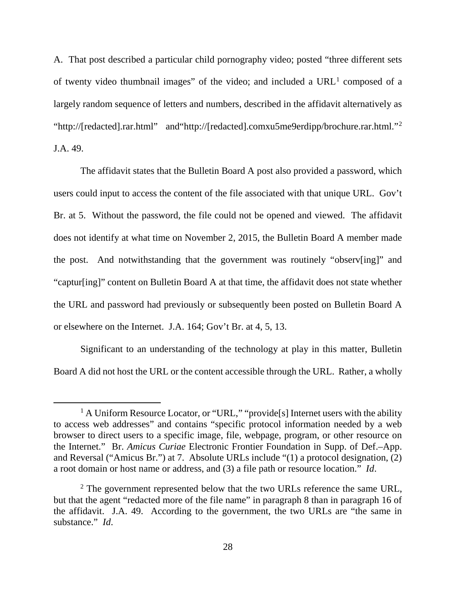A. That post described a particular child pornography video; posted "three different sets of twenty video thumbnail images" of the video; and included a  $URL<sup>1</sup>$  $URL<sup>1</sup>$  $URL<sup>1</sup>$  composed of a largely random sequence of letters and numbers, described in the affidavit alternatively as "http://[redacted].rar.html" and"http://[redacted].comxu5me9erdipp/brochure.rar.html."[2](#page-27-1) J.A. 49.

The affidavit states that the Bulletin Board A post also provided a password, which users could input to access the content of the file associated with that unique URL. Gov't Br. at 5. Without the password, the file could not be opened and viewed. The affidavit does not identify at what time on November 2, 2015, the Bulletin Board A member made the post. And notwithstanding that the government was routinely "observ[ing]" and "captur[ing]" content on Bulletin Board A at that time, the affidavit does not state whether the URL and password had previously or subsequently been posted on Bulletin Board A or elsewhere on the Internet. J.A. 164; Gov't Br. at 4, 5, 13.

Significant to an understanding of the technology at play in this matter, Bulletin Board A did not host the URL or the content accessible through the URL. Rather, a wholly

<span id="page-27-0"></span><sup>&</sup>lt;sup>1</sup> A Uniform Resource Locator, or "URL," "provide[s] Internet users with the ability to access web addresses" and contains "specific protocol information needed by a web browser to direct users to a specific image, file, webpage, program, or other resource on the Internet." Br. *Amicus Curiae* Electronic Frontier Foundation in Supp. of Def.–App. and Reversal ("Amicus Br.") at 7. Absolute URLs include "(1) a protocol designation, (2) a root domain or host name or address, and (3) a file path or resource location." *Id*.

<span id="page-27-1"></span> $2$  The government represented below that the two URLs reference the same URL, but that the agent "redacted more of the file name" in paragraph 8 than in paragraph 16 of the affidavit. J.A. 49. According to the government, the two URLs are "the same in substance." *Id*.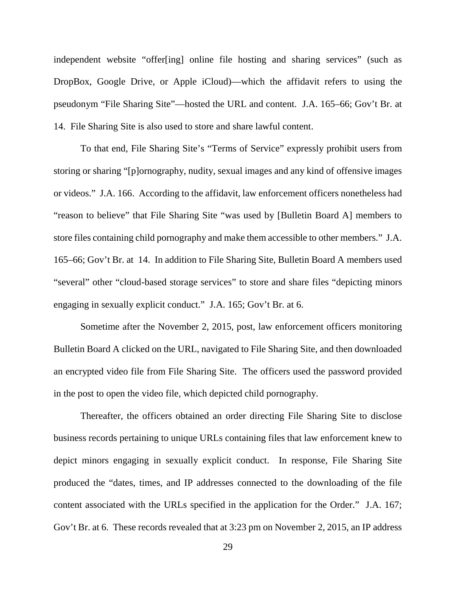independent website "offer[ing] online file hosting and sharing services" (such as DropBox, Google Drive, or Apple iCloud)—which the affidavit refers to using the pseudonym "File Sharing Site"—hosted the URL and content. J.A. 165–66; Gov't Br. at 14. File Sharing Site is also used to store and share lawful content.

To that end, File Sharing Site's "Terms of Service" expressly prohibit users from storing or sharing "[p]ornography, nudity, sexual images and any kind of offensive images or videos." J.A. 166. According to the affidavit, law enforcement officers nonetheless had "reason to believe" that File Sharing Site "was used by [Bulletin Board A] members to store files containing child pornography and make them accessible to other members." J.A. 165–66; Gov't Br. at 14. In addition to File Sharing Site, Bulletin Board A members used "several" other "cloud-based storage services" to store and share files "depicting minors engaging in sexually explicit conduct." J.A. 165; Gov't Br. at 6.

Sometime after the November 2, 2015, post, law enforcement officers monitoring Bulletin Board A clicked on the URL, navigated to File Sharing Site, and then downloaded an encrypted video file from File Sharing Site. The officers used the password provided in the post to open the video file, which depicted child pornography.

Thereafter, the officers obtained an order directing File Sharing Site to disclose business records pertaining to unique URLs containing files that law enforcement knew to depict minors engaging in sexually explicit conduct. In response, File Sharing Site produced the "dates, times, and IP addresses connected to the downloading of the file content associated with the URLs specified in the application for the Order." J.A. 167; Gov't Br. at 6. These records revealed that at 3:23 pm on November 2, 2015, an IP address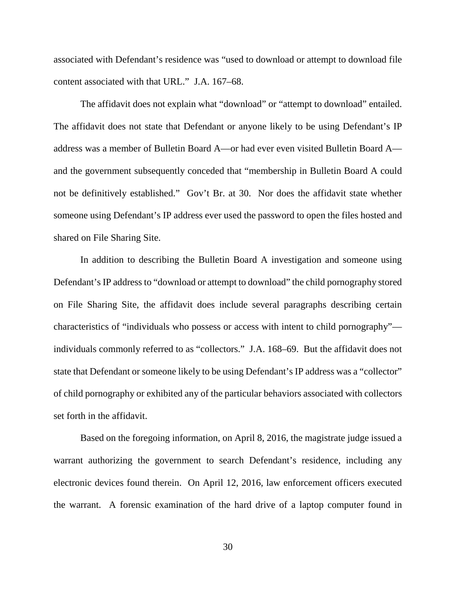associated with Defendant's residence was "used to download or attempt to download file content associated with that URL." J.A. 167–68.

The affidavit does not explain what "download" or "attempt to download" entailed. The affidavit does not state that Defendant or anyone likely to be using Defendant's IP address was a member of Bulletin Board A—or had ever even visited Bulletin Board A and the government subsequently conceded that "membership in Bulletin Board A could not be definitively established." Gov't Br. at 30. Nor does the affidavit state whether someone using Defendant's IP address ever used the password to open the files hosted and shared on File Sharing Site.

In addition to describing the Bulletin Board A investigation and someone using Defendant's IP address to "download or attempt to download" the child pornography stored on File Sharing Site, the affidavit does include several paragraphs describing certain characteristics of "individuals who possess or access with intent to child pornography" individuals commonly referred to as "collectors." J.A. 168–69. But the affidavit does not state that Defendant or someone likely to be using Defendant's IP address was a "collector" of child pornography or exhibited any of the particular behaviors associated with collectors set forth in the affidavit.

Based on the foregoing information, on April 8, 2016, the magistrate judge issued a warrant authorizing the government to search Defendant's residence, including any electronic devices found therein. On April 12, 2016, law enforcement officers executed the warrant. A forensic examination of the hard drive of a laptop computer found in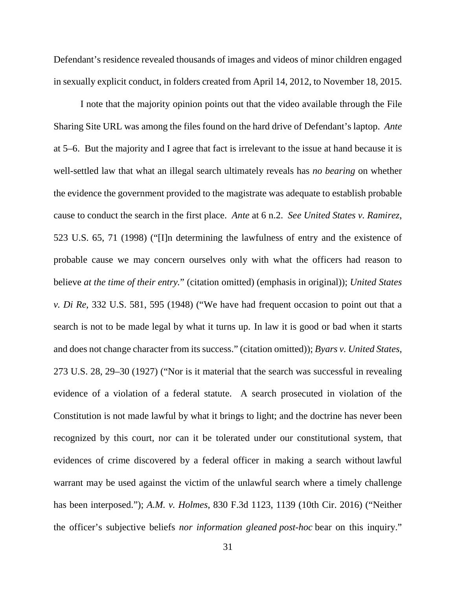Defendant's residence revealed thousands of images and videos of minor children engaged in sexually explicit conduct, in folders created from April 14, 2012, to November 18, 2015.

I note that the majority opinion points out that the video available through the File Sharing Site URL was among the files found on the hard drive of Defendant's laptop. *Ante*  at 5–6. But the majority and I agree that fact is irrelevant to the issue at hand because it is well-settled law that what an illegal search ultimately reveals has *no bearing* on whether the evidence the government provided to the magistrate was adequate to establish probable cause to conduct the search in the first place. *Ante* at 6 n.2. *See United States v. Ramirez*, 523 U.S. 65, 71 (1998) ("[I]n determining the lawfulness of entry and the existence of probable cause we may concern ourselves only with what the officers had reason to believe *at the time of their entry.*" (citation omitted) (emphasis in original)); *United States v. Di Re*, 332 U.S. 581, 595 (1948) ("We have had frequent occasion to point out that a search is not to be made legal by what it turns up. In law it is good or bad when it starts and does not change character from its success." (citation omitted)); *Byars v. United States*, 273 U.S. 28, 29–30 (1927) ("Nor is it material that the search was successful in revealing evidence of a violation of a federal statute. A search prosecuted in violation of the Constitution is not made lawful by what it brings to light; and the doctrine has never been recognized by this court, nor can it be tolerated under our constitutional system, that evidences of crime discovered by a federal officer in making a search without lawful warrant may be used against the victim of the unlawful search where a timely challenge has been interposed."); *A.M. v. Holmes*, 830 F.3d 1123, 1139 (10th Cir. 2016) ("Neither the officer's subjective beliefs *nor information gleaned post-hoc* bear on this inquiry."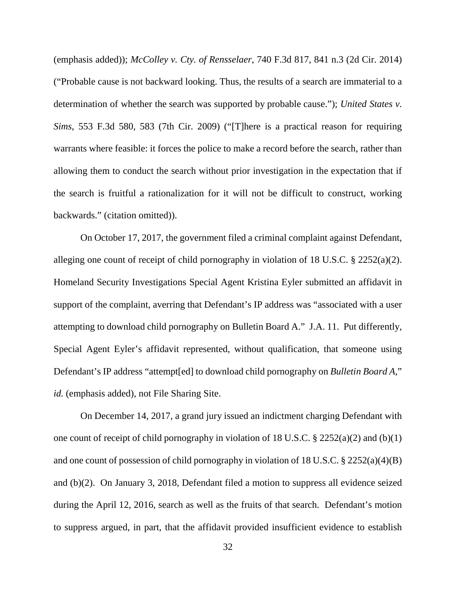(emphasis added)); *McColley v. Cty. of Rensselaer*, 740 F.3d 817, 841 n.3 (2d Cir. 2014) ("Probable cause is not backward looking. Thus, the results of a search are immaterial to a determination of whether the search was supported by probable cause."); *United States v. Sims*, 553 F.3d 580, 583 (7th Cir. 2009) ("[T]here is a practical reason for requiring warrants where feasible: it forces the police to make a record before the search, rather than allowing them to conduct the search without prior investigation in the expectation that if the search is fruitful a rationalization for it will not be difficult to construct, working backwards." (citation omitted)).

On October 17, 2017, the government filed a criminal complaint against Defendant, alleging one count of receipt of child pornography in violation of 18 U.S.C. § 2252(a)(2). Homeland Security Investigations Special Agent Kristina Eyler submitted an affidavit in support of the complaint, averring that Defendant's IP address was "associated with a user attempting to download child pornography on Bulletin Board A." J.A. 11. Put differently, Special Agent Eyler's affidavit represented, without qualification, that someone using Defendant's IP address "attempt[ed] to download child pornography on *Bulletin Board A*," *id.* (emphasis added), not File Sharing Site.

On December 14, 2017, a grand jury issued an indictment charging Defendant with one count of receipt of child pornography in violation of 18 U.S.C. § 2252(a)(2) and (b)(1) and one count of possession of child pornography in violation of 18 U.S.C. § 2252(a)(4)(B) and (b)(2). On January 3, 2018, Defendant filed a motion to suppress all evidence seized during the April 12, 2016, search as well as the fruits of that search. Defendant's motion to suppress argued, in part, that the affidavit provided insufficient evidence to establish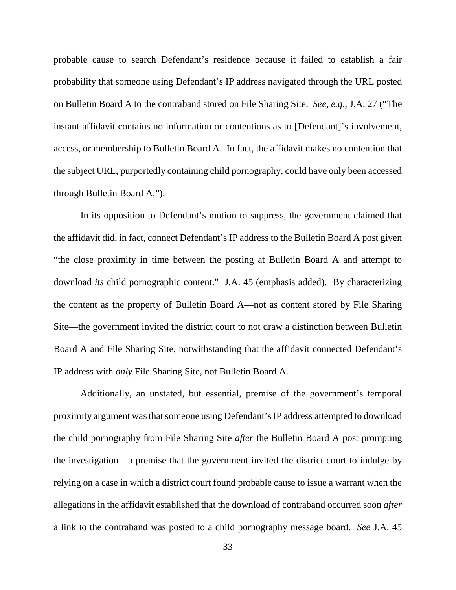probable cause to search Defendant's residence because it failed to establish a fair probability that someone using Defendant's IP address navigated through the URL posted on Bulletin Board A to the contraband stored on File Sharing Site. *See, e.g.*, J.A. 27 ("The instant affidavit contains no information or contentions as to [Defendant]'s involvement, access, or membership to Bulletin Board A. In fact, the affidavit makes no contention that the subject URL, purportedly containing child pornography, could have only been accessed through Bulletin Board A.").

In its opposition to Defendant's motion to suppress, the government claimed that the affidavit did, in fact, connect Defendant's IP address to the Bulletin Board A post given "the close proximity in time between the posting at Bulletin Board A and attempt to download *its* child pornographic content." J.A. 45 (emphasis added). By characterizing the content as the property of Bulletin Board A—not as content stored by File Sharing Site—the government invited the district court to not draw a distinction between Bulletin Board A and File Sharing Site, notwithstanding that the affidavit connected Defendant's IP address with *only* File Sharing Site, not Bulletin Board A.

Additionally, an unstated, but essential, premise of the government's temporal proximity argument was that someone using Defendant's IP address attempted to download the child pornography from File Sharing Site *after* the Bulletin Board A post prompting the investigation—a premise that the government invited the district court to indulge by relying on a case in which a district court found probable cause to issue a warrant when the allegations in the affidavit established that the download of contraband occurred soon *after* a link to the contraband was posted to a child pornography message board. *See* J.A. 45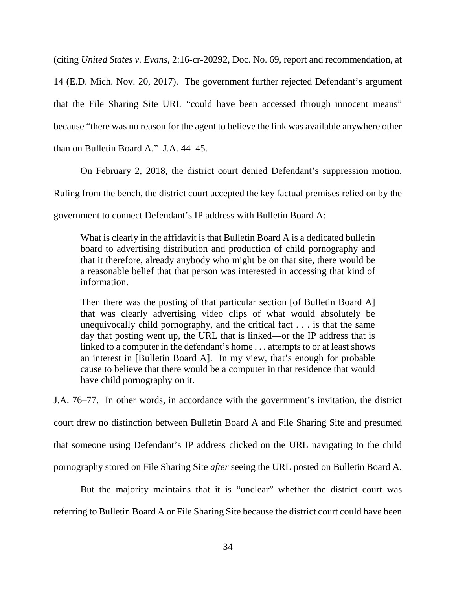(citing *United States v. Evans*, 2:16-cr-20292, Doc. No. 69, report and recommendation, at 14 (E.D. Mich. Nov. 20, 2017). The government further rejected Defendant's argument that the File Sharing Site URL "could have been accessed through innocent means" because "there was no reason for the agent to believe the link was available anywhere other

than on Bulletin Board A." J.A. 44–45.

On February 2, 2018, the district court denied Defendant's suppression motion.

Ruling from the bench, the district court accepted the key factual premises relied on by the

government to connect Defendant's IP address with Bulletin Board A:

What is clearly in the affidavit is that Bulletin Board A is a dedicated bulletin board to advertising distribution and production of child pornography and that it therefore, already anybody who might be on that site, there would be a reasonable belief that that person was interested in accessing that kind of information.

Then there was the posting of that particular section [of Bulletin Board A] that was clearly advertising video clips of what would absolutely be unequivocally child pornography, and the critical fact . . . is that the same day that posting went up, the URL that is linked—or the IP address that is linked to a computer in the defendant's home . . . attempts to or at least shows an interest in [Bulletin Board A]. In my view, that's enough for probable cause to believe that there would be a computer in that residence that would have child pornography on it.

J.A. 76–77. In other words, in accordance with the government's invitation, the district court drew no distinction between Bulletin Board A and File Sharing Site and presumed that someone using Defendant's IP address clicked on the URL navigating to the child pornography stored on File Sharing Site *after* seeing the URL posted on Bulletin Board A.

But the majority maintains that it is "unclear" whether the district court was referring to Bulletin Board A or File Sharing Site because the district court could have been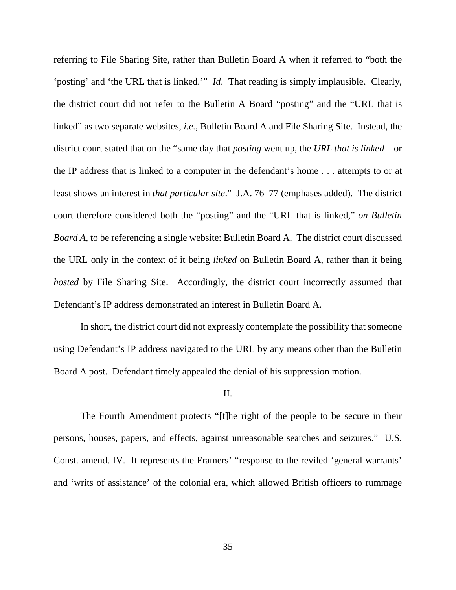referring to File Sharing Site, rather than Bulletin Board A when it referred to "both the 'posting' and 'the URL that is linked.'" *Id*. That reading is simply implausible. Clearly, the district court did not refer to the Bulletin A Board "posting" and the "URL that is linked" as two separate websites, *i.e.*, Bulletin Board A and File Sharing Site. Instead, the district court stated that on the "same day that *posting* went up, the *URL that is linked*—or the IP address that is linked to a computer in the defendant's home . . . attempts to or at least shows an interest in *that particular site*." J.A. 76–77 (emphases added). The district court therefore considered both the "posting" and the "URL that is linked," *on Bulletin Board A*, to be referencing a single website: Bulletin Board A. The district court discussed the URL only in the context of it being *linked* on Bulletin Board A, rather than it being *hosted* by File Sharing Site. Accordingly, the district court incorrectly assumed that Defendant's IP address demonstrated an interest in Bulletin Board A.

In short, the district court did not expressly contemplate the possibility that someone using Defendant's IP address navigated to the URL by any means other than the Bulletin Board A post. Defendant timely appealed the denial of his suppression motion.

#### II.

The Fourth Amendment protects "[t]he right of the people to be secure in their persons, houses, papers, and effects, against unreasonable searches and seizures." U.S. Const. amend. IV. It represents the Framers' "response to the reviled 'general warrants' and 'writs of assistance' of the colonial era, which allowed British officers to rummage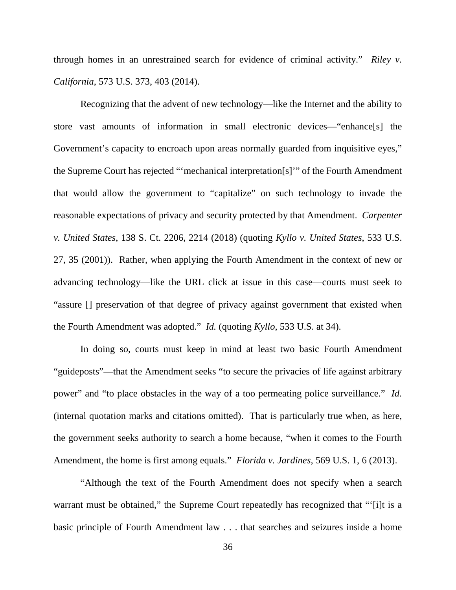through homes in an unrestrained search for evidence of criminal activity." *Riley v. California*, 573 U.S. 373, 403 (2014).

Recognizing that the advent of new technology—like the Internet and the ability to store vast amounts of information in small electronic devices—"enhance[s] the Government's capacity to encroach upon areas normally guarded from inquisitive eyes," the Supreme Court has rejected "'mechanical interpretation[s]'" of the Fourth Amendment that would allow the government to "capitalize" on such technology to invade the reasonable expectations of privacy and security protected by that Amendment. *Carpenter v. United States*, 138 S. Ct. 2206, 2214 (2018) (quoting *Kyllo v. United States*, 533 U.S. 27, 35 (2001)). Rather, when applying the Fourth Amendment in the context of new or advancing technology—like the URL click at issue in this case—courts must seek to "assure [] preservation of that degree of privacy against government that existed when the Fourth Amendment was adopted." *Id.* (quoting *Kyllo*, 533 U.S. at 34).

In doing so, courts must keep in mind at least two basic Fourth Amendment "guideposts"—that the Amendment seeks "to secure the privacies of life against arbitrary power" and "to place obstacles in the way of a too permeating police surveillance." *Id.* (internal quotation marks and citations omitted). That is particularly true when, as here, the government seeks authority to search a home because, "when it comes to the Fourth Amendment, the home is first among equals." *Florida v. Jardines*, 569 U.S. 1, 6 (2013).

"Although the text of the Fourth Amendment does not specify when a search warrant must be obtained," the Supreme Court repeatedly has recognized that "'[i]t is a basic principle of Fourth Amendment law . . . that searches and seizures inside a home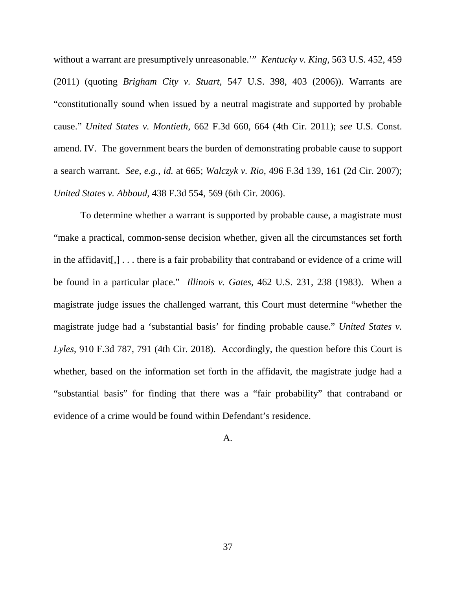without a warrant are presumptively unreasonable.'" *Kentucky v. King*, 563 U.S. 452, 459 (2011) (quoting *Brigham City v. Stuart*, 547 U.S. 398, 403 (2006)). Warrants are "constitutionally sound when issued by a neutral magistrate and supported by probable cause." *United States v. Montieth*, 662 F.3d 660, 664 (4th Cir. 2011); *see* U.S. Const. amend. IV. The government bears the burden of demonstrating probable cause to support a search warrant. *See, e.g.*, *id.* at 665; *Walczyk v. Rio*, 496 F.3d 139, 161 (2d Cir. 2007); *United States v. Abboud*, 438 F.3d 554, 569 (6th Cir. 2006).

To determine whether a warrant is supported by probable cause, a magistrate must "make a practical, common-sense decision whether, given all the circumstances set forth in the affidavit[,] . . . there is a fair probability that contraband or evidence of a crime will be found in a particular place." *Illinois v. Gates*, 462 U.S. 231, 238 (1983). When a magistrate judge issues the challenged warrant, this Court must determine "whether the magistrate judge had a 'substantial basis' for finding probable cause." *United States v. Lyles*, 910 F.3d 787, 791 (4th Cir. 2018). Accordingly, the question before this Court is whether, based on the information set forth in the affidavit, the magistrate judge had a "substantial basis" for finding that there was a "fair probability" that contraband or evidence of a crime would be found within Defendant's residence.

A.

37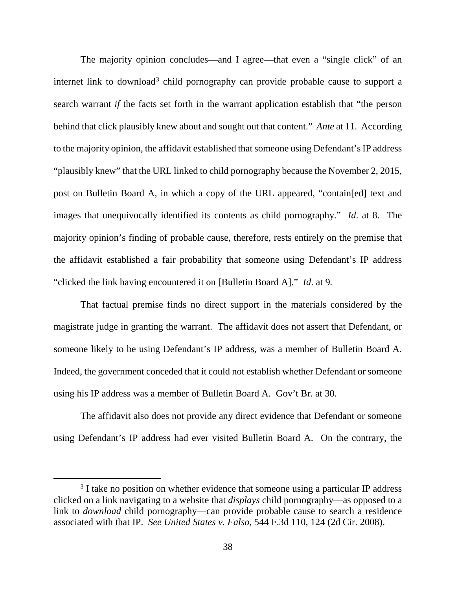The majority opinion concludes—and I agree—that even a "single click" of an internet link to download<sup>[3](#page-37-0)</sup> child pornography can provide probable cause to support a search warrant *if* the facts set forth in the warrant application establish that "the person behind that click plausibly knew about and sought out that content." *Ante* at 11. According to the majority opinion, the affidavit established that someone using Defendant's IP address "plausibly knew" that the URL linked to child pornography because the November 2, 2015, post on Bulletin Board A, in which a copy of the URL appeared, "contain[ed] text and images that unequivocally identified its contents as child pornography." *Id*. at 8. The majority opinion's finding of probable cause, therefore, rests entirely on the premise that the affidavit established a fair probability that someone using Defendant's IP address "clicked the link having encountered it on [Bulletin Board A]." *Id*. at 9*.*

That factual premise finds no direct support in the materials considered by the magistrate judge in granting the warrant. The affidavit does not assert that Defendant, or someone likely to be using Defendant's IP address, was a member of Bulletin Board A. Indeed, the government conceded that it could not establish whether Defendant or someone using his IP address was a member of Bulletin Board A. Gov't Br. at 30.

The affidavit also does not provide any direct evidence that Defendant or someone using Defendant's IP address had ever visited Bulletin Board A. On the contrary, the

<span id="page-37-0"></span><sup>&</sup>lt;sup>3</sup> I take no position on whether evidence that someone using a particular IP address clicked on a link navigating to a website that *displays* child pornography—as opposed to a link to *download* child pornography—can provide probable cause to search a residence associated with that IP. *See United States v. Falso*, 544 F.3d 110, 124 (2d Cir. 2008).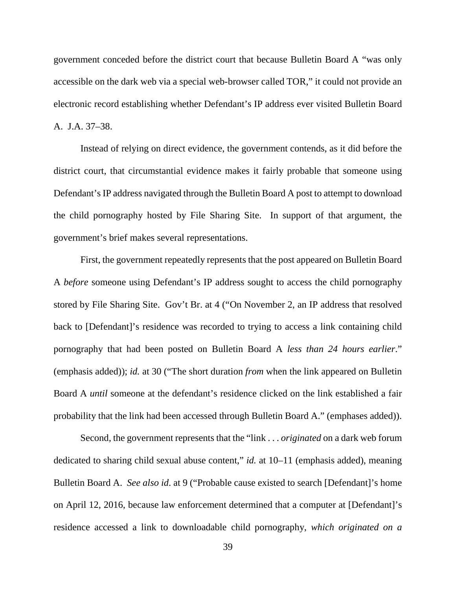government conceded before the district court that because Bulletin Board A "was only accessible on the dark web via a special web-browser called TOR," it could not provide an electronic record establishing whether Defendant's IP address ever visited Bulletin Board A. J.A. 37–38.

Instead of relying on direct evidence, the government contends, as it did before the district court, that circumstantial evidence makes it fairly probable that someone using Defendant's IP address navigated through the Bulletin Board A post to attempt to download the child pornography hosted by File Sharing Site. In support of that argument, the government's brief makes several representations.

First, the government repeatedly represents that the post appeared on Bulletin Board A *before* someone using Defendant's IP address sought to access the child pornography stored by File Sharing Site. Gov't Br. at 4 ("On November 2, an IP address that resolved back to [Defendant]'s residence was recorded to trying to access a link containing child pornography that had been posted on Bulletin Board A *less than 24 hours earlier*." (emphasis added)); *id.* at 30 ("The short duration *from* when the link appeared on Bulletin Board A *until* someone at the defendant's residence clicked on the link established a fair probability that the link had been accessed through Bulletin Board A." (emphases added)).

Second, the government represents that the "link . . . *originated* on a dark web forum dedicated to sharing child sexual abuse content," *id.* at 10–11 (emphasis added), meaning Bulletin Board A. *See also id*. at 9 ("Probable cause existed to search [Defendant]'s home on April 12, 2016, because law enforcement determined that a computer at [Defendant]'s residence accessed a link to downloadable child pornography, *which originated on a*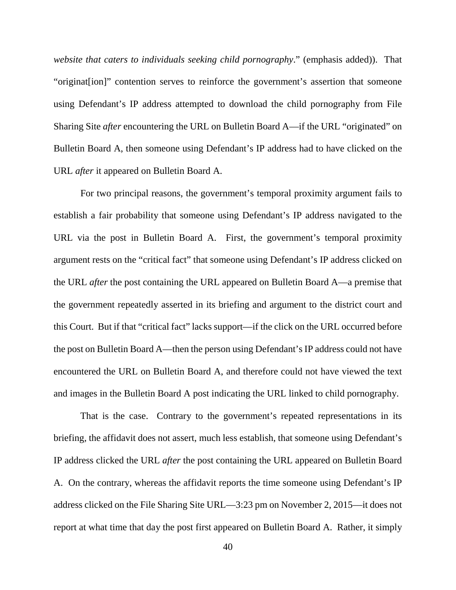*website that caters to individuals seeking child pornography*." (emphasis added)). That "originat[ion]" contention serves to reinforce the government's assertion that someone using Defendant's IP address attempted to download the child pornography from File Sharing Site *after* encountering the URL on Bulletin Board A—if the URL "originated" on Bulletin Board A, then someone using Defendant's IP address had to have clicked on the URL *after* it appeared on Bulletin Board A.

For two principal reasons, the government's temporal proximity argument fails to establish a fair probability that someone using Defendant's IP address navigated to the URL via the post in Bulletin Board A. First, the government's temporal proximity argument rests on the "critical fact" that someone using Defendant's IP address clicked on the URL *after* the post containing the URL appeared on Bulletin Board A—a premise that the government repeatedly asserted in its briefing and argument to the district court and this Court. But if that "critical fact" lacks support—if the click on the URL occurred before the post on Bulletin Board A—then the person using Defendant's IP address could not have encountered the URL on Bulletin Board A, and therefore could not have viewed the text and images in the Bulletin Board A post indicating the URL linked to child pornography.

That is the case. Contrary to the government's repeated representations in its briefing, the affidavit does not assert, much less establish, that someone using Defendant's IP address clicked the URL *after* the post containing the URL appeared on Bulletin Board A. On the contrary, whereas the affidavit reports the time someone using Defendant's IP address clicked on the File Sharing Site URL—3:23 pm on November 2, 2015—it does not report at what time that day the post first appeared on Bulletin Board A. Rather, it simply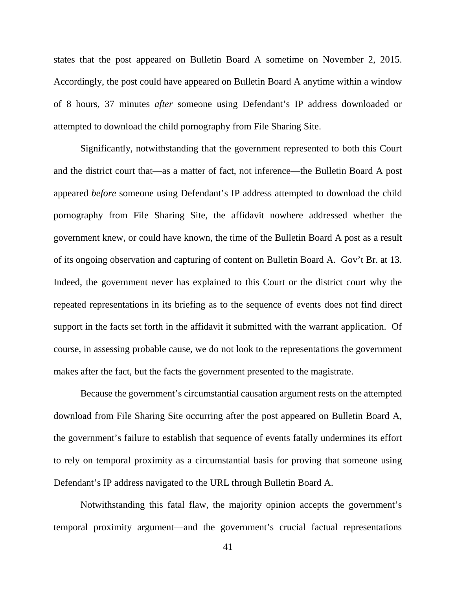states that the post appeared on Bulletin Board A sometime on November 2, 2015. Accordingly, the post could have appeared on Bulletin Board A anytime within a window of 8 hours, 37 minutes *after* someone using Defendant's IP address downloaded or attempted to download the child pornography from File Sharing Site.

Significantly, notwithstanding that the government represented to both this Court and the district court that—as a matter of fact, not inference—the Bulletin Board A post appeared *before* someone using Defendant's IP address attempted to download the child pornography from File Sharing Site, the affidavit nowhere addressed whether the government knew, or could have known, the time of the Bulletin Board A post as a result of its ongoing observation and capturing of content on Bulletin Board A. Gov't Br. at 13. Indeed, the government never has explained to this Court or the district court why the repeated representations in its briefing as to the sequence of events does not find direct support in the facts set forth in the affidavit it submitted with the warrant application. Of course, in assessing probable cause, we do not look to the representations the government makes after the fact, but the facts the government presented to the magistrate.

Because the government's circumstantial causation argument rests on the attempted download from File Sharing Site occurring after the post appeared on Bulletin Board A, the government's failure to establish that sequence of events fatally undermines its effort to rely on temporal proximity as a circumstantial basis for proving that someone using Defendant's IP address navigated to the URL through Bulletin Board A.

Notwithstanding this fatal flaw, the majority opinion accepts the government's temporal proximity argument—and the government's crucial factual representations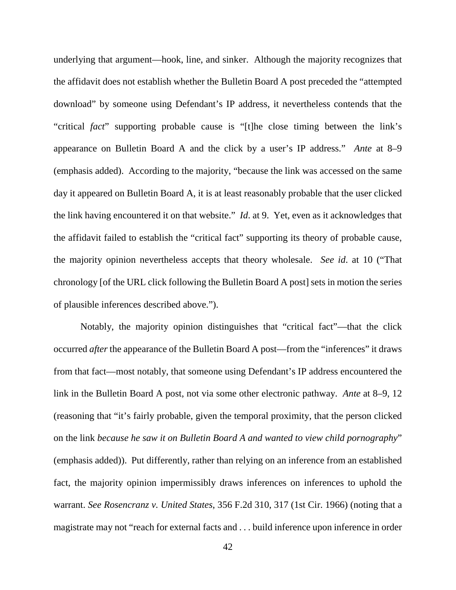underlying that argument—hook, line, and sinker. Although the majority recognizes that the affidavit does not establish whether the Bulletin Board A post preceded the "attempted download" by someone using Defendant's IP address, it nevertheless contends that the "critical *fact*" supporting probable cause is "[t]he close timing between the link's appearance on Bulletin Board A and the click by a user's IP address." *Ante* at 8–9 (emphasis added). According to the majority, "because the link was accessed on the same day it appeared on Bulletin Board A, it is at least reasonably probable that the user clicked the link having encountered it on that website." *Id*. at 9. Yet, even as it acknowledges that the affidavit failed to establish the "critical fact" supporting its theory of probable cause, the majority opinion nevertheless accepts that theory wholesale. *See id*. at 10 ("That chronology [of the URL click following the Bulletin Board A post] sets in motion the series of plausible inferences described above.").

Notably, the majority opinion distinguishes that "critical fact"—that the click occurred *after* the appearance of the Bulletin Board A post—from the "inferences" it draws from that fact—most notably, that someone using Defendant's IP address encountered the link in the Bulletin Board A post, not via some other electronic pathway. *Ante* at 8–9, 12 (reasoning that "it's fairly probable, given the temporal proximity, that the person clicked on the link *because he saw it on Bulletin Board A and wanted to view child pornography*" (emphasis added)). Put differently, rather than relying on an inference from an established fact, the majority opinion impermissibly draws inferences on inferences to uphold the warrant. *See Rosencranz v. United States*, 356 F.2d 310, 317 (1st Cir. 1966) (noting that a magistrate may not "reach for external facts and . . . build inference upon inference in order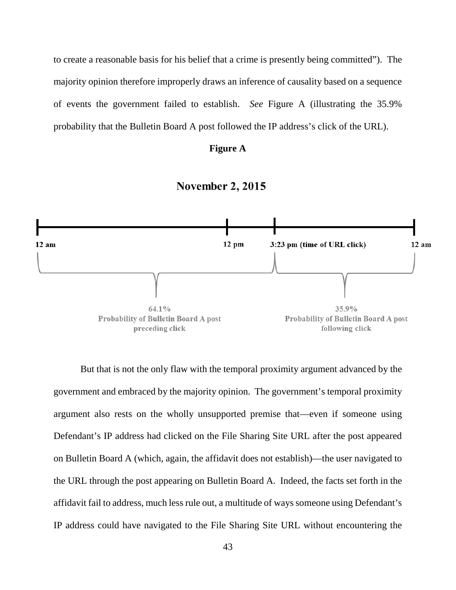to create a reasonable basis for his belief that a crime is presently being committed").The majority opinion therefore improperly draws an inference of causality based on a sequence of events the government failed to establish. *See* Figure A (illustrating the 35.9% probability that the Bulletin Board A post followed the IP address's click of the URL).

## **Figure A**



**November 2, 2015** 

But that is not the only flaw with the temporal proximity argument advanced by the government and embraced by the majority opinion. The government's temporal proximity argument also rests on the wholly unsupported premise that—even if someone using Defendant's IP address had clicked on the File Sharing Site URL after the post appeared on Bulletin Board A (which, again, the affidavit does not establish)—the user navigated to the URL through the post appearing on Bulletin Board A. Indeed, the facts set forth in the affidavit fail to address, much less rule out, a multitude of ways someone using Defendant's IP address could have navigated to the File Sharing Site URL without encountering the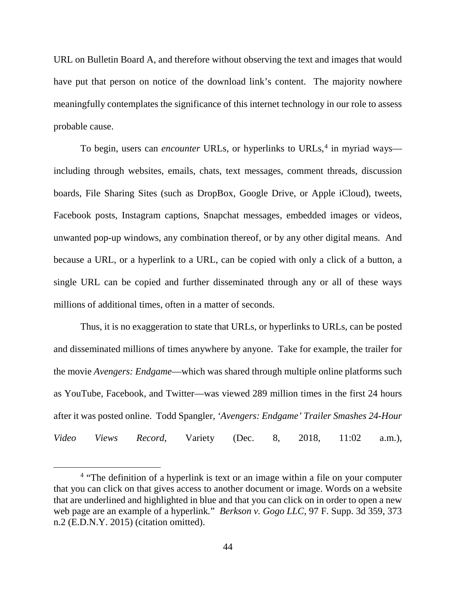URL on Bulletin Board A, and therefore without observing the text and images that would have put that person on notice of the download link's content. The majority nowhere meaningfully contemplates the significance of this internet technology in our role to assess probable cause.

To begin, users can *encounter* URLs, or hyperlinks to URLs,<sup>[4](#page-43-0)</sup> in myriad ways including through websites, emails, chats, text messages, comment threads, discussion boards, File Sharing Sites (such as DropBox, Google Drive, or Apple iCloud), tweets, Facebook posts, Instagram captions, Snapchat messages, embedded images or videos, unwanted pop-up windows, any combination thereof, or by any other digital means. And because a URL, or a hyperlink to a URL, can be copied with only a click of a button, a single URL can be copied and further disseminated through any or all of these ways millions of additional times, often in a matter of seconds.

Thus, it is no exaggeration to state that URLs, or hyperlinks to URLs, can be posted and disseminated millions of times anywhere by anyone. Take for example, the trailer for the movie *Avengers: Endgame*—which was shared through multiple online platforms such as YouTube, Facebook, and Twitter—was viewed 289 million times in the first 24 hours after it was posted online. Todd Spangler, *'Avengers: Endgame' Trailer Smashes 24-Hour Video Views Record*, Variety (Dec. 8, 2018, 11:02 a.m.),

<span id="page-43-0"></span><sup>&</sup>lt;sup>4</sup> "The definition of a hyperlink is text or an image within a file on your computer that you can click on that gives access to another document or image. Words on a website that are underlined and highlighted in blue and that you can click on in order to open a new web page are an example of a hyperlink*.*" *Berkson v. Gogo LLC*, 97 F. Supp. 3d 359, 373 n.2 (E.D.N.Y. 2015) (citation omitted).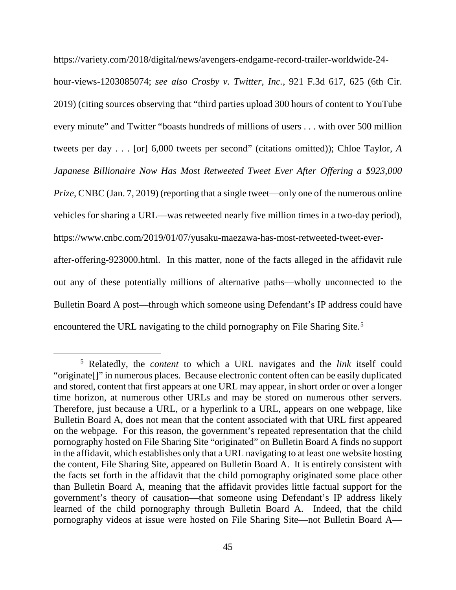https://variety.com/2018/digital/news/avengers-endgame-record-trailer-worldwide-24-

hour-views-1203085074; *see also Crosby v. Twitter, Inc.*, 921 F.3d 617, 625 (6th Cir. 2019) (citing sources observing that "third parties upload 300 hours of content to YouTube every minute" and Twitter "boasts hundreds of millions of users . . . with over 500 million tweets per day . . . [or] 6,000 tweets per second" (citations omitted)); Chloe Taylor, *A Japanese Billionaire Now Has Most Retweeted Tweet Ever After Offering a \$923,000 Prize*, CNBC (Jan. 7, 2019) (reporting that a single tweet—only one of the numerous online vehicles for sharing a URL—was retweeted nearly five million times in a two-day period), https://www.cnbc.com/2019/01/07/yusaku-maezawa-has-most-retweeted-tweet-everafter-offering-923000.html. In this matter, none of the facts alleged in the affidavit rule out any of these potentially millions of alternative paths—wholly unconnected to the Bulletin Board A post—through which someone using Defendant's IP address could have encountered the URL navigating to the child pornography on File Sharing Site.<sup>[5](#page-44-0)</sup>

<span id="page-44-0"></span> <sup>5</sup> Relatedly, the *content* to which a URL navigates and the *link* itself could "originate[]" in numerous places. Because electronic content often can be easily duplicated and stored, content that first appears at one URL may appear, in short order or over a longer time horizon, at numerous other URLs and may be stored on numerous other servers. Therefore, just because a URL, or a hyperlink to a URL, appears on one webpage, like Bulletin Board A, does not mean that the content associated with that URL first appeared on the webpage. For this reason, the government's repeated representation that the child pornography hosted on File Sharing Site "originated" on Bulletin Board A finds no support in the affidavit, which establishes only that a URL navigating to at least one website hosting the content, File Sharing Site, appeared on Bulletin Board A. It is entirely consistent with the facts set forth in the affidavit that the child pornography originated some place other than Bulletin Board A, meaning that the affidavit provides little factual support for the government's theory of causation—that someone using Defendant's IP address likely learned of the child pornography through Bulletin Board A. Indeed, that the child pornography videos at issue were hosted on File Sharing Site—not Bulletin Board A—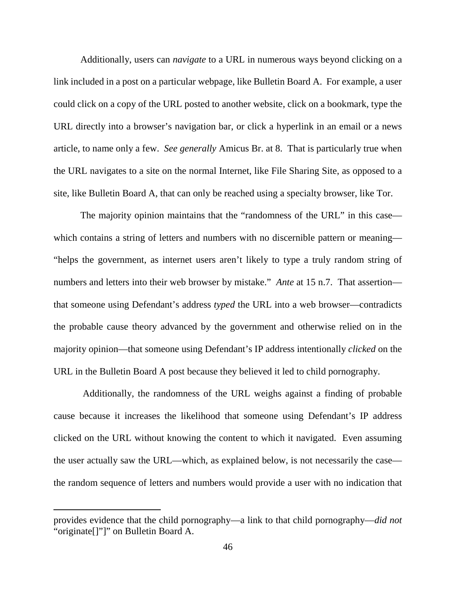Additionally, users can *navigate* to a URL in numerous ways beyond clicking on a link included in a post on a particular webpage, like Bulletin Board A. For example, a user could click on a copy of the URL posted to another website, click on a bookmark, type the URL directly into a browser's navigation bar, or click a hyperlink in an email or a news article, to name only a few. *See generally* Amicus Br. at 8. That is particularly true when the URL navigates to a site on the normal Internet, like File Sharing Site, as opposed to a site, like Bulletin Board A, that can only be reached using a specialty browser, like Tor.

The majority opinion maintains that the "randomness of the URL" in this case which contains a string of letters and numbers with no discernible pattern or meaning— "helps the government, as internet users aren't likely to type a truly random string of numbers and letters into their web browser by mistake." *Ante* at 15 n.7. That assertion that someone using Defendant's address *typed* the URL into a web browser—contradicts the probable cause theory advanced by the government and otherwise relied on in the majority opinion—that someone using Defendant's IP address intentionally *clicked* on the URL in the Bulletin Board A post because they believed it led to child pornography.

Additionally, the randomness of the URL weighs against a finding of probable cause because it increases the likelihood that someone using Defendant's IP address clicked on the URL without knowing the content to which it navigated. Even assuming the user actually saw the URL—which, as explained below, is not necessarily the case the random sequence of letters and numbers would provide a user with no indication that

 $\overline{a}$ 

provides evidence that the child pornography—a link to that child pornography—*did not*  "originate[]"]" on Bulletin Board A.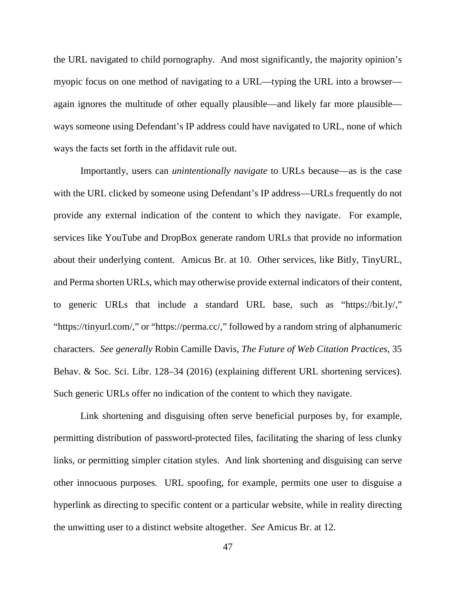the URL navigated to child pornography. And most significantly, the majority opinion's myopic focus on one method of navigating to a URL—typing the URL into a browser again ignores the multitude of other equally plausible—and likely far more plausible ways someone using Defendant's IP address could have navigated to URL, none of which ways the facts set forth in the affidavit rule out.

Importantly, users can *unintentionally navigate* to URLs because—as is the case with the URL clicked by someone using Defendant's IP address—URLs frequently do not provide any external indication of the content to which they navigate. For example, services like YouTube and DropBox generate random URLs that provide no information about their underlying content. Amicus Br. at 10. Other services, like Bitly, TinyURL, and Perma shorten URLs, which may otherwise provide external indicators of their content, to generic URLs that include a standard URL base, such as "https://bit.ly/," "https://tinyurl.com/," or "https://perma.cc/," followed by a random string of alphanumeric characters. *See generally* Robin Camille Davis, *The Future of Web Citation Practices*, 35 Behav. & Soc. Sci. Libr. 128–34 (2016) (explaining different URL shortening services). Such generic URLs offer no indication of the content to which they navigate.

Link shortening and disguising often serve beneficial purposes by, for example, permitting distribution of password-protected files, facilitating the sharing of less clunky links, or permitting simpler citation styles. And link shortening and disguising can serve other innocuous purposes. URL spoofing, for example, permits one user to disguise a hyperlink as directing to specific content or a particular website, while in reality directing the unwitting user to a distinct website altogether. *See* Amicus Br. at 12.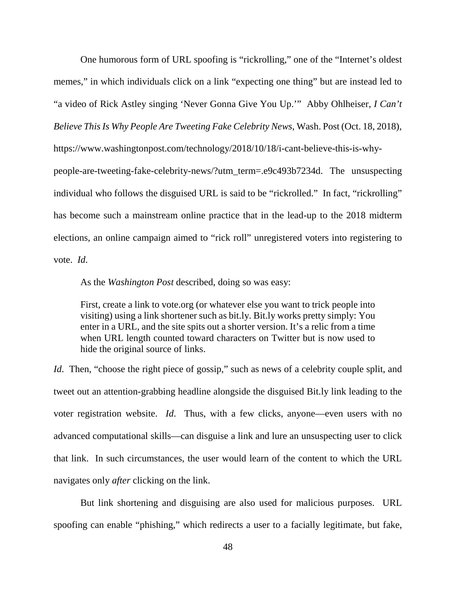One humorous form of URL spoofing is "rickrolling," one of the "Internet's oldest memes," in which individuals click on a link "expecting one thing" but are instead led to "a video of Rick Astley singing 'Never Gonna Give You Up.'" Abby Ohlheiser, *I Can't Believe This Is Why People Are Tweeting Fake Celebrity News*, Wash. Post (Oct. 18, 2018),

https://www.washingtonpost.com/technology/2018/10/18/i-cant-believe-this-is-why-

people-are-tweeting-fake-celebrity-news/?utm\_term=.e9c493b7234d. The unsuspecting individual who follows the disguised URL is said to be "rickrolled." In fact, "rickrolling" has become such a mainstream online practice that in the lead-up to the 2018 midterm elections, an online campaign aimed to "rick roll" unregistered voters into registering to vote. *Id*.

As the *Washington Post* described, doing so was easy:

First, create a link to vote.org (or whatever else you want to trick people into visiting) using a link shortener such as bit.ly. Bit.ly works pretty simply: You enter in a URL, and the site spits out a shorter version. It's a relic from a time when URL length counted toward characters on Twitter but is now used to hide the original source of links.

*Id.* Then, "choose the right piece of gossip," such as news of a celebrity couple split, and tweet out an attention-grabbing headline alongside the disguised Bit.ly link leading to the voter registration website. *Id*. Thus, with a few clicks, anyone—even users with no advanced computational skills—can disguise a link and lure an unsuspecting user to click that link. In such circumstances, the user would learn of the content to which the URL navigates only *after* clicking on the link.

But link shortening and disguising are also used for malicious purposes. URL spoofing can enable "phishing," which redirects a user to a facially legitimate, but fake,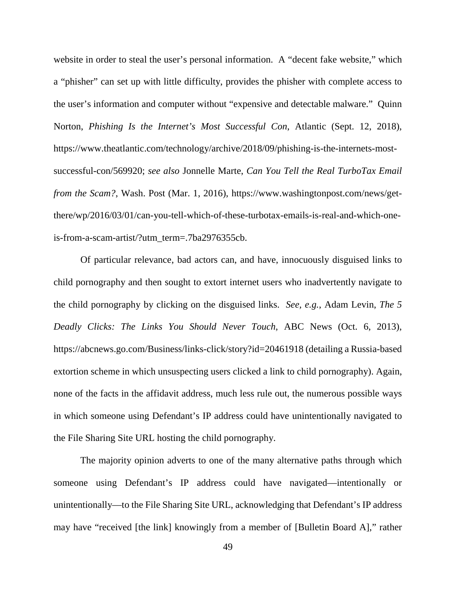website in order to steal the user's personal information. A "decent fake website," which a "phisher" can set up with little difficulty, provides the phisher with complete access to the user's information and computer without "expensive and detectable malware." Quinn Norton, *Phishing Is the Internet's Most Successful Con*, Atlantic (Sept. 12, 2018), https://www.theatlantic.com/technology/archive/2018/09/phishing-is-the-internets-mostsuccessful-con/569920; *see also* Jonnelle Marte, *Can You Tell the Real TurboTax Email from the Scam?*, Wash. Post (Mar. 1, 2016), https://www.washingtonpost.com/news/getthere/wp/2016/03/01/can-you-tell-which-of-these-turbotax-emails-is-real-and-which-oneis-from-a-scam-artist/?utm\_term=.7ba2976355cb.

Of particular relevance, bad actors can, and have, innocuously disguised links to child pornography and then sought to extort internet users who inadvertently navigate to the child pornography by clicking on the disguised links. *See, e.g.*, Adam Levin, *The 5 Deadly Clicks: The Links You Should Never Touch*, ABC News (Oct. 6, 2013), https://abcnews.go.com/Business/links-click/story?id=20461918 (detailing a Russia-based extortion scheme in which unsuspecting users clicked a link to child pornography). Again, none of the facts in the affidavit address, much less rule out, the numerous possible ways in which someone using Defendant's IP address could have unintentionally navigated to the File Sharing Site URL hosting the child pornography.

The majority opinion adverts to one of the many alternative paths through which someone using Defendant's IP address could have navigated—intentionally or unintentionally—to the File Sharing Site URL, acknowledging that Defendant's IP address may have "received [the link] knowingly from a member of [Bulletin Board A]," rather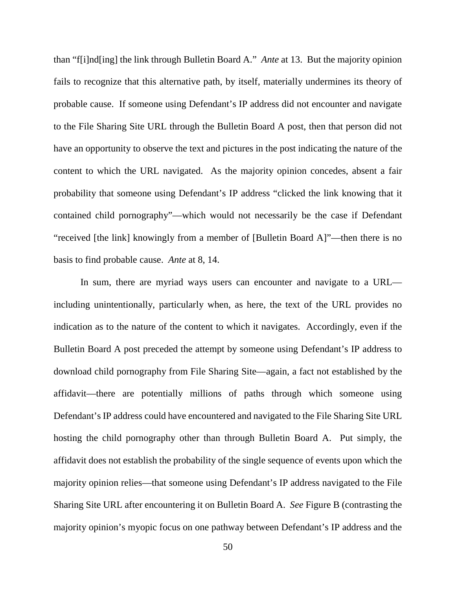than "f[i]nd[ing] the link through Bulletin Board A." *Ante* at 13. But the majority opinion fails to recognize that this alternative path, by itself, materially undermines its theory of probable cause. If someone using Defendant's IP address did not encounter and navigate to the File Sharing Site URL through the Bulletin Board A post, then that person did not have an opportunity to observe the text and pictures in the post indicating the nature of the content to which the URL navigated. As the majority opinion concedes, absent a fair probability that someone using Defendant's IP address "clicked the link knowing that it contained child pornography"—which would not necessarily be the case if Defendant "received [the link] knowingly from a member of [Bulletin Board A]"—then there is no basis to find probable cause. *Ante* at 8, 14.

In sum, there are myriad ways users can encounter and navigate to a URL including unintentionally, particularly when, as here, the text of the URL provides no indication as to the nature of the content to which it navigates. Accordingly, even if the Bulletin Board A post preceded the attempt by someone using Defendant's IP address to download child pornography from File Sharing Site—again, a fact not established by the affidavit—there are potentially millions of paths through which someone using Defendant's IP address could have encountered and navigated to the File Sharing Site URL hosting the child pornography other than through Bulletin Board A. Put simply, the affidavit does not establish the probability of the single sequence of events upon which the majority opinion relies—that someone using Defendant's IP address navigated to the File Sharing Site URL after encountering it on Bulletin Board A. *See* Figure B (contrasting the majority opinion's myopic focus on one pathway between Defendant's IP address and the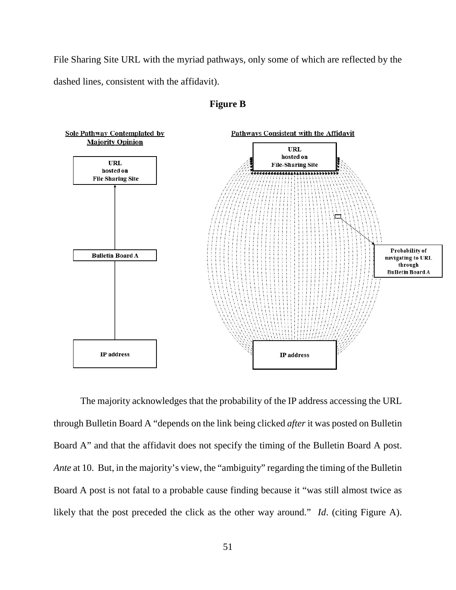File Sharing Site URL with the myriad pathways, only some of which are reflected by the dashed lines, consistent with the affidavit).



**Figure B**

The majority acknowledges that the probability of the IP address accessing the URL through Bulletin Board A "depends on the link being clicked *after* it was posted on Bulletin Board A" and that the affidavit does not specify the timing of the Bulletin Board A post. *Ante* at 10. But, in the majority's view, the "ambiguity" regarding the timing of the Bulletin Board A post is not fatal to a probable cause finding because it "was still almost twice as likely that the post preceded the click as the other way around." *Id*. (citing Figure A).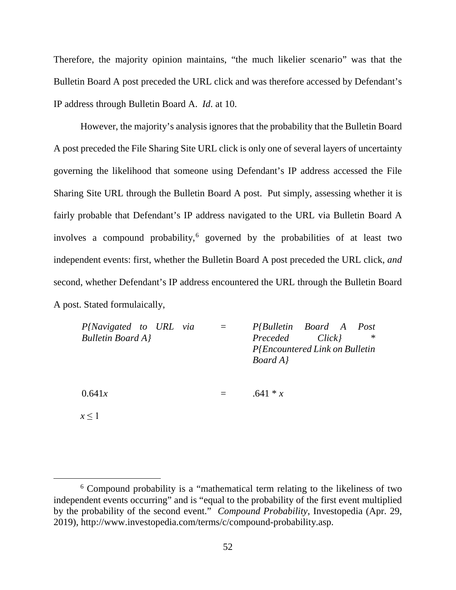Therefore, the majority opinion maintains, "the much likelier scenario" was that the Bulletin Board A post preceded the URL click and was therefore accessed by Defendant's IP address through Bulletin Board A. *Id*. at 10.

However, the majority's analysis ignores that the probability that the Bulletin Board A post preceded the File Sharing Site URL click is only one of several layers of uncertainty governing the likelihood that someone using Defendant's IP address accessed the File Sharing Site URL through the Bulletin Board A post. Put simply, assessing whether it is fairly probable that Defendant's IP address navigated to the URL via Bulletin Board A involves a compound probability,  $6 \text{ governed by the probabilities of at least two}$  $6 \text{ governed by the probabilities of at least two}$ independent events: first, whether the Bulletin Board A post preceded the URL click, *and* second, whether Defendant's IP address encountered the URL through the Bulletin Board A post. Stated formulaically,

| P{Navigated to URL via  | P{Bulletin Board A Post<br>$\ast$                |
|-------------------------|--------------------------------------------------|
| <b>Bulletin Board A</b> | Preceded Click<br>P{Encountered Link on Bulletin |
|                         | Board A                                          |
|                         |                                                  |
| 0.641x                  | $.641 * x$                                       |
| x<1                     |                                                  |

<span id="page-51-0"></span> <sup>6</sup> Compound probability is a "mathematical term relating to the likeliness of two independent events occurring" and is "equal to the probability of the first event multiplied by the probability of the second event." *Compound Probability*, Investopedia (Apr. 29, 2019), http://www.investopedia.com/terms/c/compound-probability.asp.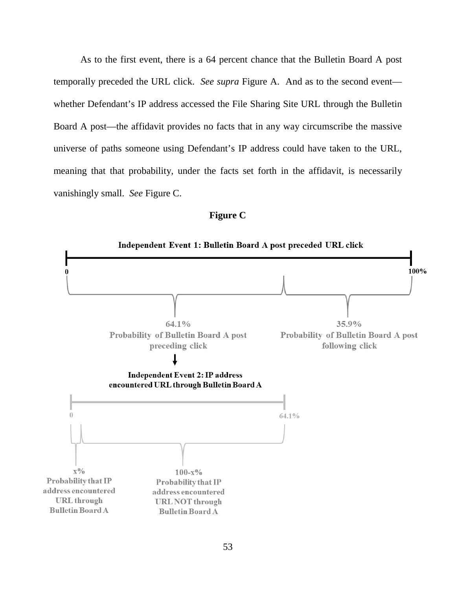As to the first event, there is a 64 percent chance that the Bulletin Board A post temporally preceded the URL click. *See supra* Figure A. And as to the second event whether Defendant's IP address accessed the File Sharing Site URL through the Bulletin Board A post—the affidavit provides no facts that in any way circumscribe the massive universe of paths someone using Defendant's IP address could have taken to the URL, meaning that that probability, under the facts set forth in the affidavit, is necessarily vanishingly small. *See* Figure C.

|  | 1911r |  |
|--|-------|--|
|--|-------|--|

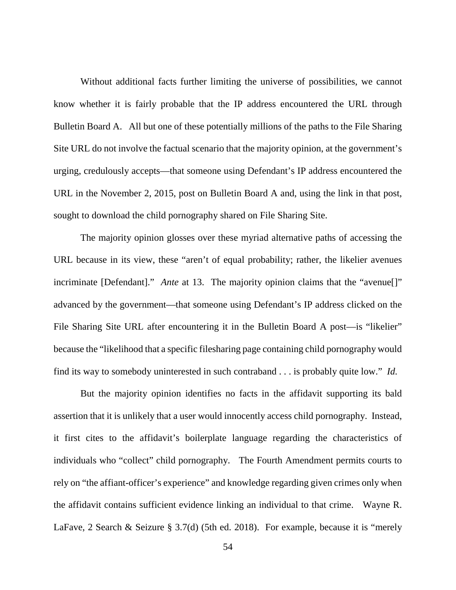Without additional facts further limiting the universe of possibilities, we cannot know whether it is fairly probable that the IP address encountered the URL through Bulletin Board A. All but one of these potentially millions of the paths to the File Sharing Site URL do not involve the factual scenario that the majority opinion, at the government's urging, credulously accepts—that someone using Defendant's IP address encountered the URL in the November 2, 2015, post on Bulletin Board A and, using the link in that post, sought to download the child pornography shared on File Sharing Site.

The majority opinion glosses over these myriad alternative paths of accessing the URL because in its view, these "aren't of equal probability; rather, the likelier avenues incriminate [Defendant]." *Ante* at 13. The majority opinion claims that the "avenue[]" advanced by the government—that someone using Defendant's IP address clicked on the File Sharing Site URL after encountering it in the Bulletin Board A post—is "likelier" because the "likelihood that a specific filesharing page containing child pornography would find its way to somebody uninterested in such contraband . . . is probably quite low." *Id.*

But the majority opinion identifies no facts in the affidavit supporting its bald assertion that it is unlikely that a user would innocently access child pornography. Instead, it first cites to the affidavit's boilerplate language regarding the characteristics of individuals who "collect" child pornography. The Fourth Amendment permits courts to rely on "the affiant-officer's experience" and knowledge regarding given crimes only when the affidavit contains sufficient evidence linking an individual to that crime. Wayne R. LaFave, 2 Search & Seizure § 3.7(d) (5th ed. 2018). For example, because it is "merely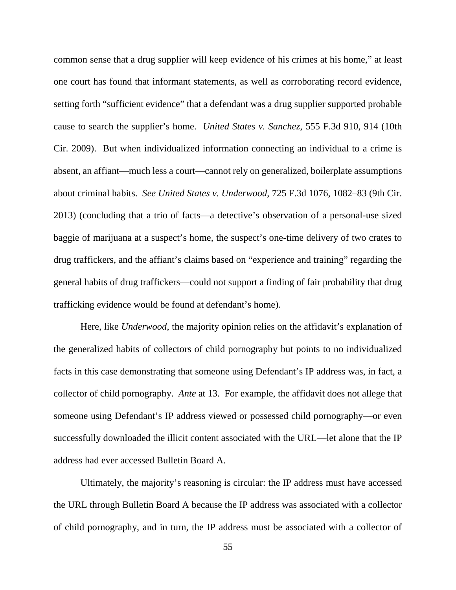common sense that a drug supplier will keep evidence of his crimes at his home," at least one court has found that informant statements, as well as corroborating record evidence, setting forth "sufficient evidence" that a defendant was a drug supplier supported probable cause to search the supplier's home. *United States v. Sanchez*, 555 F.3d 910, 914 (10th Cir. 2009). But when individualized information connecting an individual to a crime is absent, an affiant—much less a court—cannot rely on generalized, boilerplate assumptions about criminal habits. *See United States v. Underwood*, 725 F.3d 1076, 1082–83 (9th Cir. 2013) (concluding that a trio of facts—a detective's observation of a personal-use sized baggie of marijuana at a suspect's home, the suspect's one-time delivery of two crates to drug traffickers, and the affiant's claims based on "experience and training" regarding the general habits of drug traffickers—could not support a finding of fair probability that drug trafficking evidence would be found at defendant's home).

Here, like *Underwood*, the majority opinion relies on the affidavit's explanation of the generalized habits of collectors of child pornography but points to no individualized facts in this case demonstrating that someone using Defendant's IP address was, in fact, a collector of child pornography. *Ante* at 13. For example, the affidavit does not allege that someone using Defendant's IP address viewed or possessed child pornography—or even successfully downloaded the illicit content associated with the URL—let alone that the IP address had ever accessed Bulletin Board A.

Ultimately, the majority's reasoning is circular: the IP address must have accessed the URL through Bulletin Board A because the IP address was associated with a collector of child pornography, and in turn, the IP address must be associated with a collector of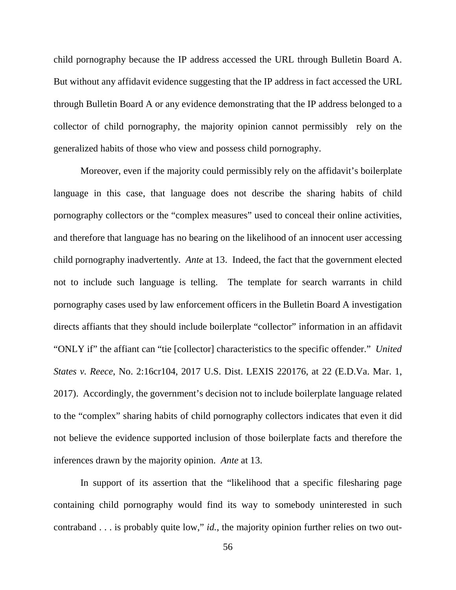child pornography because the IP address accessed the URL through Bulletin Board A. But without any affidavit evidence suggesting that the IP address in fact accessed the URL through Bulletin Board A or any evidence demonstrating that the IP address belonged to a collector of child pornography, the majority opinion cannot permissibly rely on the generalized habits of those who view and possess child pornography.

Moreover, even if the majority could permissibly rely on the affidavit's boilerplate language in this case, that language does not describe the sharing habits of child pornography collectors or the "complex measures" used to conceal their online activities, and therefore that language has no bearing on the likelihood of an innocent user accessing child pornography inadvertently. *Ante* at 13. Indeed, the fact that the government elected not to include such language is telling. The template for search warrants in child pornography cases used by law enforcement officers in the Bulletin Board A investigation directs affiants that they should include boilerplate "collector" information in an affidavit "ONLY if" the affiant can "tie [collector] characteristics to the specific offender." *United States v. Reece*, No. 2:16cr104, 2017 U.S. Dist. LEXIS 220176, at 22 (E.D.Va. Mar. 1, 2017). Accordingly, the government's decision not to include boilerplate language related to the "complex" sharing habits of child pornography collectors indicates that even it did not believe the evidence supported inclusion of those boilerplate facts and therefore the inferences drawn by the majority opinion. *Ante* at 13.

In support of its assertion that the "likelihood that a specific filesharing page containing child pornography would find its way to somebody uninterested in such contraband . . . is probably quite low," *id.*, the majority opinion further relies on two out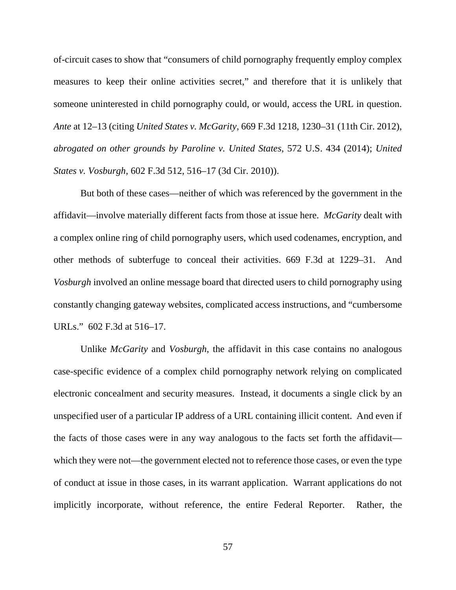of-circuit cases to show that "consumers of child pornography frequently employ complex measures to keep their online activities secret," and therefore that it is unlikely that someone uninterested in child pornography could, or would, access the URL in question. *Ante* at 12–13 (citing *United States v. McGarity*, 669 F.3d 1218, 1230–31 (11th Cir. 2012), *abrogated on other grounds by Paroline v. United States*, 572 U.S. 434 (2014); *United States v. Vosburgh*, 602 F.3d 512, 516–17 (3d Cir. 2010)).

But both of these cases—neither of which was referenced by the government in the affidavit—involve materially different facts from those at issue here. *McGarity* dealt with a complex online ring of child pornography users, which used codenames, encryption, and other methods of subterfuge to conceal their activities. 669 F.3d at 1229–31. And *Vosburgh* involved an online message board that directed users to child pornography using constantly changing gateway websites, complicated access instructions, and "cumbersome URLs." 602 F.3d at 516–17.

Unlike *McGarity* and *Vosburgh*, the affidavit in this case contains no analogous case-specific evidence of a complex child pornography network relying on complicated electronic concealment and security measures. Instead, it documents a single click by an unspecified user of a particular IP address of a URL containing illicit content. And even if the facts of those cases were in any way analogous to the facts set forth the affidavit which they were not—the government elected not to reference those cases, or even the type of conduct at issue in those cases, in its warrant application. Warrant applications do not implicitly incorporate, without reference, the entire Federal Reporter. Rather, the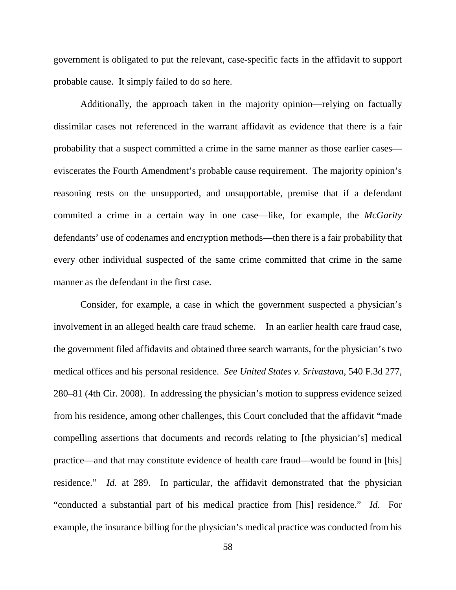government is obligated to put the relevant, case-specific facts in the affidavit to support probable cause. It simply failed to do so here.

Additionally, the approach taken in the majority opinion—relying on factually dissimilar cases not referenced in the warrant affidavit as evidence that there is a fair probability that a suspect committed a crime in the same manner as those earlier cases eviscerates the Fourth Amendment's probable cause requirement. The majority opinion's reasoning rests on the unsupported, and unsupportable, premise that if a defendant commited a crime in a certain way in one case—like, for example, the *McGarity*  defendants' use of codenames and encryption methods—then there is a fair probability that every other individual suspected of the same crime committed that crime in the same manner as the defendant in the first case.

Consider, for example, a case in which the government suspected a physician's involvement in an alleged health care fraud scheme. In an earlier health care fraud case, the government filed affidavits and obtained three search warrants, for the physician's two medical offices and his personal residence. *See United States v. Srivastava*, 540 F.3d 277, 280–81 (4th Cir. 2008). In addressing the physician's motion to suppress evidence seized from his residence, among other challenges, this Court concluded that the affidavit "made compelling assertions that documents and records relating to [the physician's] medical practice—and that may constitute evidence of health care fraud—would be found in [his] residence." *Id*. at 289. In particular, the affidavit demonstrated that the physician "conducted a substantial part of his medical practice from [his] residence." *Id*. For example, the insurance billing for the physician's medical practice was conducted from his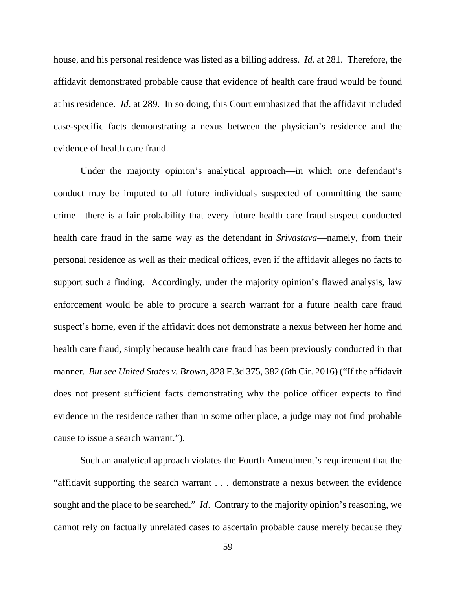house, and his personal residence was listed as a billing address. *Id*. at 281. Therefore, the affidavit demonstrated probable cause that evidence of health care fraud would be found at his residence. *Id*. at 289. In so doing, this Court emphasized that the affidavit included case-specific facts demonstrating a nexus between the physician's residence and the evidence of health care fraud.

Under the majority opinion's analytical approach—in which one defendant's conduct may be imputed to all future individuals suspected of committing the same crime—there is a fair probability that every future health care fraud suspect conducted health care fraud in the same way as the defendant in *Srivastava*—namely, from their personal residence as well as their medical offices, even if the affidavit alleges no facts to support such a finding. Accordingly, under the majority opinion's flawed analysis, law enforcement would be able to procure a search warrant for a future health care fraud suspect's home, even if the affidavit does not demonstrate a nexus between her home and health care fraud, simply because health care fraud has been previously conducted in that manner. *But see United States v. Brown*, 828 F.3d 375, 382 (6th Cir. 2016) ("If the affidavit does not present sufficient facts demonstrating why the police officer expects to find evidence in the residence rather than in some other place, a judge may not find probable cause to issue a search warrant.").

Such an analytical approach violates the Fourth Amendment's requirement that the "affidavit supporting the search warrant . . . demonstrate a nexus between the evidence sought and the place to be searched." *Id*. Contrary to the majority opinion's reasoning, we cannot rely on factually unrelated cases to ascertain probable cause merely because they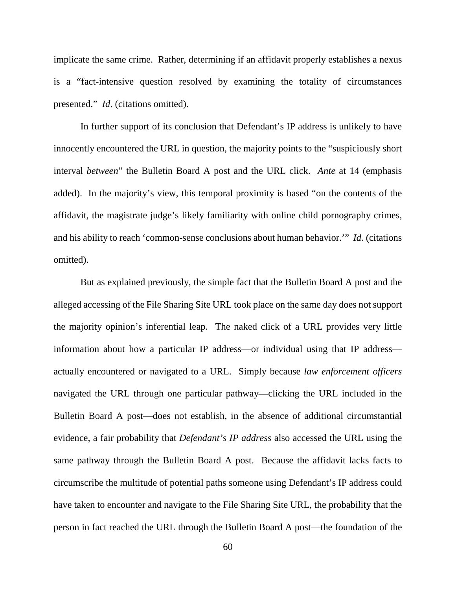implicate the same crime. Rather, determining if an affidavit properly establishes a nexus is a "fact-intensive question resolved by examining the totality of circumstances presented." *Id*. (citations omitted).

In further support of its conclusion that Defendant's IP address is unlikely to have innocently encountered the URL in question, the majority points to the "suspiciously short interval *between*" the Bulletin Board A post and the URL click. *Ante* at 14 (emphasis added). In the majority's view, this temporal proximity is based "on the contents of the affidavit, the magistrate judge's likely familiarity with online child pornography crimes, and his ability to reach 'common-sense conclusions about human behavior.'" *Id*. (citations omitted).

But as explained previously, the simple fact that the Bulletin Board A post and the alleged accessing of the File Sharing Site URL took place on the same day does not support the majority opinion's inferential leap. The naked click of a URL provides very little information about how a particular IP address—or individual using that IP address actually encountered or navigated to a URL. Simply because *law enforcement officers*  navigated the URL through one particular pathway—clicking the URL included in the Bulletin Board A post—does not establish, in the absence of additional circumstantial evidence, a fair probability that *Defendant's IP address* also accessed the URL using the same pathway through the Bulletin Board A post. Because the affidavit lacks facts to circumscribe the multitude of potential paths someone using Defendant's IP address could have taken to encounter and navigate to the File Sharing Site URL, the probability that the person in fact reached the URL through the Bulletin Board A post—the foundation of the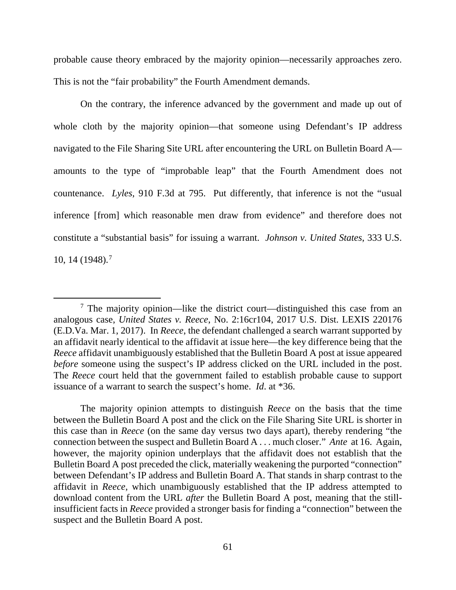probable cause theory embraced by the majority opinion—necessarily approaches zero. This is not the "fair probability" the Fourth Amendment demands.

On the contrary, the inference advanced by the government and made up out of whole cloth by the majority opinion—that someone using Defendant's IP address navigated to the File Sharing Site URL after encountering the URL on Bulletin Board A amounts to the type of "improbable leap" that the Fourth Amendment does not countenance. *Lyles*, 910 F.3d at 795. Put differently, that inference is not the "usual inference [from] which reasonable men draw from evidence" and therefore does not constitute a "substantial basis" for issuing a warrant. *Johnson v. United States*, 333 U.S. 10, 14 (1948).[7](#page-60-0)

<span id="page-60-0"></span> <sup>7</sup> The majority opinion—like the district court—distinguished this case from an analogous case, *United States v. Reece*, No. 2:16cr104, 2017 U.S. Dist. LEXIS 220176 (E.D.Va. Mar. 1, 2017). In *Reece*, the defendant challenged a search warrant supported by an affidavit nearly identical to the affidavit at issue here—the key difference being that the *Reece* affidavit unambiguously established that the Bulletin Board A post at issue appeared *before* someone using the suspect's IP address clicked on the URL included in the post. The *Reece* court held that the government failed to establish probable cause to support issuance of a warrant to search the suspect's home. *Id*. at \*36.

The majority opinion attempts to distinguish *Reece* on the basis that the time between the Bulletin Board A post and the click on the File Sharing Site URL is shorter in this case than in *Reece* (on the same day versus two days apart), thereby rendering "the connection between the suspect and Bulletin Board A . . . much closer." *Ante* at 16. Again, however, the majority opinion underplays that the affidavit does not establish that the Bulletin Board A post preceded the click, materially weakening the purported "connection" between Defendant's IP address and Bulletin Board A. That stands in sharp contrast to the affidavit in *Reece*, which unambiguously established that the IP address attempted to download content from the URL *after* the Bulletin Board A post, meaning that the stillinsufficient facts in *Reece* provided a stronger basis for finding a "connection" between the suspect and the Bulletin Board A post.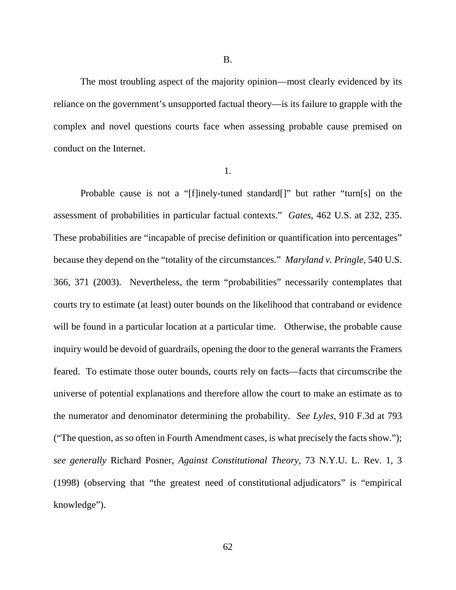The most troubling aspect of the majority opinion—most clearly evidenced by its reliance on the government's unsupported factual theory—is its failure to grapple with the complex and novel questions courts face when assessing probable cause premised on conduct on the Internet.

## 1.

Probable cause is not a "[f]inely-tuned standard[]" but rather "turn[s] on the assessment of probabilities in particular factual contexts." *Gates*, 462 U.S. at 232, 235. These probabilities are "incapable of precise definition or quantification into percentages" because they depend on the "totality of the circumstances." *Maryland v. Pringle*, 540 U.S. 366, 371 (2003). Nevertheless, the term "probabilities" necessarily contemplates that courts try to estimate (at least) outer bounds on the likelihood that contraband or evidence will be found in a particular location at a particular time. Otherwise, the probable cause inquiry would be devoid of guardrails, opening the door to the general warrants the Framers feared. To estimate those outer bounds, courts rely on facts—facts that circumscribe the universe of potential explanations and therefore allow the court to make an estimate as to the numerator and denominator determining the probability. *See Lyles*, 910 F.3d at 793 ("The question, as so often in Fourth Amendment cases, is what precisely the facts show."); *see generally* Richard Posner, *Against Constitutional Theory*, 73 N.Y.U. L. Rev. 1, 3 (1998) (observing that "the greatest need of constitutional adjudicators" is "empirical knowledge").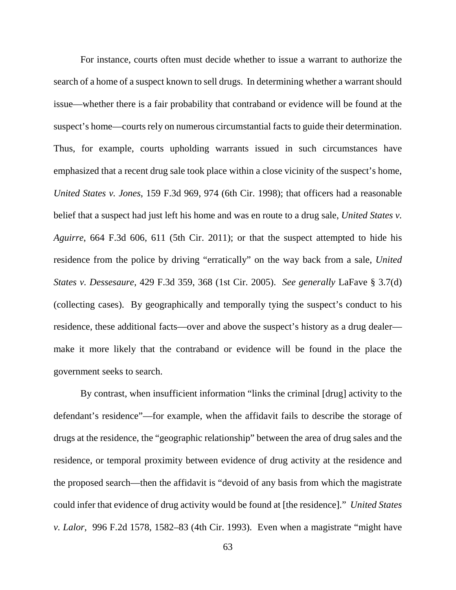For instance, courts often must decide whether to issue a warrant to authorize the search of a home of a suspect known to sell drugs. In determining whether a warrant should issue—whether there is a fair probability that contraband or evidence will be found at the suspect's home—courts rely on numerous circumstantial facts to guide their determination. Thus, for example, courts upholding warrants issued in such circumstances have emphasized that a recent drug sale took place within a close vicinity of the suspect's home, *United States v. Jones*, 159 F.3d 969, 974 (6th Cir. 1998); that officers had a reasonable belief that a suspect had just left his home and was en route to a drug sale, *United States v. Aguirre*, 664 F.3d 606, 611 (5th Cir. 2011); or that the suspect attempted to hide his residence from the police by driving "erratically" on the way back from a sale, *United States v. Dessesaure*, 429 F.3d 359, 368 (1st Cir. 2005). *See generally* LaFave § 3.7(d) (collecting cases). By geographically and temporally tying the suspect's conduct to his residence, these additional facts—over and above the suspect's history as a drug dealer make it more likely that the contraband or evidence will be found in the place the government seeks to search.

By contrast, when insufficient information "links the criminal [drug] activity to the defendant's residence"—for example, when the affidavit fails to describe the storage of drugs at the residence, the "geographic relationship" between the area of drug sales and the residence, or temporal proximity between evidence of drug activity at the residence and the proposed search—then the affidavit is "devoid of any basis from which the magistrate could infer that evidence of drug activity would be found at [the residence]." *United States v. Lalor*, 996 F.2d 1578, 1582–83 (4th Cir. 1993). Even when a magistrate "might have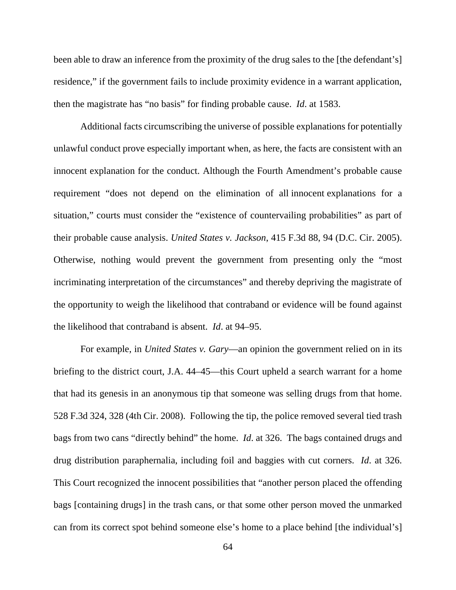been able to draw an inference from the proximity of the drug sales to the [the defendant's] residence," if the government fails to include proximity evidence in a warrant application, then the magistrate has "no basis" for finding probable cause. *Id*. at 1583.

Additional facts circumscribing the universe of possible explanations for potentially unlawful conduct prove especially important when, as here, the facts are consistent with an innocent explanation for the conduct. Although the Fourth Amendment's probable cause requirement "does not depend on the elimination of all innocent explanations for a situation," courts must consider the "existence of countervailing probabilities" as part of their probable cause analysis. *United States v. Jackson*, 415 F.3d 88, 94 (D.C. Cir. 2005). Otherwise, nothing would prevent the government from presenting only the "most incriminating interpretation of the circumstances" and thereby depriving the magistrate of the opportunity to weigh the likelihood that contraband or evidence will be found against the likelihood that contraband is absent. *Id*. at 94–95.

For example, in *United States v. Gary*—an opinion the government relied on in its briefing to the district court, J.A. 44–45—this Court upheld a search warrant for a home that had its genesis in an anonymous tip that someone was selling drugs from that home. 528 F.3d 324, 328 (4th Cir. 2008). Following the tip, the police removed several tied trash bags from two cans "directly behind" the home. *Id*. at 326. The bags contained drugs and drug distribution paraphernalia, including foil and baggies with cut corners. *Id*. at 326. This Court recognized the innocent possibilities that "another person placed the offending bags [containing drugs] in the trash cans, or that some other person moved the unmarked can from its correct spot behind someone else's home to a place behind [the individual's]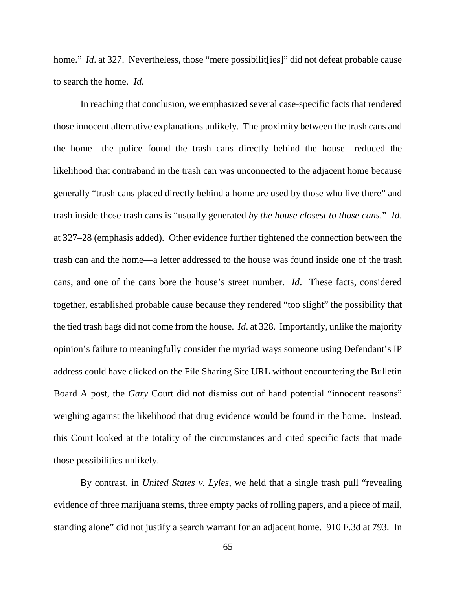home." *Id.* at 327. Nevertheless, those "mere possibilit [ies]" did not defeat probable cause to search the home. *Id.*

In reaching that conclusion, we emphasized several case-specific facts that rendered those innocent alternative explanations unlikely. The proximity between the trash cans and the home—the police found the trash cans directly behind the house—reduced the likelihood that contraband in the trash can was unconnected to the adjacent home because generally "trash cans placed directly behind a home are used by those who live there" and trash inside those trash cans is "usually generated *by the house closest to those cans*." *Id*. at 327–28 (emphasis added). Other evidence further tightened the connection between the trash can and the home—a letter addressed to the house was found inside one of the trash cans, and one of the cans bore the house's street number. *Id*. These facts, considered together, established probable cause because they rendered "too slight" the possibility that the tied trash bags did not come from the house. *Id*. at 328. Importantly, unlike the majority opinion's failure to meaningfully consider the myriad ways someone using Defendant's IP address could have clicked on the File Sharing Site URL without encountering the Bulletin Board A post, the *Gary* Court did not dismiss out of hand potential "innocent reasons" weighing against the likelihood that drug evidence would be found in the home. Instead, this Court looked at the totality of the circumstances and cited specific facts that made those possibilities unlikely.

By contrast, in *United States v. Lyles*, we held that a single trash pull "revealing evidence of three marijuana stems, three empty packs of rolling papers, and a piece of mail, standing alone" did not justify a search warrant for an adjacent home. 910 F.3d at 793. In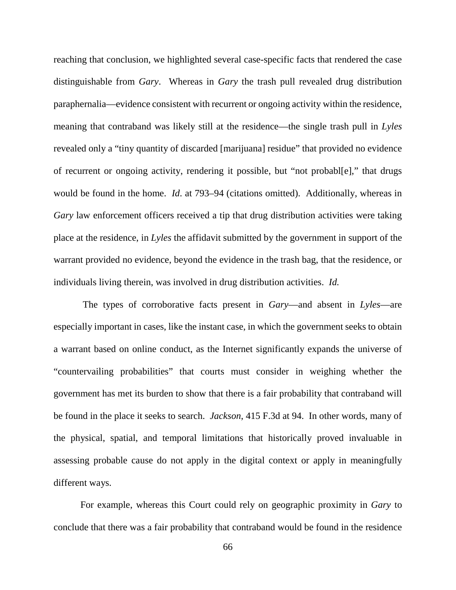reaching that conclusion, we highlighted several case-specific facts that rendered the case distinguishable from *Gary*. Whereas in *Gary* the trash pull revealed drug distribution paraphernalia—evidence consistent with recurrent or ongoing activity within the residence, meaning that contraband was likely still at the residence—the single trash pull in *Lyles* revealed only a "tiny quantity of discarded [marijuana] residue" that provided no evidence of recurrent or ongoing activity, rendering it possible, but "not probabl[e]," that drugs would be found in the home. *Id*. at 793–94 (citations omitted). Additionally, whereas in *Gary* law enforcement officers received a tip that drug distribution activities were taking place at the residence, in *Lyles* the affidavit submitted by the government in support of the warrant provided no evidence, beyond the evidence in the trash bag, that the residence, or individuals living therein, was involved in drug distribution activities. *Id.*

The types of corroborative facts present in *Gary*—and absent in *Lyles*—are especially important in cases, like the instant case, in which the government seeks to obtain a warrant based on online conduct, as the Internet significantly expands the universe of "countervailing probabilities" that courts must consider in weighing whether the government has met its burden to show that there is a fair probability that contraband will be found in the place it seeks to search. *Jackson*, 415 F.3d at 94. In other words, many of the physical, spatial, and temporal limitations that historically proved invaluable in assessing probable cause do not apply in the digital context or apply in meaningfully different ways.

For example, whereas this Court could rely on geographic proximity in *Gary* to conclude that there was a fair probability that contraband would be found in the residence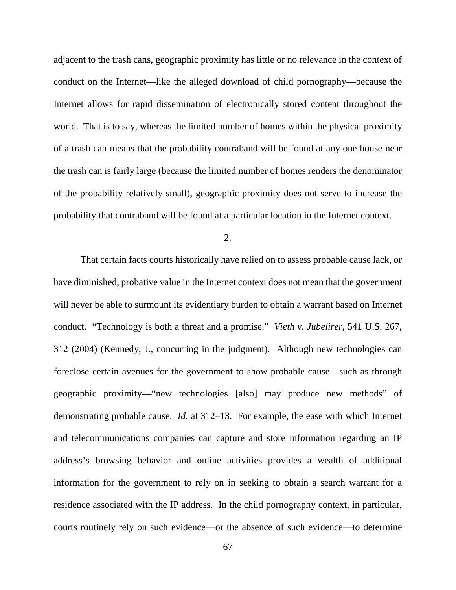adjacent to the trash cans, geographic proximity has little or no relevance in the context of conduct on the Internet—like the alleged download of child pornography—because the Internet allows for rapid dissemination of electronically stored content throughout the world. That is to say, whereas the limited number of homes within the physical proximity of a trash can means that the probability contraband will be found at any one house near the trash can is fairly large (because the limited number of homes renders the denominator of the probability relatively small), geographic proximity does not serve to increase the probability that contraband will be found at a particular location in the Internet context.

2.

That certain facts courts historically have relied on to assess probable cause lack, or have diminished, probative value in the Internet context does not mean that the government will never be able to surmount its evidentiary burden to obtain a warrant based on Internet conduct. "Technology is both a threat and a promise." *Vieth v. Jubelirer*, 541 U.S. 267, 312 (2004) (Kennedy, J., concurring in the judgment). Although new technologies can foreclose certain avenues for the government to show probable cause—such as through geographic proximity—"new technologies [also] may produce new methods" of demonstrating probable cause. *Id.* at 312–13. For example, the ease with which Internet and telecommunications companies can capture and store information regarding an IP address's browsing behavior and online activities provides a wealth of additional information for the government to rely on in seeking to obtain a search warrant for a residence associated with the IP address. In the child pornography context, in particular, courts routinely rely on such evidence—or the absence of such evidence—to determine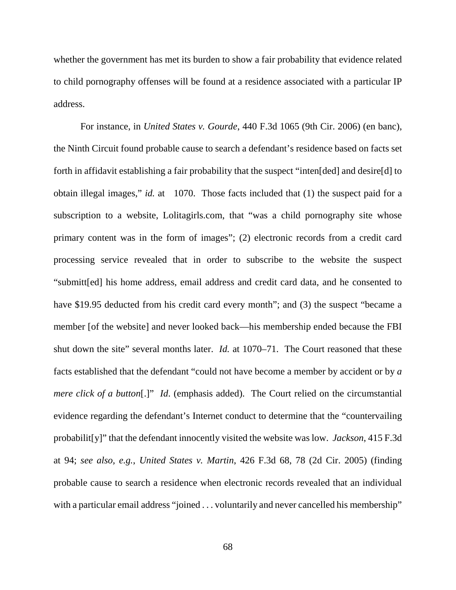whether the government has met its burden to show a fair probability that evidence related to child pornography offenses will be found at a residence associated with a particular IP address.

For instance, in *United States v. Gourde*, 440 F.3d 1065 (9th Cir. 2006) (en banc), the Ninth Circuit found probable cause to search a defendant's residence based on facts set forth in affidavit establishing a fair probability that the suspect "inten[ded] and desire[d] to obtain illegal images," *id.* at 1070. Those facts included that (1) the suspect paid for a subscription to a website, Lolitagirls.com, that "was a child pornography site whose primary content was in the form of images"; (2) electronic records from a credit card processing service revealed that in order to subscribe to the website the suspect "submitt[ed] his home address, email address and credit card data, and he consented to have \$19.95 deducted from his credit card every month"; and (3) the suspect "became a member [of the website] and never looked back—his membership ended because the FBI shut down the site" several months later. *Id.* at 1070–71. The Court reasoned that these facts established that the defendant "could not have become a member by accident or by *a mere click of a button*[.]" *Id*. (emphasis added). The Court relied on the circumstantial evidence regarding the defendant's Internet conduct to determine that the "countervailing probabilit[y]" that the defendant innocently visited the website was low. *Jackson*, 415 F.3d at 94; *see also, e.g.*, *United States v. Martin*, 426 F.3d 68, 78 (2d Cir. 2005) (finding probable cause to search a residence when electronic records revealed that an individual with a particular email address "joined . . . voluntarily and never cancelled his membership"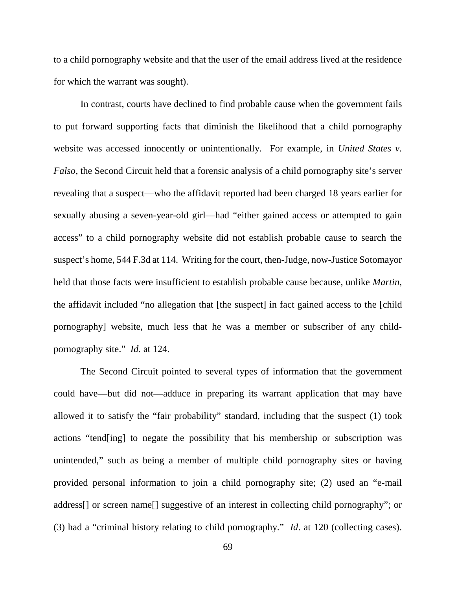to a child pornography website and that the user of the email address lived at the residence for which the warrant was sought).

In contrast, courts have declined to find probable cause when the government fails to put forward supporting facts that diminish the likelihood that a child pornography website was accessed innocently or unintentionally. For example, in *United States v. Falso*, the Second Circuit held that a forensic analysis of a child pornography site's server revealing that a suspect—who the affidavit reported had been charged 18 years earlier for sexually abusing a seven-year-old girl—had "either gained access or attempted to gain access" to a child pornography website did not establish probable cause to search the suspect's home, 544 F.3d at 114. Writing for the court, then-Judge, now-Justice Sotomayor held that those facts were insufficient to establish probable cause because, unlike *Martin*, the affidavit included "no allegation that [the suspect] in fact gained access to the [child pornography] website, much less that he was a member or subscriber of any childpornography site." *Id.* at 124.

The Second Circuit pointed to several types of information that the government could have—but did not—adduce in preparing its warrant application that may have allowed it to satisfy the "fair probability" standard, including that the suspect (1) took actions "tend[ing] to negate the possibility that his membership or subscription was unintended," such as being a member of multiple child pornography sites or having provided personal information to join a child pornography site; (2) used an "e-mail address[] or screen name[] suggestive of an interest in collecting child pornography"; or (3) had a "criminal history relating to child pornography." *Id*. at 120 (collecting cases).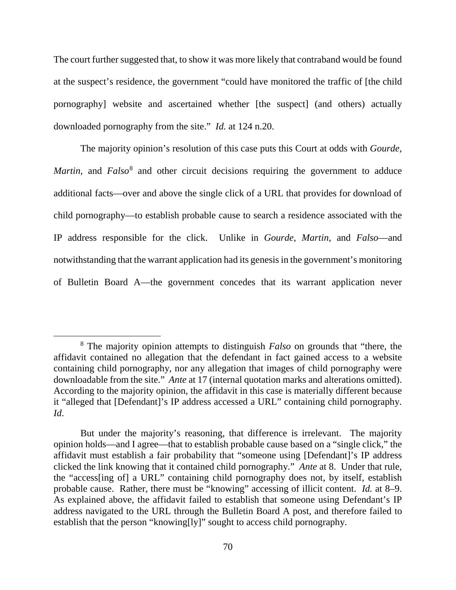The court further suggested that, to show it was more likely that contraband would be found at the suspect's residence, the government "could have monitored the traffic of [the child pornography] website and ascertained whether [the suspect] (and others) actually downloaded pornography from the site." *Id.* at 124 n.20.

The majority opinion's resolution of this case puts this Court at odds with *Gourde*, *Martin*, and *Falso*<sup>[8](#page-69-0)</sup> and other circuit decisions requiring the government to adduce additional facts—over and above the single click of a URL that provides for download of child pornography—to establish probable cause to search a residence associated with the IP address responsible for the click. Unlike in *Gourde*, *Martin*, and *Falso*—and notwithstanding that the warrant application had its genesis in the government's monitoring of Bulletin Board A—the government concedes that its warrant application never

<span id="page-69-0"></span> <sup>8</sup> The majority opinion attempts to distinguish *Falso* on grounds that "there, the affidavit contained no allegation that the defendant in fact gained access to a website containing child pornography, nor any allegation that images of child pornography were downloadable from the site." *Ante* at 17 (internal quotation marks and alterations omitted). According to the majority opinion, the affidavit in this case is materially different because it "alleged that [Defendant]'s IP address accessed a URL" containing child pornography. *Id*.

But under the majority's reasoning, that difference is irrelevant. The majority opinion holds—and I agree—that to establish probable cause based on a "single click," the affidavit must establish a fair probability that "someone using [Defendant]'s IP address clicked the link knowing that it contained child pornography." *Ante* at 8. Under that rule, the "access[ing of] a URL" containing child pornography does not, by itself, establish probable cause. Rather, there must be "knowing" accessing of illicit content. *Id.* at 8–9. As explained above, the affidavit failed to establish that someone using Defendant's IP address navigated to the URL through the Bulletin Board A post, and therefore failed to establish that the person "knowing[ly]" sought to access child pornography.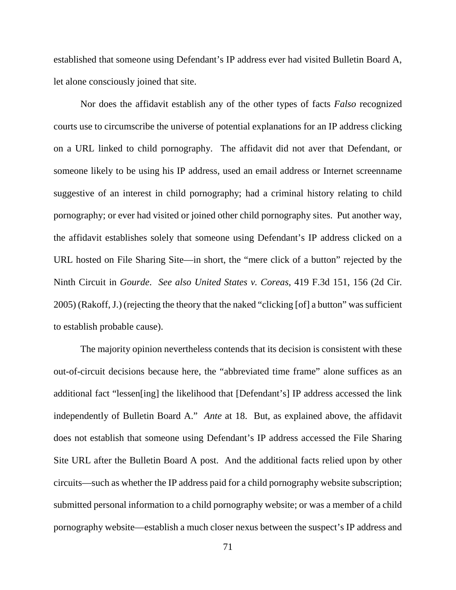established that someone using Defendant's IP address ever had visited Bulletin Board A, let alone consciously joined that site.

Nor does the affidavit establish any of the other types of facts *Falso* recognized courts use to circumscribe the universe of potential explanations for an IP address clicking on a URL linked to child pornography. The affidavit did not aver that Defendant, or someone likely to be using his IP address, used an email address or Internet screenname suggestive of an interest in child pornography; had a criminal history relating to child pornography; or ever had visited or joined other child pornography sites. Put another way, the affidavit establishes solely that someone using Defendant's IP address clicked on a URL hosted on File Sharing Site—in short, the "mere click of a button" rejected by the Ninth Circuit in *Gourde*. *See also United States v. Coreas*, 419 F.3d 151, 156 (2d Cir. 2005) (Rakoff, J.) (rejecting the theory that the naked "clicking [of] a button" was sufficient to establish probable cause).

The majority opinion nevertheless contends that its decision is consistent with these out-of-circuit decisions because here, the "abbreviated time frame" alone suffices as an additional fact "lessen[ing] the likelihood that [Defendant's] IP address accessed the link independently of Bulletin Board A." *Ante* at 18. But, as explained above, the affidavit does not establish that someone using Defendant's IP address accessed the File Sharing Site URL after the Bulletin Board A post. And the additional facts relied upon by other circuits—such as whether the IP address paid for a child pornography website subscription; submitted personal information to a child pornography website; or was a member of a child pornography website—establish a much closer nexus between the suspect's IP address and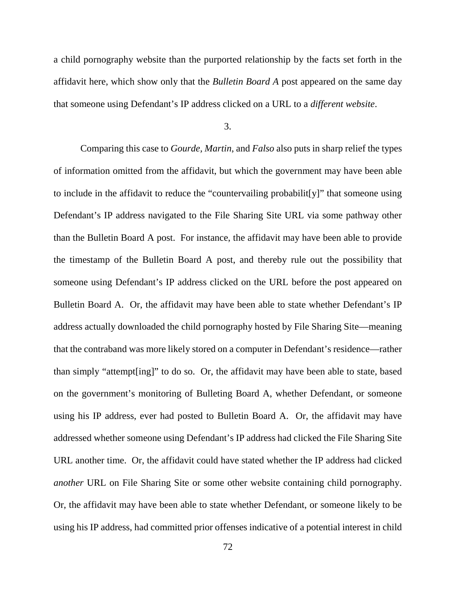a child pornography website than the purported relationship by the facts set forth in the affidavit here, which show only that the *Bulletin Board A* post appeared on the same day that someone using Defendant's IP address clicked on a URL to a *different website*.

3.

Comparing this case to *Gourde, Martin*, and *Falso* also puts in sharp relief the types of information omitted from the affidavit, but which the government may have been able to include in the affidavit to reduce the "countervailing probabilit[y]" that someone using Defendant's IP address navigated to the File Sharing Site URL via some pathway other than the Bulletin Board A post. For instance, the affidavit may have been able to provide the timestamp of the Bulletin Board A post, and thereby rule out the possibility that someone using Defendant's IP address clicked on the URL before the post appeared on Bulletin Board A. Or, the affidavit may have been able to state whether Defendant's IP address actually downloaded the child pornography hosted by File Sharing Site—meaning that the contraband was more likely stored on a computer in Defendant's residence—rather than simply "attempt[ing]" to do so. Or, the affidavit may have been able to state, based on the government's monitoring of Bulleting Board A, whether Defendant, or someone using his IP address, ever had posted to Bulletin Board A. Or, the affidavit may have addressed whether someone using Defendant's IP address had clicked the File Sharing Site URL another time. Or, the affidavit could have stated whether the IP address had clicked *another* URL on File Sharing Site or some other website containing child pornography. Or, the affidavit may have been able to state whether Defendant, or someone likely to be using his IP address, had committed prior offenses indicative of a potential interest in child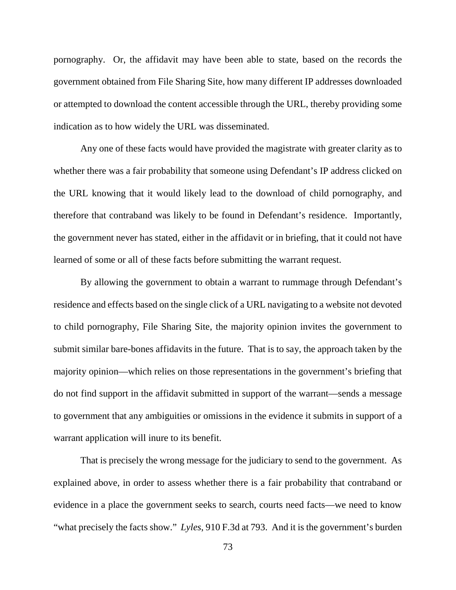pornography. Or, the affidavit may have been able to state, based on the records the government obtained from File Sharing Site, how many different IP addresses downloaded or attempted to download the content accessible through the URL, thereby providing some indication as to how widely the URL was disseminated.

Any one of these facts would have provided the magistrate with greater clarity as to whether there was a fair probability that someone using Defendant's IP address clicked on the URL knowing that it would likely lead to the download of child pornography, and therefore that contraband was likely to be found in Defendant's residence. Importantly, the government never has stated, either in the affidavit or in briefing, that it could not have learned of some or all of these facts before submitting the warrant request.

By allowing the government to obtain a warrant to rummage through Defendant's residence and effects based on the single click of a URL navigating to a website not devoted to child pornography, File Sharing Site, the majority opinion invites the government to submit similar bare-bones affidavits in the future. That is to say, the approach taken by the majority opinion—which relies on those representations in the government's briefing that do not find support in the affidavit submitted in support of the warrant—sends a message to government that any ambiguities or omissions in the evidence it submits in support of a warrant application will inure to its benefit.

That is precisely the wrong message for the judiciary to send to the government. As explained above, in order to assess whether there is a fair probability that contraband or evidence in a place the government seeks to search, courts need facts—we need to know "what precisely the facts show." *Lyles*, 910 F.3d at 793. And it is the government's burden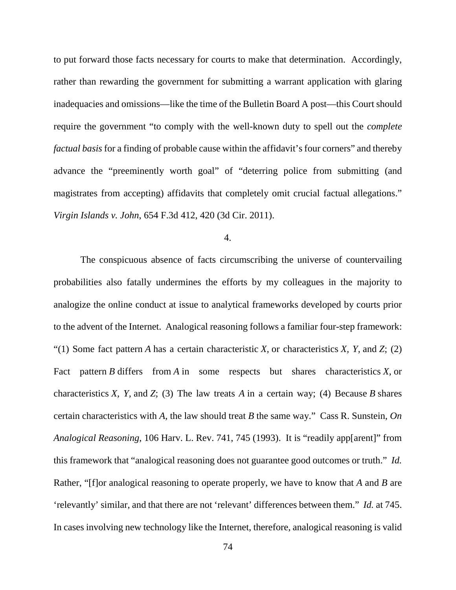to put forward those facts necessary for courts to make that determination. Accordingly, rather than rewarding the government for submitting a warrant application with glaring inadequacies and omissions—like the time of the Bulletin Board A post—this Court should require the government "to comply with the well-known duty to spell out the *complete factual basis*for a finding of probable cause within the affidavit's four corners" and thereby advance the "preeminently worth goal" of "deterring police from submitting (and magistrates from accepting) affidavits that completely omit crucial factual allegations." *Virgin Islands v. John*, 654 F.3d 412, 420 (3d Cir. 2011).

4.

The conspicuous absence of facts circumscribing the universe of countervailing probabilities also fatally undermines the efforts by my colleagues in the majority to analogize the online conduct at issue to analytical frameworks developed by courts prior to the advent of the Internet. Analogical reasoning follows a familiar four-step framework: "(1) Some fact pattern *A* has a certain characteristic *X,* or characteristics *X, Y,* and *Z*; (2) Fact pattern *B* differs from *A* in some respects but shares characteristics *X,* or characteristics *X*, *Y*, and *Z*; (3) The law treats *A* in a certain way; (4) Because *B* shares certain characteristics with *A,* the law should treat *B* the same way." Cass R. Sunstein, *On Analogical Reasoning*, 106 Harv. L. Rev. 741, 745 (1993). It is "readily app[arent]" from this framework that "analogical reasoning does not guarantee good outcomes or truth." *Id.* Rather, "[f]or analogical reasoning to operate properly, we have to know that *A* and *B* are 'relevantly' similar, and that there are not 'relevant' differences between them." *Id.* at 745. In cases involving new technology like the Internet, therefore, analogical reasoning is valid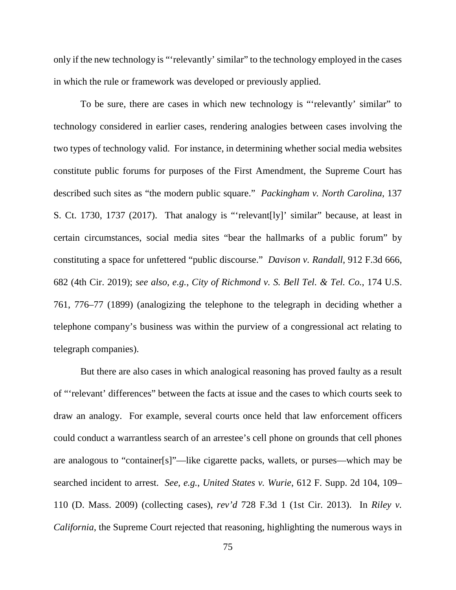only if the new technology is "'relevantly' similar" to the technology employed in the cases in which the rule or framework was developed or previously applied.

To be sure, there are cases in which new technology is "'relevantly' similar" to technology considered in earlier cases, rendering analogies between cases involving the two types of technology valid. For instance, in determining whether social media websites constitute public forums for purposes of the First Amendment, the Supreme Court has described such sites as "the modern public square." *Packingham v. North Carolina*, 137 S. Ct. 1730, 1737 (2017). That analogy is "'relevant[ly]' similar" because, at least in certain circumstances, social media sites "bear the hallmarks of a public forum" by constituting a space for unfettered "public discourse." *Davison v. Randall*, 912 F.3d 666, 682 (4th Cir. 2019); *see also, e.g.*, *City of Richmond v. S. Bell Tel. & Tel. Co.*, 174 U.S. 761, 776–77 (1899) (analogizing the telephone to the telegraph in deciding whether a telephone company's business was within the purview of a congressional act relating to telegraph companies).

But there are also cases in which analogical reasoning has proved faulty as a result of "'relevant' differences" between the facts at issue and the cases to which courts seek to draw an analogy. For example, several courts once held that law enforcement officers could conduct a warrantless search of an arrestee's cell phone on grounds that cell phones are analogous to "container[s]"—like cigarette packs, wallets, or purses—which may be searched incident to arrest. *See, e.g.*, *United States v. Wurie*, 612 F. Supp. 2d 104, 109– 110 (D. Mass. 2009) (collecting cases), *rev'd* 728 F.3d 1 (1st Cir. 2013). In *Riley v. California*, the Supreme Court rejected that reasoning, highlighting the numerous ways in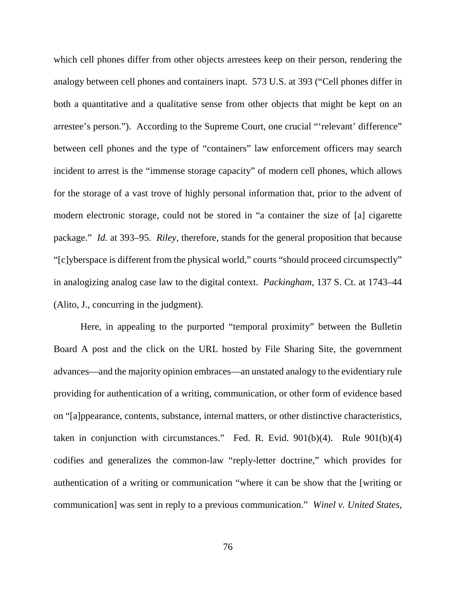which cell phones differ from other objects arrestees keep on their person, rendering the analogy between cell phones and containers inapt. 573 U.S. at 393 ("Cell phones differ in both a quantitative and a qualitative sense from other objects that might be kept on an arrestee's person."). According to the Supreme Court, one crucial "'relevant' difference" between cell phones and the type of "containers" law enforcement officers may search incident to arrest is the "immense storage capacity" of modern cell phones, which allows for the storage of a vast trove of highly personal information that, prior to the advent of modern electronic storage, could not be stored in "a container the size of [a] cigarette package." *Id.* at 393–95. *Riley*, therefore, stands for the general proposition that because "[c]yberspace is different from the physical world," courts "should proceed circumspectly" in analogizing analog case law to the digital context. *Packingham*, 137 S. Ct. at 1743–44 (Alito, J., concurring in the judgment).

Here, in appealing to the purported "temporal proximity" between the Bulletin Board A post and the click on the URL hosted by File Sharing Site, the government advances—and the majority opinion embraces—an unstated analogy to the evidentiary rule providing for authentication of a writing, communication, or other form of evidence based on "[a]ppearance, contents, substance, internal matters, or other distinctive characteristics, taken in conjunction with circumstances." Fed. R. Evid.  $901(b)(4)$ . Rule  $901(b)(4)$ codifies and generalizes the common-law "reply-letter doctrine," which provides for authentication of a writing or communication "where it can be show that the [writing or communication] was sent in reply to a previous communication." *Winel v. United States*,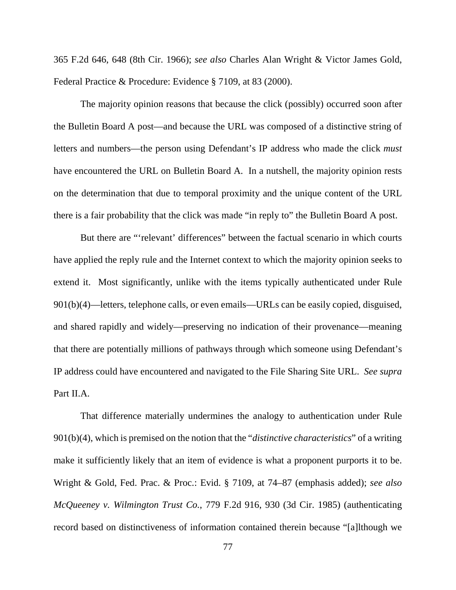365 F.2d 646, 648 (8th Cir. 1966); *see also* Charles Alan Wright & Victor James Gold, Federal Practice & Procedure: Evidence § 7109, at 83 (2000).

The majority opinion reasons that because the click (possibly) occurred soon after the Bulletin Board A post—and because the URL was composed of a distinctive string of letters and numbers—the person using Defendant's IP address who made the click *must* have encountered the URL on Bulletin Board A. In a nutshell, the majority opinion rests on the determination that due to temporal proximity and the unique content of the URL there is a fair probability that the click was made "in reply to" the Bulletin Board A post.

But there are "'relevant' differences" between the factual scenario in which courts have applied the reply rule and the Internet context to which the majority opinion seeks to extend it. Most significantly, unlike with the items typically authenticated under Rule 901(b)(4)—letters, telephone calls, or even emails—URLs can be easily copied, disguised, and shared rapidly and widely—preserving no indication of their provenance—meaning that there are potentially millions of pathways through which someone using Defendant's IP address could have encountered and navigated to the File Sharing Site URL. *See supra*  Part II.A.

That difference materially undermines the analogy to authentication under Rule 901(b)(4), which is premised on the notion that the "*distinctive characteristics*" of a writing make it sufficiently likely that an item of evidence is what a proponent purports it to be. Wright & Gold, Fed. Prac. & Proc.: Evid. § 7109, at 74–87 (emphasis added); *see also McQueeney v. Wilmington Trust Co.*, 779 F.2d 916, 930 (3d Cir. 1985) (authenticating record based on distinctiveness of information contained therein because "[a]lthough we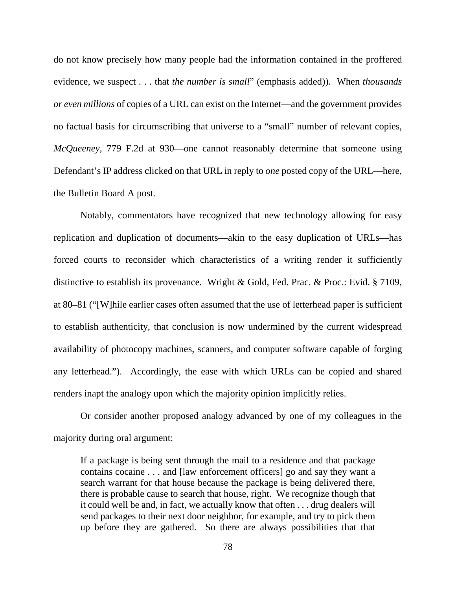do not know precisely how many people had the information contained in the proffered evidence, we suspect . . . that *the number is small*" (emphasis added)). When *thousands or even millions* of copies of a URL can exist on the Internet—and the government provides no factual basis for circumscribing that universe to a "small" number of relevant copies, *McQueeney*, 779 F.2d at 930—one cannot reasonably determine that someone using Defendant's IP address clicked on that URL in reply to *one* posted copy of the URL—here, the Bulletin Board A post.

Notably, commentators have recognized that new technology allowing for easy replication and duplication of documents—akin to the easy duplication of URLs—has forced courts to reconsider which characteristics of a writing render it sufficiently distinctive to establish its provenance. Wright & Gold, Fed. Prac. & Proc.: Evid. § 7109, at 80–81 ("[W]hile earlier cases often assumed that the use of letterhead paper is sufficient to establish authenticity, that conclusion is now undermined by the current widespread availability of photocopy machines, scanners, and computer software capable of forging any letterhead."). Accordingly, the ease with which URLs can be copied and shared renders inapt the analogy upon which the majority opinion implicitly relies.

Or consider another proposed analogy advanced by one of my colleagues in the majority during oral argument:

If a package is being sent through the mail to a residence and that package contains cocaine . . . and [law enforcement officers] go and say they want a search warrant for that house because the package is being delivered there, there is probable cause to search that house, right. We recognize though that it could well be and, in fact, we actually know that often . . . drug dealers will send packages to their next door neighbor, for example, and try to pick them up before they are gathered. So there are always possibilities that that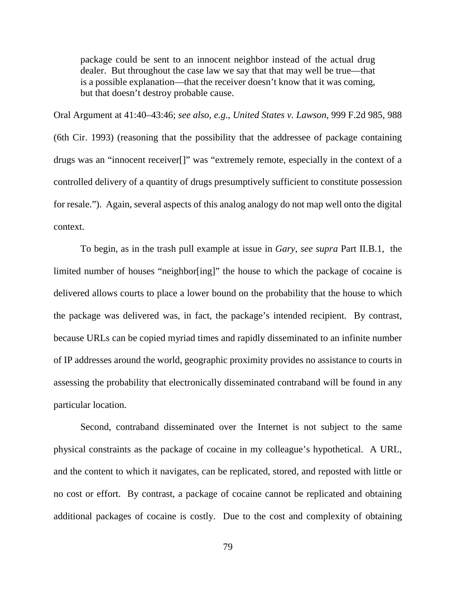package could be sent to an innocent neighbor instead of the actual drug dealer. But throughout the case law we say that that may well be true—that is a possible explanation—that the receiver doesn't know that it was coming, but that doesn't destroy probable cause.

Oral Argument at 41:40–43:46; *see also, e.g.*, *United States v. Lawson*, 999 F.2d 985, 988 (6th Cir. 1993) (reasoning that the possibility that the addressee of package containing drugs was an "innocent receiver[]" was "extremely remote, especially in the context of a controlled delivery of a quantity of drugs presumptively sufficient to constitute possession for resale."). Again, several aspects of this analog analogy do not map well onto the digital context.

To begin, as in the trash pull example at issue in *Gary*, *see supra* Part II.B.1, the limited number of houses "neighbor[ing]" the house to which the package of cocaine is delivered allows courts to place a lower bound on the probability that the house to which the package was delivered was, in fact, the package's intended recipient. By contrast, because URLs can be copied myriad times and rapidly disseminated to an infinite number of IP addresses around the world, geographic proximity provides no assistance to courts in assessing the probability that electronically disseminated contraband will be found in any particular location.

Second, contraband disseminated over the Internet is not subject to the same physical constraints as the package of cocaine in my colleague's hypothetical. A URL, and the content to which it navigates, can be replicated, stored, and reposted with little or no cost or effort. By contrast, a package of cocaine cannot be replicated and obtaining additional packages of cocaine is costly. Due to the cost and complexity of obtaining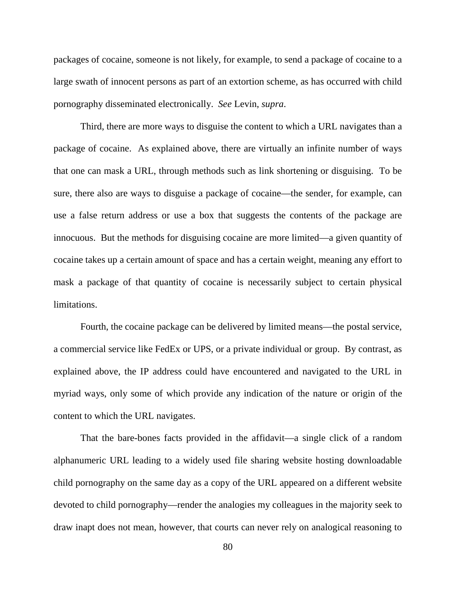packages of cocaine, someone is not likely, for example, to send a package of cocaine to a large swath of innocent persons as part of an extortion scheme, as has occurred with child pornography disseminated electronically. *See* Levin, *supra*.

Third, there are more ways to disguise the content to which a URL navigates than a package of cocaine. As explained above, there are virtually an infinite number of ways that one can mask a URL, through methods such as link shortening or disguising. To be sure, there also are ways to disguise a package of cocaine—the sender, for example, can use a false return address or use a box that suggests the contents of the package are innocuous. But the methods for disguising cocaine are more limited—a given quantity of cocaine takes up a certain amount of space and has a certain weight, meaning any effort to mask a package of that quantity of cocaine is necessarily subject to certain physical limitations.

Fourth, the cocaine package can be delivered by limited means—the postal service, a commercial service like FedEx or UPS, or a private individual or group. By contrast, as explained above, the IP address could have encountered and navigated to the URL in myriad ways, only some of which provide any indication of the nature or origin of the content to which the URL navigates.

That the bare-bones facts provided in the affidavit—a single click of a random alphanumeric URL leading to a widely used file sharing website hosting downloadable child pornography on the same day as a copy of the URL appeared on a different website devoted to child pornography—render the analogies my colleagues in the majority seek to draw inapt does not mean, however, that courts can never rely on analogical reasoning to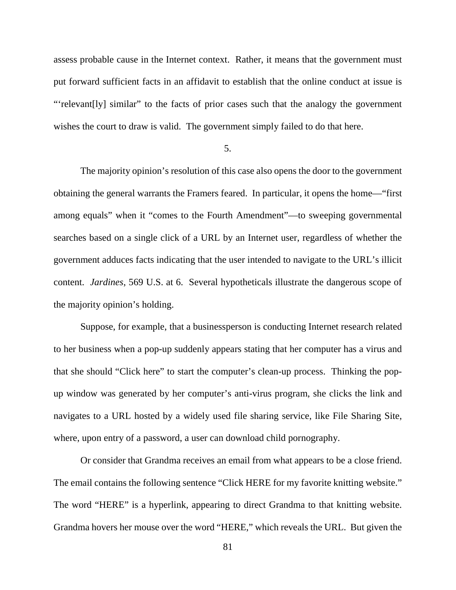assess probable cause in the Internet context. Rather, it means that the government must put forward sufficient facts in an affidavit to establish that the online conduct at issue is "'relevant[ly] similar" to the facts of prior cases such that the analogy the government wishes the court to draw is valid. The government simply failed to do that here.

# 5.

The majority opinion's resolution of this case also opens the door to the government obtaining the general warrants the Framers feared. In particular, it opens the home—"first among equals" when it "comes to the Fourth Amendment"—to sweeping governmental searches based on a single click of a URL by an Internet user, regardless of whether the government adduces facts indicating that the user intended to navigate to the URL's illicit content. *Jardines*, 569 U.S. at 6. Several hypotheticals illustrate the dangerous scope of the majority opinion's holding.

Suppose, for example, that a businessperson is conducting Internet research related to her business when a pop-up suddenly appears stating that her computer has a virus and that she should "Click here" to start the computer's clean-up process. Thinking the popup window was generated by her computer's anti-virus program, she clicks the link and navigates to a URL hosted by a widely used file sharing service, like File Sharing Site, where, upon entry of a password, a user can download child pornography.

Or consider that Grandma receives an email from what appears to be a close friend. The email contains the following sentence "Click HERE for my favorite knitting website." The word "HERE" is a hyperlink, appearing to direct Grandma to that knitting website. Grandma hovers her mouse over the word "HERE," which reveals the URL. But given the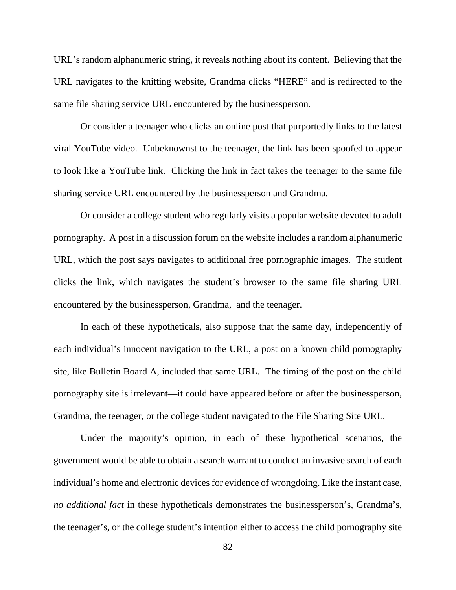URL's random alphanumeric string, it reveals nothing about its content. Believing that the URL navigates to the knitting website, Grandma clicks "HERE" and is redirected to the same file sharing service URL encountered by the businessperson.

Or consider a teenager who clicks an online post that purportedly links to the latest viral YouTube video. Unbeknownst to the teenager, the link has been spoofed to appear to look like a YouTube link. Clicking the link in fact takes the teenager to the same file sharing service URL encountered by the businessperson and Grandma.

Or consider a college student who regularly visits a popular website devoted to adult pornography. A post in a discussion forum on the website includes a random alphanumeric URL, which the post says navigates to additional free pornographic images. The student clicks the link, which navigates the student's browser to the same file sharing URL encountered by the businessperson, Grandma, and the teenager.

In each of these hypotheticals, also suppose that the same day, independently of each individual's innocent navigation to the URL, a post on a known child pornography site, like Bulletin Board A, included that same URL. The timing of the post on the child pornography site is irrelevant—it could have appeared before or after the businessperson, Grandma, the teenager, or the college student navigated to the File Sharing Site URL.

Under the majority's opinion, in each of these hypothetical scenarios, the government would be able to obtain a search warrant to conduct an invasive search of each individual's home and electronic devices for evidence of wrongdoing. Like the instant case, *no additional fact* in these hypotheticals demonstrates the businessperson's, Grandma's, the teenager's, or the college student's intention either to access the child pornography site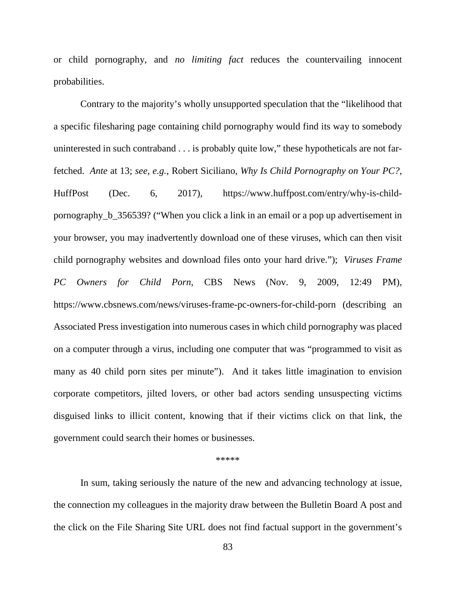or child pornography, and *no limiting fact* reduces the countervailing innocent probabilities.

Contrary to the majority's wholly unsupported speculation that the "likelihood that a specific filesharing page containing child pornography would find its way to somebody uninterested in such contraband . . . is probably quite low," these hypotheticals are not farfetched. *Ante* at 13; *see, e.g.*, Robert Siciliano, *Why Is Child Pornography on Your PC?*, HuffPost (Dec. 6, 2017), https://www.huffpost.com/entry/why-is-childpornography\_b\_356539? ("When you click a link in an email or a pop up advertisement in your browser, you may inadvertently download one of these viruses, which can then visit child pornography websites and download files onto your hard drive."); *Viruses Frame PC Owners for Child Porn*, CBS News (Nov. 9, 2009, 12:49 PM), https://www.cbsnews.com/news/viruses-frame-pc-owners-for-child-porn (describing an Associated Press investigation into numerous cases in which child pornography was placed on a computer through a virus, including one computer that was "programmed to visit as many as 40 child porn sites per minute"). And it takes little imagination to envision corporate competitors, jilted lovers, or other bad actors sending unsuspecting victims disguised links to illicit content, knowing that if their victims click on that link, the government could search their homes or businesses.

#### \*\*\*\*\*

In sum, taking seriously the nature of the new and advancing technology at issue, the connection my colleagues in the majority draw between the Bulletin Board A post and the click on the File Sharing Site URL does not find factual support in the government's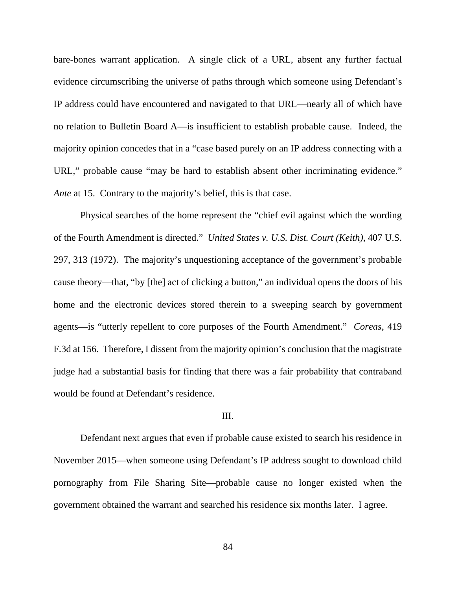bare-bones warrant application. A single click of a URL, absent any further factual evidence circumscribing the universe of paths through which someone using Defendant's IP address could have encountered and navigated to that URL—nearly all of which have no relation to Bulletin Board A—is insufficient to establish probable cause. Indeed, the majority opinion concedes that in a "case based purely on an IP address connecting with a URL," probable cause "may be hard to establish absent other incriminating evidence." *Ante* at 15. Contrary to the majority's belief, this is that case.

Physical searches of the home represent the "chief evil against which the wording of the Fourth Amendment is directed." *United States v. U.S. Dist. Court (Keith)*, 407 U.S. 297, 313 (1972). The majority's unquestioning acceptance of the government's probable cause theory—that, "by [the] act of clicking a button," an individual opens the doors of his home and the electronic devices stored therein to a sweeping search by government agents—is "utterly repellent to core purposes of the Fourth Amendment." *Coreas*, 419 F.3d at 156. Therefore, I dissent from the majority opinion's conclusion that the magistrate judge had a substantial basis for finding that there was a fair probability that contraband would be found at Defendant's residence.

## III.

Defendant next argues that even if probable cause existed to search his residence in November 2015—when someone using Defendant's IP address sought to download child pornography from File Sharing Site—probable cause no longer existed when the government obtained the warrant and searched his residence six months later. I agree.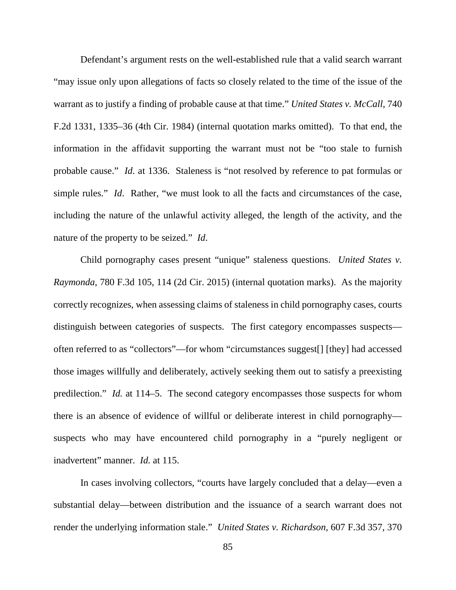Defendant's argument rests on the well-established rule that a valid search warrant "may issue only upon allegations of facts so closely related to the time of the issue of the warrant as to justify a finding of probable cause at that time." *United States v. McCall*, 740 F.2d 1331, 1335–36 (4th Cir. 1984) (internal quotation marks omitted). To that end, the information in the affidavit supporting the warrant must not be "too stale to furnish probable cause." *Id*. at 1336. Staleness is "not resolved by reference to pat formulas or simple rules." *Id*. Rather, "we must look to all the facts and circumstances of the case, including the nature of the unlawful activity alleged, the length of the activity, and the nature of the property to be seized." *Id*.

Child pornography cases present "unique" staleness questions. *United States v. Raymonda*, 780 F.3d 105, 114 (2d Cir. 2015) (internal quotation marks). As the majority correctly recognizes, when assessing claims of staleness in child pornography cases, courts distinguish between categories of suspects. The first category encompasses suspects often referred to as "collectors"—for whom "circumstances suggest[] [they] had accessed those images willfully and deliberately, actively seeking them out to satisfy a preexisting predilection." *Id.* at 114–5. The second category encompasses those suspects for whom there is an absence of evidence of willful or deliberate interest in child pornography suspects who may have encountered child pornography in a "purely negligent or inadvertent" manner. *Id.* at 115.

In cases involving collectors, "courts have largely concluded that a delay—even a substantial delay—between distribution and the issuance of a search warrant does not render the underlying information stale." *United States v. Richardson*, 607 F.3d 357, 370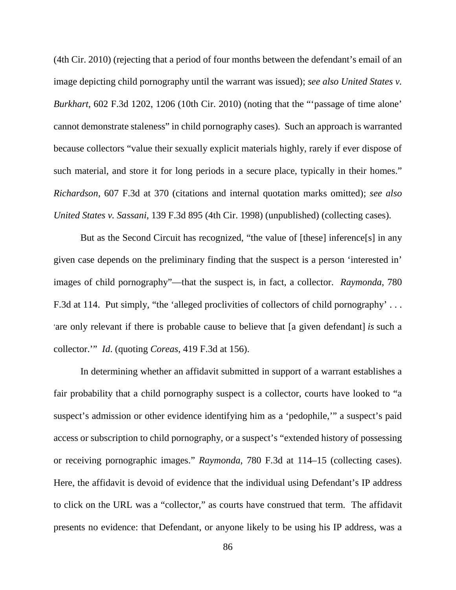(4th Cir. 2010) (rejecting that a period of four months between the defendant's email of an image depicting child pornography until the warrant was issued); *see also United States v. Burkhart*, 602 F.3d 1202, 1206 (10th Cir. 2010) (noting that the "'passage of time alone' cannot demonstrate staleness" in child pornography cases). Such an approach is warranted because collectors "value their sexually explicit materials highly, rarely if ever dispose of such material, and store it for long periods in a secure place, typically in their homes." *Richardson*, 607 F.3d at 370 (citations and internal quotation marks omitted); *see also United States v. Sassani*, 139 F.3d 895 (4th Cir. 1998) (unpublished) (collecting cases).

But as the Second Circuit has recognized, "the value of [these] inference[s] in any given case depends on the preliminary finding that the suspect is a person 'interested in' images of child pornography"—that the suspect is, in fact, a collector. *Raymonda*, 780 F.3d at 114. Put simply, "the 'alleged proclivities of collectors of child pornography' . . . 'are only relevant if there is probable cause to believe that [a given defendant] *is* such a collector.'" *Id*. (quoting *Coreas*, 419 F.3d at 156).

In determining whether an affidavit submitted in support of a warrant establishes a fair probability that a child pornography suspect is a collector, courts have looked to "a suspect's admission or other evidence identifying him as a 'pedophile,'" a suspect's paid access or subscription to child pornography, or a suspect's "extended history of possessing or receiving pornographic images." *Raymonda*, 780 F.3d at 114–15 (collecting cases). Here, the affidavit is devoid of evidence that the individual using Defendant's IP address to click on the URL was a "collector," as courts have construed that term. The affidavit presents no evidence: that Defendant, or anyone likely to be using his IP address, was a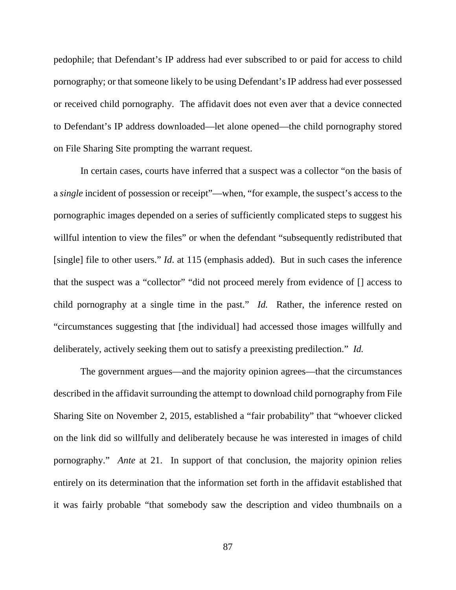pedophile; that Defendant's IP address had ever subscribed to or paid for access to child pornography; or that someone likely to be using Defendant's IP address had ever possessed or received child pornography. The affidavit does not even aver that a device connected to Defendant's IP address downloaded—let alone opened—the child pornography stored on File Sharing Site prompting the warrant request.

In certain cases, courts have inferred that a suspect was a collector "on the basis of a *single* incident of possession or receipt"—when, "for example, the suspect's access to the pornographic images depended on a series of sufficiently complicated steps to suggest his willful intention to view the files" or when the defendant "subsequently redistributed that [single] file to other users." *Id*. at 115 (emphasis added). But in such cases the inference that the suspect was a "collector" "did not proceed merely from evidence of [] access to child pornography at a single time in the past." *Id.* Rather, the inference rested on "circumstances suggesting that [the individual] had accessed those images willfully and deliberately, actively seeking them out to satisfy a preexisting predilection." *Id.*

The government argues—and the majority opinion agrees—that the circumstances described in the affidavit surrounding the attempt to download child pornography from File Sharing Site on November 2, 2015, established a "fair probability" that "whoever clicked on the link did so willfully and deliberately because he was interested in images of child pornography." *Ante* at 21. In support of that conclusion, the majority opinion relies entirely on its determination that the information set forth in the affidavit established that it was fairly probable "that somebody saw the description and video thumbnails on a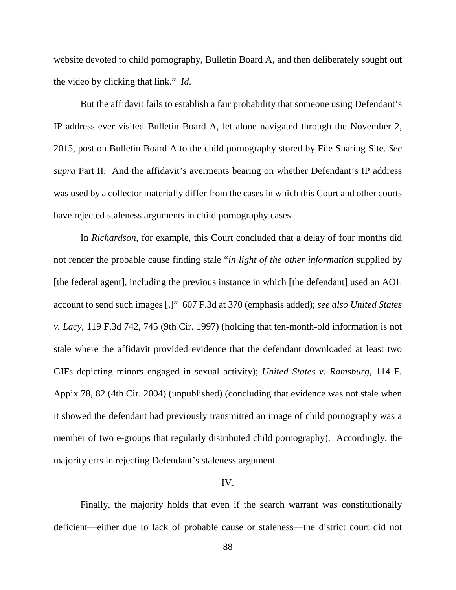website devoted to child pornography, Bulletin Board A, and then deliberately sought out the video by clicking that link." *Id*.

But the affidavit fails to establish a fair probability that someone using Defendant's IP address ever visited Bulletin Board A, let alone navigated through the November 2, 2015, post on Bulletin Board A to the child pornography stored by File Sharing Site. *See supra* Part II. And the affidavit's averments bearing on whether Defendant's IP address was used by a collector materially differ from the cases in which this Court and other courts have rejected staleness arguments in child pornography cases.

In *Richardson*, for example, this Court concluded that a delay of four months did not render the probable cause finding stale "*in light of the other information* supplied by [the federal agent], including the previous instance in which [the defendant] used an AOL account to send such images [.]" 607 F.3d at 370 (emphasis added); *see also United States v. Lacy*, 119 F.3d 742, 745 (9th Cir. 1997) (holding that ten-month-old information is not stale where the affidavit provided evidence that the defendant downloaded at least two GIFs depicting minors engaged in sexual activity); *United States v. Ramsburg*, 114 F. App'x 78, 82 (4th Cir. 2004) (unpublished) (concluding that evidence was not stale when it showed the defendant had previously transmitted an image of child pornography was a member of two e-groups that regularly distributed child pornography). Accordingly, the majority errs in rejecting Defendant's staleness argument.

## IV.

Finally, the majority holds that even if the search warrant was constitutionally deficient—either due to lack of probable cause or staleness—the district court did not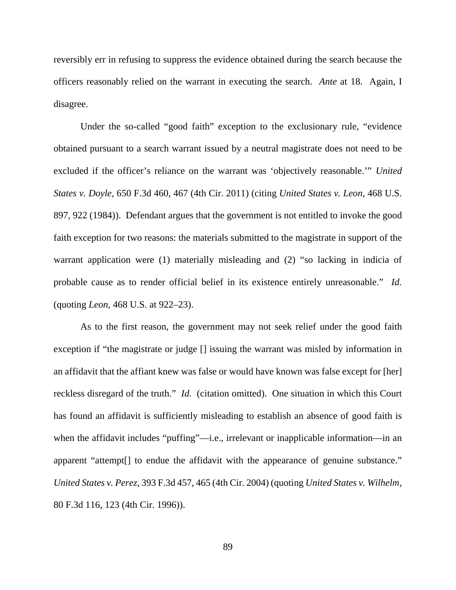reversibly err in refusing to suppress the evidence obtained during the search because the officers reasonably relied on the warrant in executing the search. *Ante* at 18. Again, I disagree.

Under the so-called "good faith" exception to the exclusionary rule, "evidence obtained pursuant to a search warrant issued by a neutral magistrate does not need to be excluded if the officer's reliance on the warrant was 'objectively reasonable.'" *United States v. Doyle*, 650 F.3d 460, 467 (4th Cir. 2011) (citing *United States v. Leon*, 468 U.S. 897, 922 (1984)). Defendant argues that the government is not entitled to invoke the good faith exception for two reasons: the materials submitted to the magistrate in support of the warrant application were (1) materially misleading and (2) "so lacking in indicia of probable cause as to render official belief in its existence entirely unreasonable." *Id.*  (quoting *Leon*, 468 U.S. at 922–23).

As to the first reason, the government may not seek relief under the good faith exception if "the magistrate or judge [] issuing the warrant was misled by information in an affidavit that the affiant knew was false or would have known was false except for [her] reckless disregard of the truth." *Id.* (citation omitted). One situation in which this Court has found an affidavit is sufficiently misleading to establish an absence of good faith is when the affidavit includes "puffing"—i.e., irrelevant or inapplicable information—in an apparent "attempt[] to endue the affidavit with the appearance of genuine substance." *United States v. Perez*, 393 F.3d 457, 465 (4th Cir. 2004) (quoting *United States v. Wilhelm*, 80 F.3d 116, 123 (4th Cir. 1996)).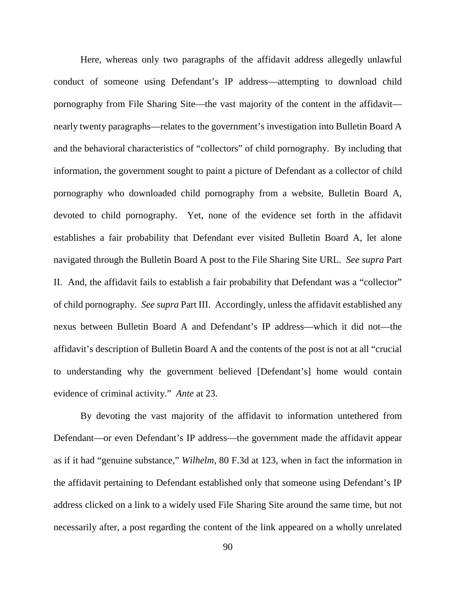Here, whereas only two paragraphs of the affidavit address allegedly unlawful conduct of someone using Defendant's IP address—attempting to download child pornography from File Sharing Site—the vast majority of the content in the affidavit nearly twenty paragraphs—relates to the government's investigation into Bulletin Board A and the behavioral characteristics of "collectors" of child pornography. By including that information, the government sought to paint a picture of Defendant as a collector of child pornography who downloaded child pornography from a website, Bulletin Board A, devoted to child pornography. Yet, none of the evidence set forth in the affidavit establishes a fair probability that Defendant ever visited Bulletin Board A, let alone navigated through the Bulletin Board A post to the File Sharing Site URL. *See supra* Part II. And, the affidavit fails to establish a fair probability that Defendant was a "collector" of child pornography. *See supra* Part III. Accordingly, unless the affidavit established any nexus between Bulletin Board A and Defendant's IP address—which it did not—the affidavit's description of Bulletin Board A and the contents of the post is not at all "crucial to understanding why the government believed [Defendant's] home would contain evidence of criminal activity." *Ante* at 23.

By devoting the vast majority of the affidavit to information untethered from Defendant—or even Defendant's IP address—the government made the affidavit appear as if it had "genuine substance," *Wilhelm*, 80 F.3d at 123, when in fact the information in the affidavit pertaining to Defendant established only that someone using Defendant's IP address clicked on a link to a widely used File Sharing Site around the same time, but not necessarily after, a post regarding the content of the link appeared on a wholly unrelated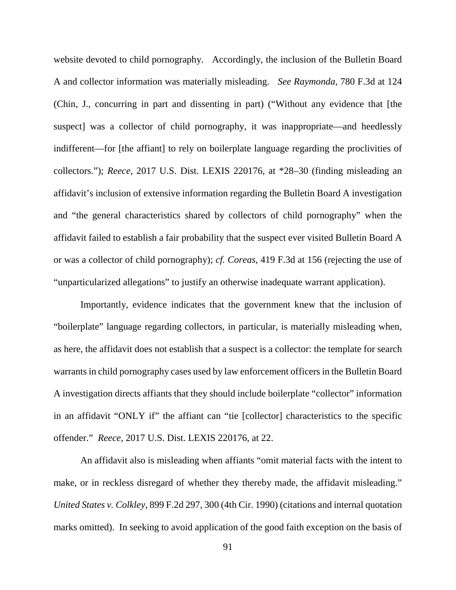website devoted to child pornography. Accordingly, the inclusion of the Bulletin Board A and collector information was materially misleading. *See Raymonda*, 780 F.3d at 124 (Chin, J., concurring in part and dissenting in part) ("Without any evidence that [the suspect] was a collector of child pornography, it was inappropriate—and heedlessly indifferent—for [the affiant] to rely on boilerplate language regarding the proclivities of collectors."); *Reece*, 2017 U.S. Dist. LEXIS 220176, at \*28–30 (finding misleading an affidavit's inclusion of extensive information regarding the Bulletin Board A investigation and "the general characteristics shared by collectors of child pornography" when the affidavit failed to establish a fair probability that the suspect ever visited Bulletin Board A or was a collector of child pornography); *cf. Coreas*, 419 F.3d at 156 (rejecting the use of "unparticularized allegations" to justify an otherwise inadequate warrant application).

Importantly, evidence indicates that the government knew that the inclusion of "boilerplate" language regarding collectors, in particular, is materially misleading when, as here, the affidavit does not establish that a suspect is a collector: the template for search warrants in child pornography cases used by law enforcement officers in the Bulletin Board A investigation directs affiants that they should include boilerplate "collector" information in an affidavit "ONLY if" the affiant can "tie [collector] characteristics to the specific offender." *Reece*, 2017 U.S. Dist. LEXIS 220176, at 22.

An affidavit also is misleading when affiants "omit material facts with the intent to make, or in reckless disregard of whether they thereby made, the affidavit misleading." *United States v. Colkley*, 899 F.2d 297, 300 (4th Cir. 1990) (citations and internal quotation marks omitted). In seeking to avoid application of the good faith exception on the basis of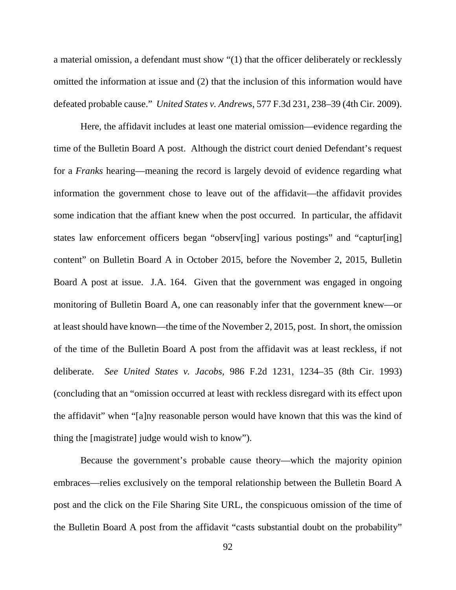a material omission, a defendant must show "(1) that the officer deliberately or recklessly omitted the information at issue and (2) that the inclusion of this information would have defeated probable cause." *United States v. Andrews*, 577 F.3d 231, 238–39 (4th Cir. 2009).

Here, the affidavit includes at least one material omission—evidence regarding the time of the Bulletin Board A post. Although the district court denied Defendant's request for a *Franks* hearing—meaning the record is largely devoid of evidence regarding what information the government chose to leave out of the affidavit—the affidavit provides some indication that the affiant knew when the post occurred. In particular, the affidavit states law enforcement officers began "observ[ing] various postings" and "captur[ing] content" on Bulletin Board A in October 2015, before the November 2, 2015, Bulletin Board A post at issue. J.A. 164. Given that the government was engaged in ongoing monitoring of Bulletin Board A, one can reasonably infer that the government knew—or at least should have known—the time of the November 2, 2015, post. In short, the omission of the time of the Bulletin Board A post from the affidavit was at least reckless, if not deliberate. *See United States v. Jacobs*, 986 F.2d 1231, 1234–35 (8th Cir. 1993) (concluding that an "omission occurred at least with reckless disregard with its effect upon the affidavit" when "[a]ny reasonable person would have known that this was the kind of thing the [magistrate] judge would wish to know").

Because the government's probable cause theory—which the majority opinion embraces—relies exclusively on the temporal relationship between the Bulletin Board A post and the click on the File Sharing Site URL, the conspicuous omission of the time of the Bulletin Board A post from the affidavit "casts substantial doubt on the probability"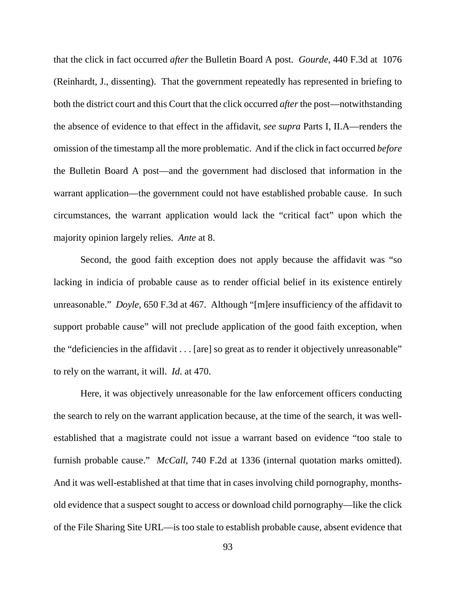that the click in fact occurred *after* the Bulletin Board A post. *Gourde*, 440 F.3d at 1076 (Reinhardt, J., dissenting). That the government repeatedly has represented in briefing to both the district court and this Court that the click occurred *after* the post—notwithstanding the absence of evidence to that effect in the affidavit, *see supra* Parts I, II.A—renders the omission of the timestamp all the more problematic. And if the click in fact occurred *before*  the Bulletin Board A post—and the government had disclosed that information in the warrant application—the government could not have established probable cause. In such circumstances, the warrant application would lack the "critical fact" upon which the majority opinion largely relies. *Ante* at 8.

Second, the good faith exception does not apply because the affidavit was "so lacking in indicia of probable cause as to render official belief in its existence entirely unreasonable." *Doyle*, 650 F.3d at 467. Although "[m]ere insufficiency of the affidavit to support probable cause" will not preclude application of the good faith exception, when the "deficiencies in the affidavit . . . [are] so great as to render it objectively unreasonable" to rely on the warrant, it will. *Id*. at 470.

Here, it was objectively unreasonable for the law enforcement officers conducting the search to rely on the warrant application because, at the time of the search, it was wellestablished that a magistrate could not issue a warrant based on evidence "too stale to furnish probable cause." *McCall*, 740 F.2d at 1336 (internal quotation marks omitted). And it was well-established at that time that in cases involving child pornography, monthsold evidence that a suspect sought to access or download child pornography—like the click of the File Sharing Site URL—is too stale to establish probable cause, absent evidence that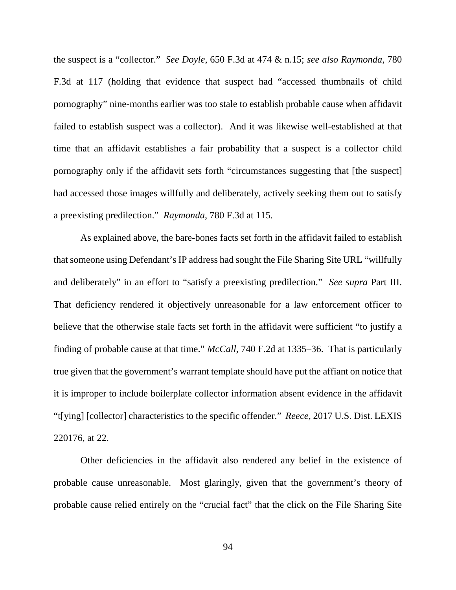the suspect is a "collector." *See Doyle*, 650 F.3d at 474 & n.15; *see also Raymonda*, 780 F.3d at 117 (holding that evidence that suspect had "accessed thumbnails of child pornography" nine-months earlier was too stale to establish probable cause when affidavit failed to establish suspect was a collector). And it was likewise well-established at that time that an affidavit establishes a fair probability that a suspect is a collector child pornography only if the affidavit sets forth "circumstances suggesting that [the suspect] had accessed those images willfully and deliberately, actively seeking them out to satisfy a preexisting predilection." *Raymonda*, 780 F.3d at 115.

As explained above, the bare-bones facts set forth in the affidavit failed to establish that someone using Defendant's IP address had sought the File Sharing Site URL "willfully and deliberately" in an effort to "satisfy a preexisting predilection." *See supra* Part III. That deficiency rendered it objectively unreasonable for a law enforcement officer to believe that the otherwise stale facts set forth in the affidavit were sufficient "to justify a finding of probable cause at that time." *McCall*, 740 F.2d at 1335–36. That is particularly true given that the government's warrant template should have put the affiant on notice that it is improper to include boilerplate collector information absent evidence in the affidavit "t[ying] [collector] characteristics to the specific offender." *Reece*, 2017 U.S. Dist. LEXIS 220176, at 22.

Other deficiencies in the affidavit also rendered any belief in the existence of probable cause unreasonable. Most glaringly, given that the government's theory of probable cause relied entirely on the "crucial fact" that the click on the File Sharing Site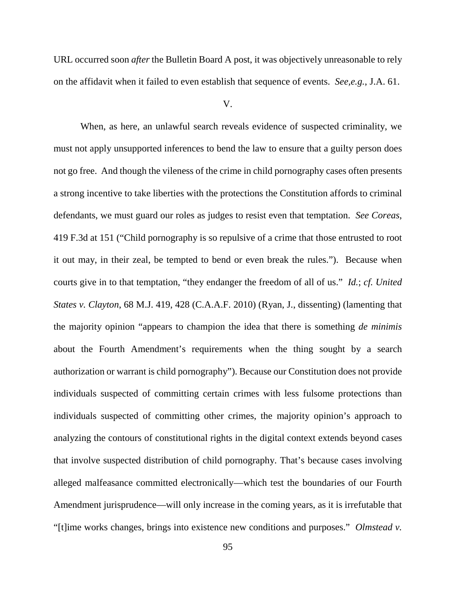URL occurred soon *after* the Bulletin Board A post, it was objectively unreasonable to rely on the affidavit when it failed to even establish that sequence of events. *See,e.g.*, J.A. 61.

## V.

When, as here, an unlawful search reveals evidence of suspected criminality, we must not apply unsupported inferences to bend the law to ensure that a guilty person does not go free. And though the vileness of the crime in child pornography cases often presents a strong incentive to take liberties with the protections the Constitution affords to criminal defendants, we must guard our roles as judges to resist even that temptation. *See Coreas*, 419 F.3d at 151 ("Child pornography is so repulsive of a crime that those entrusted to root it out may, in their zeal, be tempted to bend or even break the rules."). Because when courts give in to that temptation, "they endanger the freedom of all of us." *Id.*; *cf. United States v. Clayton*, 68 M.J. 419, 428 (C.A.A.F. 2010) (Ryan, J., dissenting) (lamenting that the majority opinion "appears to champion the idea that there is something *de minimis*  about the Fourth Amendment's requirements when the thing sought by a search authorization or warrant is child pornography"). Because our Constitution does not provide individuals suspected of committing certain crimes with less fulsome protections than individuals suspected of committing other crimes, the majority opinion's approach to analyzing the contours of constitutional rights in the digital context extends beyond cases that involve suspected distribution of child pornography. That's because cases involving alleged malfeasance committed electronically—which test the boundaries of our Fourth Amendment jurisprudence—will only increase in the coming years, as it is irrefutable that "[t]ime works changes, brings into existence new conditions and purposes." *Olmstead v.*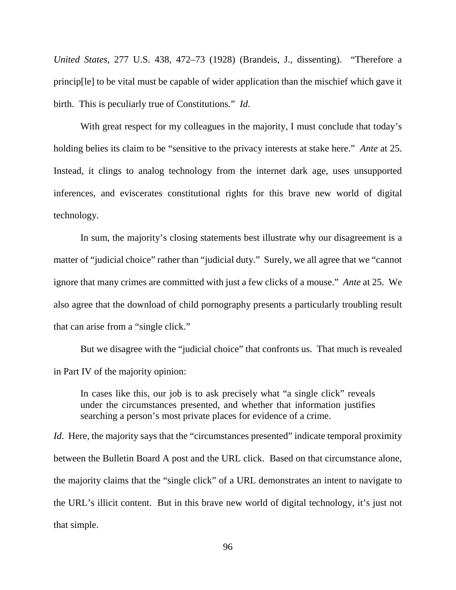*United States*, 277 U.S. 438, 472–73 (1928) (Brandeis, J., dissenting). "Therefore a princip[le] to be vital must be capable of wider application than the mischief which gave it birth. This is peculiarly true of Constitutions." *Id*.

With great respect for my colleagues in the majority, I must conclude that today's holding belies its claim to be "sensitive to the privacy interests at stake here." *Ante* at 25. Instead, it clings to analog technology from the internet dark age, uses unsupported inferences, and eviscerates constitutional rights for this brave new world of digital technology.

In sum, the majority's closing statements best illustrate why our disagreement is a matter of "judicial choice" rather than "judicial duty." Surely, we all agree that we "cannot ignore that many crimes are committed with just a few clicks of a mouse." *Ante* at 25. We also agree that the download of child pornography presents a particularly troubling result that can arise from a "single click."

But we disagree with the "judicial choice" that confronts us. That much is revealed in Part IV of the majority opinion:

In cases like this, our job is to ask precisely what "a single click" reveals under the circumstances presented, and whether that information justifies searching a person's most private places for evidence of a crime.

*Id.* Here, the majority says that the "circumstances presented" indicate temporal proximity between the Bulletin Board A post and the URL click. Based on that circumstance alone, the majority claims that the "single click" of a URL demonstrates an intent to navigate to the URL's illicit content. But in this brave new world of digital technology, it's just not that simple.